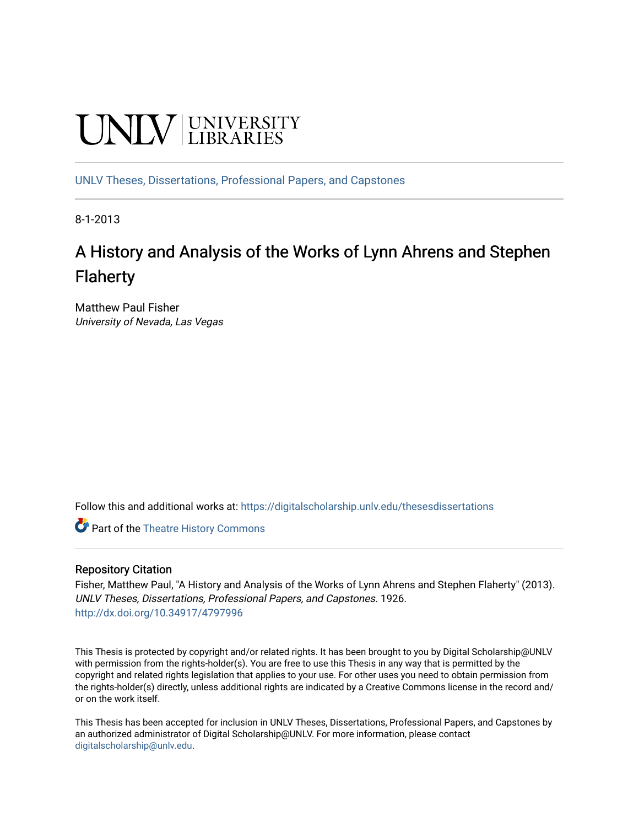# **UNIVERSITY**

[UNLV Theses, Dissertations, Professional Papers, and Capstones](https://digitalscholarship.unlv.edu/thesesdissertations)

8-1-2013

## A History and Analysis of the Works of Lynn Ahrens and Stephen Flaherty

Matthew Paul Fisher University of Nevada, Las Vegas

Follow this and additional works at: [https://digitalscholarship.unlv.edu/thesesdissertations](https://digitalscholarship.unlv.edu/thesesdissertations?utm_source=digitalscholarship.unlv.edu%2Fthesesdissertations%2F1926&utm_medium=PDF&utm_campaign=PDFCoverPages)

Part of the [Theatre History Commons](http://network.bepress.com/hgg/discipline/553?utm_source=digitalscholarship.unlv.edu%2Fthesesdissertations%2F1926&utm_medium=PDF&utm_campaign=PDFCoverPages)

#### Repository Citation

Fisher, Matthew Paul, "A History and Analysis of the Works of Lynn Ahrens and Stephen Flaherty" (2013). UNLV Theses, Dissertations, Professional Papers, and Capstones. 1926. <http://dx.doi.org/10.34917/4797996>

This Thesis is protected by copyright and/or related rights. It has been brought to you by Digital Scholarship@UNLV with permission from the rights-holder(s). You are free to use this Thesis in any way that is permitted by the copyright and related rights legislation that applies to your use. For other uses you need to obtain permission from the rights-holder(s) directly, unless additional rights are indicated by a Creative Commons license in the record and/ or on the work itself.

This Thesis has been accepted for inclusion in UNLV Theses, Dissertations, Professional Papers, and Capstones by an authorized administrator of Digital Scholarship@UNLV. For more information, please contact [digitalscholarship@unlv.edu](mailto:digitalscholarship@unlv.edu).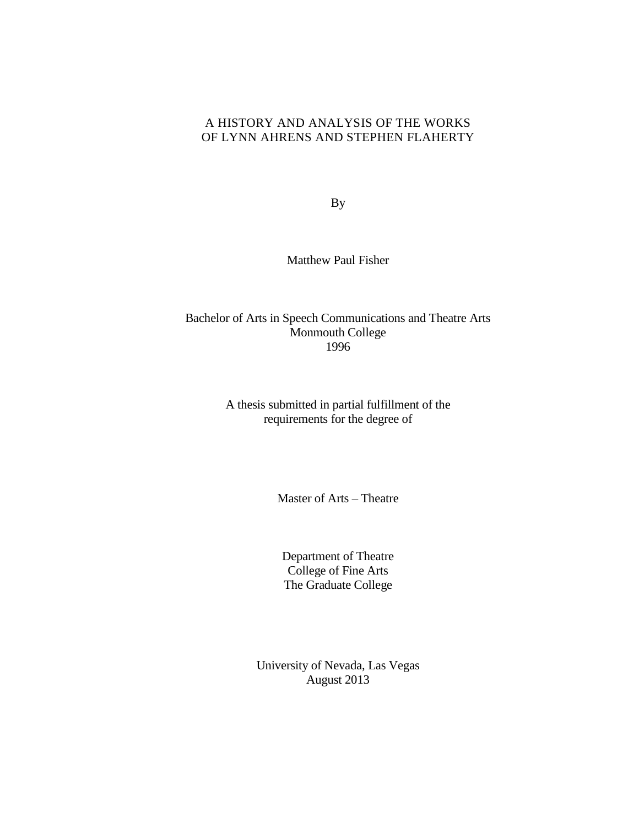## A HISTORY AND ANALYSIS OF THE WORKS OF LYNN AHRENS AND STEPHEN FLAHERTY

By

Matthew Paul Fisher

#### Bachelor of Arts in Speech Communications and Theatre Arts Monmouth College 1996

## A thesis submitted in partial fulfillment of the requirements for the degree of

Master of Arts – Theatre

Department of Theatre College of Fine Arts The Graduate College

University of Nevada, Las Vegas August 2013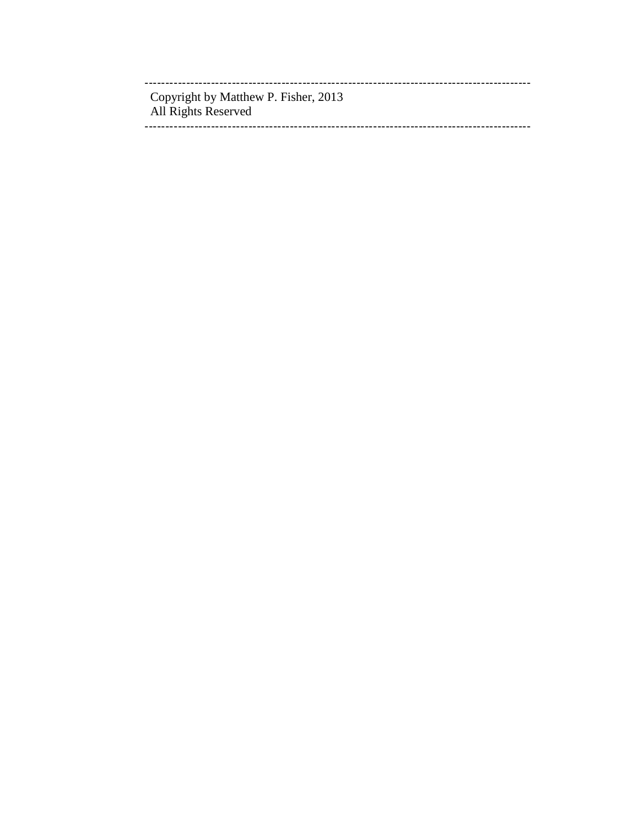Copyright by Matthew P. Fisher, 2013 All Rights Reserved 

----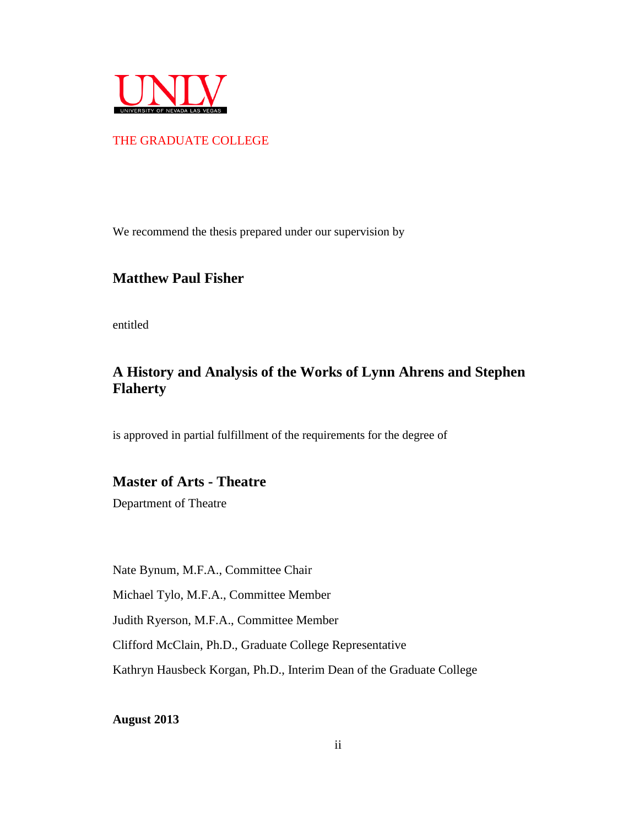

#### THE GRADUATE COLLEGE

We recommend the thesis prepared under our supervision by

## **Matthew Paul Fisher**

entitled

## **A History and Analysis of the Works of Lynn Ahrens and Stephen Flaherty**

is approved in partial fulfillment of the requirements for the degree of

## **Master of Arts - Theatre**

Department of Theatre

Nate Bynum, M.F.A., Committee Chair Michael Tylo, M.F.A., Committee Member Judith Ryerson, M.F.A., Committee Member Clifford McClain, Ph.D., Graduate College Representative Kathryn Hausbeck Korgan, Ph.D., Interim Dean of the Graduate College

**August 2013**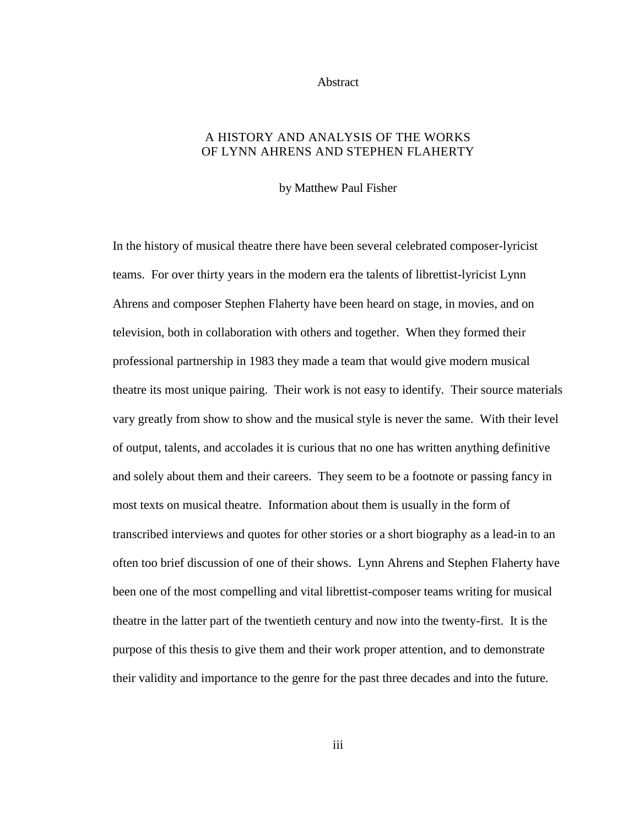Abstract

#### A HISTORY AND ANALYSIS OF THE WORKS OF LYNN AHRENS AND STEPHEN FLAHERTY

by Matthew Paul Fisher

In the history of musical theatre there have been several celebrated composer-lyricist teams. For over thirty years in the modern era the talents of librettist-lyricist Lynn Ahrens and composer Stephen Flaherty have been heard on stage, in movies, and on television, both in collaboration with others and together. When they formed their professional partnership in 1983 they made a team that would give modern musical theatre its most unique pairing. Their work is not easy to identify. Their source materials vary greatly from show to show and the musical style is never the same. With their level of output, talents, and accolades it is curious that no one has written anything definitive and solely about them and their careers. They seem to be a footnote or passing fancy in most texts on musical theatre. Information about them is usually in the form of transcribed interviews and quotes for other stories or a short biography as a lead-in to an often too brief discussion of one of their shows. Lynn Ahrens and Stephen Flaherty have been one of the most compelling and vital librettist-composer teams writing for musical theatre in the latter part of the twentieth century and now into the twenty-first. It is the purpose of this thesis to give them and their work proper attention, and to demonstrate their validity and importance to the genre for the past three decades and into the future.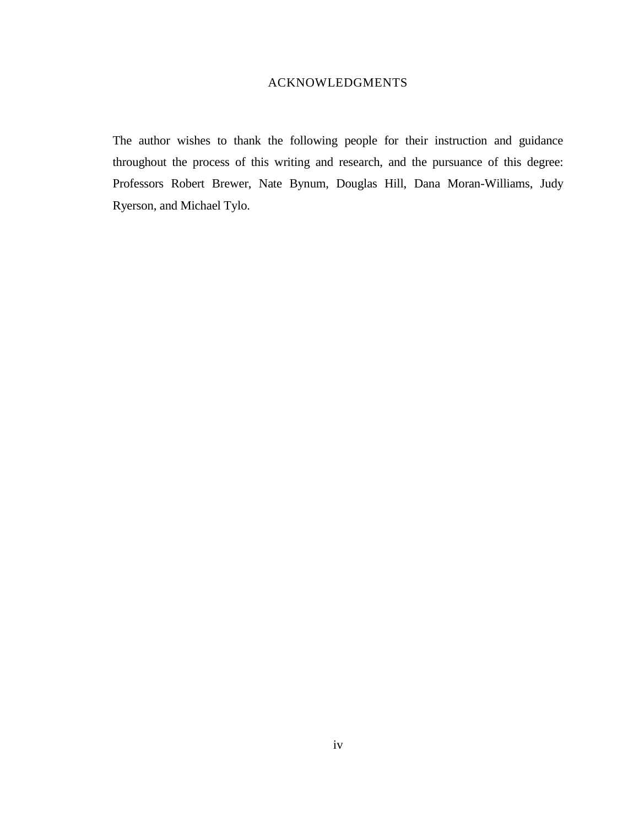#### ACKNOWLEDGMENTS

The author wishes to thank the following people for their instruction and guidance throughout the process of this writing and research, and the pursuance of this degree: Professors Robert Brewer, Nate Bynum, Douglas Hill, Dana Moran-Williams, Judy Ryerson, and Michael Tylo.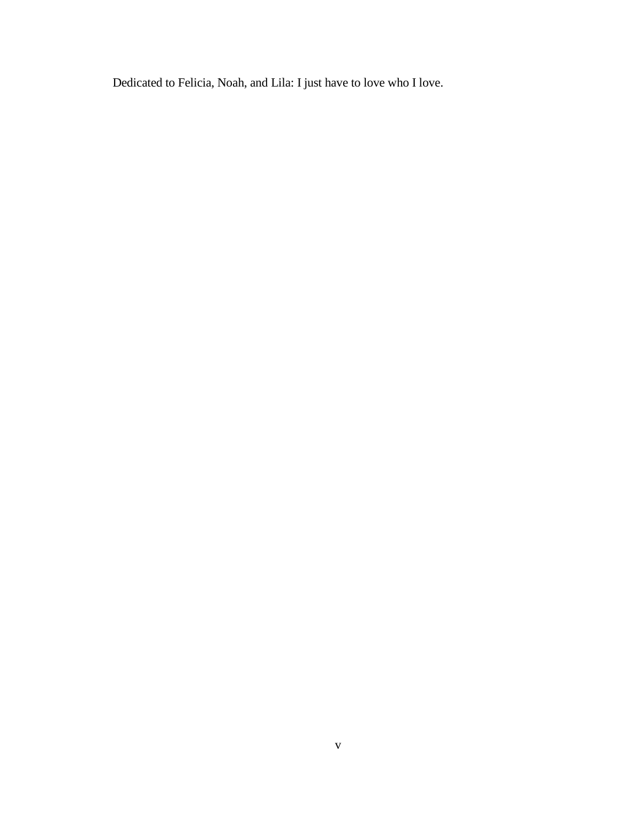Dedicated to Felicia, Noah, and Lila: I just have to love who I love.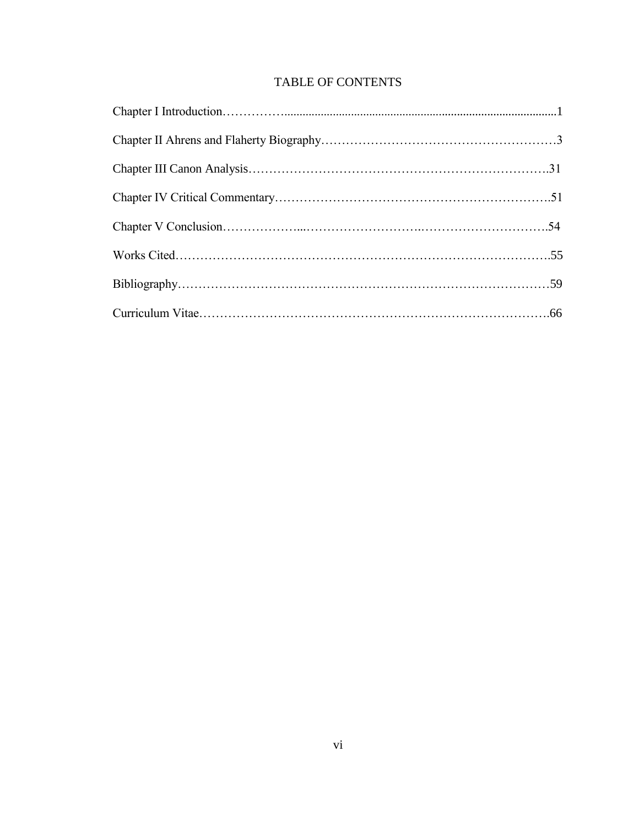## TABLE OF CONTENTS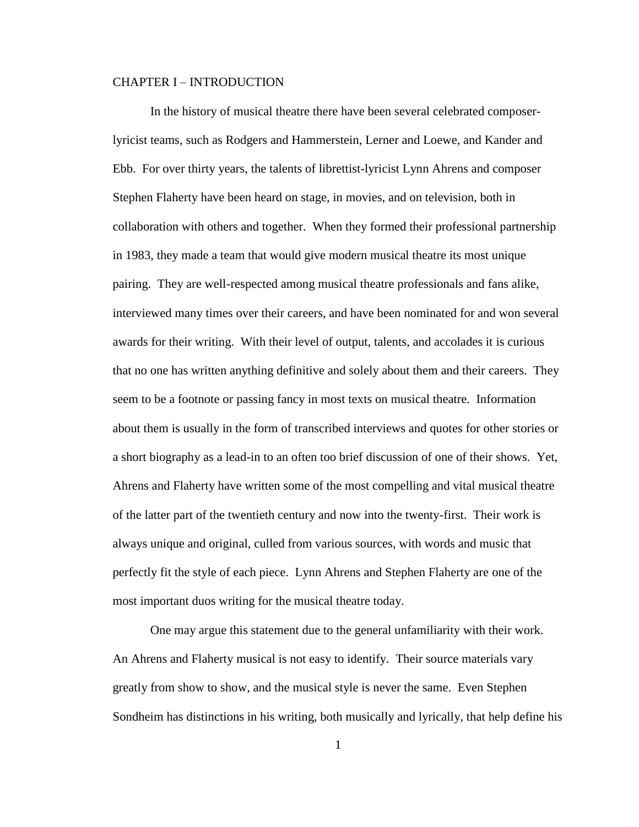#### CHAPTER I – INTRODUCTION

In the history of musical theatre there have been several celebrated composerlyricist teams, such as Rodgers and Hammerstein, Lerner and Loewe, and Kander and Ebb. For over thirty years, the talents of librettist-lyricist Lynn Ahrens and composer Stephen Flaherty have been heard on stage, in movies, and on television, both in collaboration with others and together. When they formed their professional partnership in 1983, they made a team that would give modern musical theatre its most unique pairing. They are well-respected among musical theatre professionals and fans alike, interviewed many times over their careers, and have been nominated for and won several awards for their writing. With their level of output, talents, and accolades it is curious that no one has written anything definitive and solely about them and their careers. They seem to be a footnote or passing fancy in most texts on musical theatre. Information about them is usually in the form of transcribed interviews and quotes for other stories or a short biography as a lead-in to an often too brief discussion of one of their shows. Yet, Ahrens and Flaherty have written some of the most compelling and vital musical theatre of the latter part of the twentieth century and now into the twenty-first. Their work is always unique and original, culled from various sources, with words and music that perfectly fit the style of each piece. Lynn Ahrens and Stephen Flaherty are one of the most important duos writing for the musical theatre today.

One may argue this statement due to the general unfamiliarity with their work. An Ahrens and Flaherty musical is not easy to identify. Their source materials vary greatly from show to show, and the musical style is never the same. Even Stephen Sondheim has distinctions in his writing, both musically and lyrically, that help define his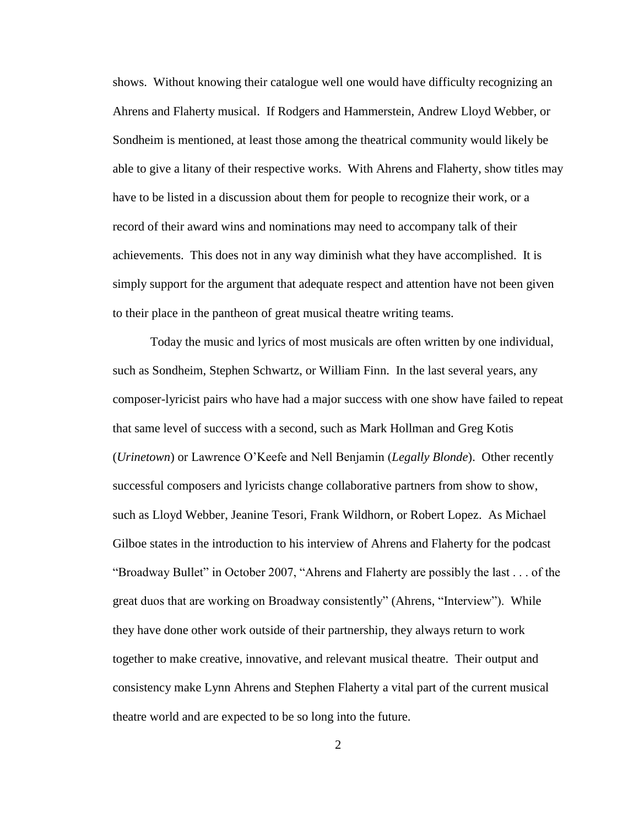shows. Without knowing their catalogue well one would have difficulty recognizing an Ahrens and Flaherty musical. If Rodgers and Hammerstein, Andrew Lloyd Webber, or Sondheim is mentioned, at least those among the theatrical community would likely be able to give a litany of their respective works. With Ahrens and Flaherty, show titles may have to be listed in a discussion about them for people to recognize their work, or a record of their award wins and nominations may need to accompany talk of their achievements. This does not in any way diminish what they have accomplished. It is simply support for the argument that adequate respect and attention have not been given to their place in the pantheon of great musical theatre writing teams.

Today the music and lyrics of most musicals are often written by one individual, such as Sondheim, Stephen Schwartz, or William Finn. In the last several years, any composer-lyricist pairs who have had a major success with one show have failed to repeat that same level of success with a second, such as Mark Hollman and Greg Kotis (*Urinetown*) or Lawrence O'Keefe and Nell Benjamin (*Legally Blonde*). Other recently successful composers and lyricists change collaborative partners from show to show, such as Lloyd Webber, Jeanine Tesori, Frank Wildhorn, or Robert Lopez. As Michael Gilboe states in the introduction to his interview of Ahrens and Flaherty for the podcast "Broadway Bullet" in October 2007, "Ahrens and Flaherty are possibly the last . . . of the great duos that are working on Broadway consistently" (Ahrens, "Interview"). While they have done other work outside of their partnership, they always return to work together to make creative, innovative, and relevant musical theatre. Their output and consistency make Lynn Ahrens and Stephen Flaherty a vital part of the current musical theatre world and are expected to be so long into the future.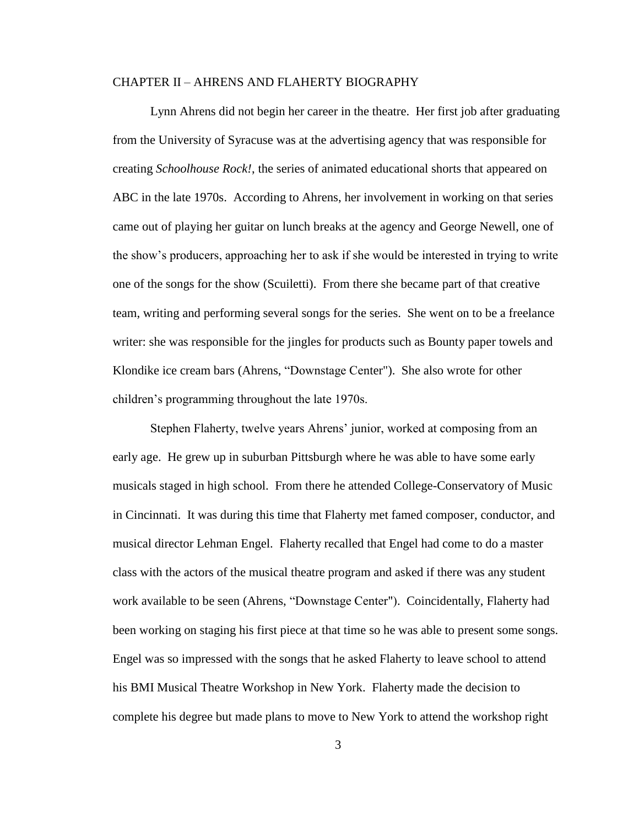#### CHAPTER II – AHRENS AND FLAHERTY BIOGRAPHY

Lynn Ahrens did not begin her career in the theatre. Her first job after graduating from the University of Syracuse was at the advertising agency that was responsible for creating *Schoolhouse Rock!*, the series of animated educational shorts that appeared on ABC in the late 1970s. According to Ahrens, her involvement in working on that series came out of playing her guitar on lunch breaks at the agency and George Newell, one of the show's producers, approaching her to ask if she would be interested in trying to write one of the songs for the show (Scuiletti). From there she became part of that creative team, writing and performing several songs for the series. She went on to be a freelance writer: she was responsible for the jingles for products such as Bounty paper towels and Klondike ice cream bars (Ahrens, "Downstage Center"). She also wrote for other children's programming throughout the late 1970s.

Stephen Flaherty, twelve years Ahrens' junior, worked at composing from an early age. He grew up in suburban Pittsburgh where he was able to have some early musicals staged in high school. From there he attended College-Conservatory of Music in Cincinnati. It was during this time that Flaherty met famed composer, conductor, and musical director Lehman Engel. Flaherty recalled that Engel had come to do a master class with the actors of the musical theatre program and asked if there was any student work available to be seen (Ahrens, "Downstage Center"). Coincidentally, Flaherty had been working on staging his first piece at that time so he was able to present some songs. Engel was so impressed with the songs that he asked Flaherty to leave school to attend his BMI Musical Theatre Workshop in New York. Flaherty made the decision to complete his degree but made plans to move to New York to attend the workshop right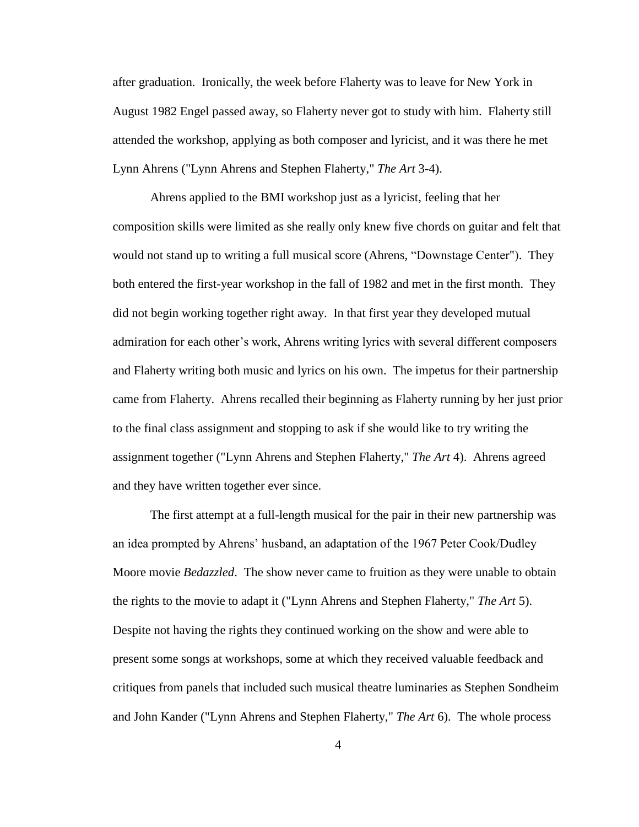after graduation. Ironically, the week before Flaherty was to leave for New York in August 1982 Engel passed away, so Flaherty never got to study with him. Flaherty still attended the workshop, applying as both composer and lyricist, and it was there he met Lynn Ahrens ("Lynn Ahrens and Stephen Flaherty," *The Art* 3-4).

Ahrens applied to the BMI workshop just as a lyricist, feeling that her composition skills were limited as she really only knew five chords on guitar and felt that would not stand up to writing a full musical score (Ahrens, "Downstage Center"). They both entered the first-year workshop in the fall of 1982 and met in the first month. They did not begin working together right away. In that first year they developed mutual admiration for each other's work, Ahrens writing lyrics with several different composers and Flaherty writing both music and lyrics on his own. The impetus for their partnership came from Flaherty. Ahrens recalled their beginning as Flaherty running by her just prior to the final class assignment and stopping to ask if she would like to try writing the assignment together ("Lynn Ahrens and Stephen Flaherty," *The Art* 4). Ahrens agreed and they have written together ever since.

The first attempt at a full-length musical for the pair in their new partnership was an idea prompted by Ahrens' husband, an adaptation of the 1967 Peter Cook/Dudley Moore movie *Bedazzled*. The show never came to fruition as they were unable to obtain the rights to the movie to adapt it ("Lynn Ahrens and Stephen Flaherty," *The Art* 5). Despite not having the rights they continued working on the show and were able to present some songs at workshops, some at which they received valuable feedback and critiques from panels that included such musical theatre luminaries as Stephen Sondheim and John Kander ("Lynn Ahrens and Stephen Flaherty," *The Art* 6). The whole process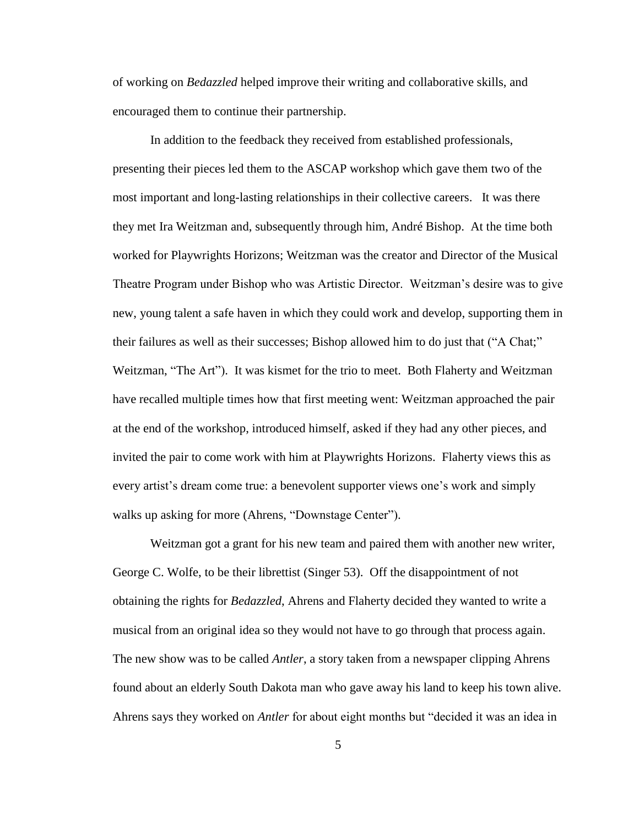of working on *Bedazzled* helped improve their writing and collaborative skills, and encouraged them to continue their partnership.

In addition to the feedback they received from established professionals, presenting their pieces led them to the ASCAP workshop which gave them two of the most important and long-lasting relationships in their collective careers. It was there they met Ira Weitzman and, subsequently through him, André Bishop. At the time both worked for Playwrights Horizons; Weitzman was the creator and Director of the Musical Theatre Program under Bishop who was Artistic Director. Weitzman's desire was to give new, young talent a safe haven in which they could work and develop, supporting them in their failures as well as their successes; Bishop allowed him to do just that ("A Chat;" Weitzman, "The Art"). It was kismet for the trio to meet. Both Flaherty and Weitzman have recalled multiple times how that first meeting went: Weitzman approached the pair at the end of the workshop, introduced himself, asked if they had any other pieces, and invited the pair to come work with him at Playwrights Horizons. Flaherty views this as every artist's dream come true: a benevolent supporter views one's work and simply walks up asking for more (Ahrens, "Downstage Center").

Weitzman got a grant for his new team and paired them with another new writer, George C. Wolfe, to be their librettist (Singer 53). Off the disappointment of not obtaining the rights for *Bedazzled*, Ahrens and Flaherty decided they wanted to write a musical from an original idea so they would not have to go through that process again. The new show was to be called *Antler*, a story taken from a newspaper clipping Ahrens found about an elderly South Dakota man who gave away his land to keep his town alive. Ahrens says they worked on *Antler* for about eight months but "decided it was an idea in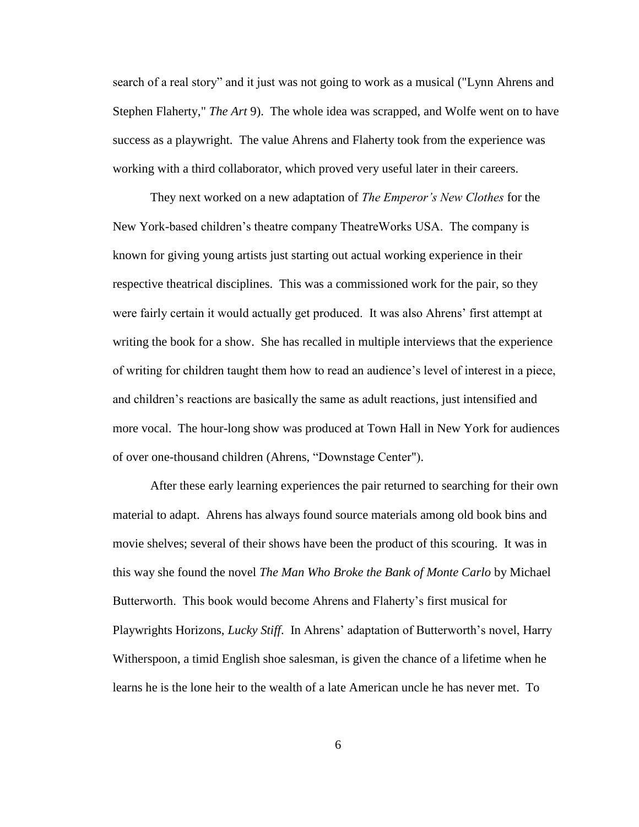search of a real story" and it just was not going to work as a musical ("Lynn Ahrens and Stephen Flaherty," *The Art* 9). The whole idea was scrapped, and Wolfe went on to have success as a playwright. The value Ahrens and Flaherty took from the experience was working with a third collaborator, which proved very useful later in their careers.

They next worked on a new adaptation of *The Emperor's New Clothes* for the New York-based children's theatre company TheatreWorks USA. The company is known for giving young artists just starting out actual working experience in their respective theatrical disciplines. This was a commissioned work for the pair, so they were fairly certain it would actually get produced. It was also Ahrens' first attempt at writing the book for a show. She has recalled in multiple interviews that the experience of writing for children taught them how to read an audience's level of interest in a piece, and children's reactions are basically the same as adult reactions, just intensified and more vocal. The hour-long show was produced at Town Hall in New York for audiences of over one-thousand children (Ahrens, "Downstage Center").

After these early learning experiences the pair returned to searching for their own material to adapt. Ahrens has always found source materials among old book bins and movie shelves; several of their shows have been the product of this scouring. It was in this way she found the novel *The Man Who Broke the Bank of Monte Carlo* by Michael Butterworth. This book would become Ahrens and Flaherty's first musical for Playwrights Horizons, *Lucky Stiff*. In Ahrens' adaptation of Butterworth's novel, Harry Witherspoon, a timid English shoe salesman, is given the chance of a lifetime when he learns he is the lone heir to the wealth of a late American uncle he has never met. To

6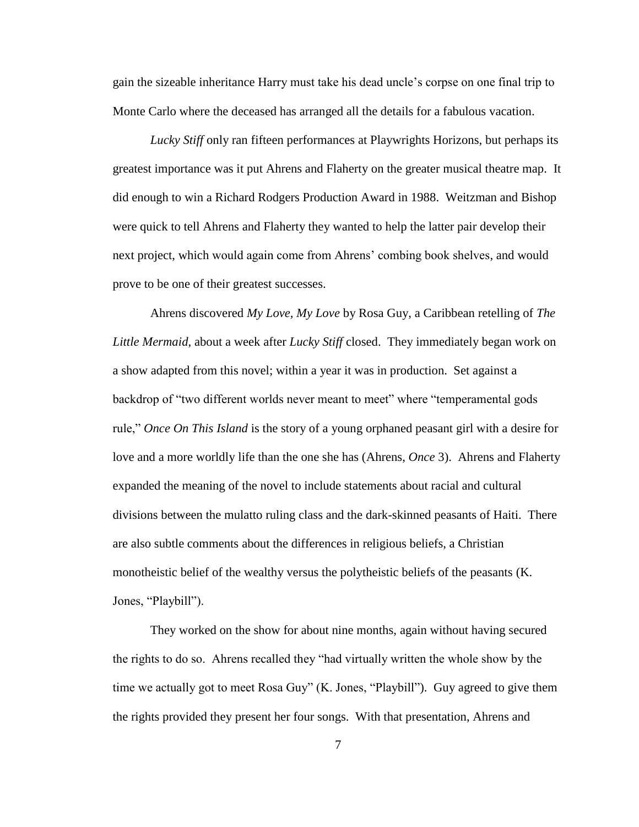gain the sizeable inheritance Harry must take his dead uncle's corpse on one final trip to Monte Carlo where the deceased has arranged all the details for a fabulous vacation.

*Lucky Stiff* only ran fifteen performances at Playwrights Horizons, but perhaps its greatest importance was it put Ahrens and Flaherty on the greater musical theatre map. It did enough to win a Richard Rodgers Production Award in 1988. Weitzman and Bishop were quick to tell Ahrens and Flaherty they wanted to help the latter pair develop their next project, which would again come from Ahrens' combing book shelves, and would prove to be one of their greatest successes.

Ahrens discovered *My Love, My Love* by Rosa Guy, a Caribbean retelling of *The Little Mermaid*, about a week after *Lucky Stiff* closed. They immediately began work on a show adapted from this novel; within a year it was in production. Set against a backdrop of "two different worlds never meant to meet" where "temperamental gods rule," *Once On This Island* is the story of a young orphaned peasant girl with a desire for love and a more worldly life than the one she has (Ahrens, *Once* 3). Ahrens and Flaherty expanded the meaning of the novel to include statements about racial and cultural divisions between the mulatto ruling class and the dark-skinned peasants of Haiti. There are also subtle comments about the differences in religious beliefs, a Christian monotheistic belief of the wealthy versus the polytheistic beliefs of the peasants (K. Jones, "Playbill").

They worked on the show for about nine months, again without having secured the rights to do so. Ahrens recalled they "had virtually written the whole show by the time we actually got to meet Rosa Guy" (K. Jones, "Playbill"). Guy agreed to give them the rights provided they present her four songs. With that presentation, Ahrens and

7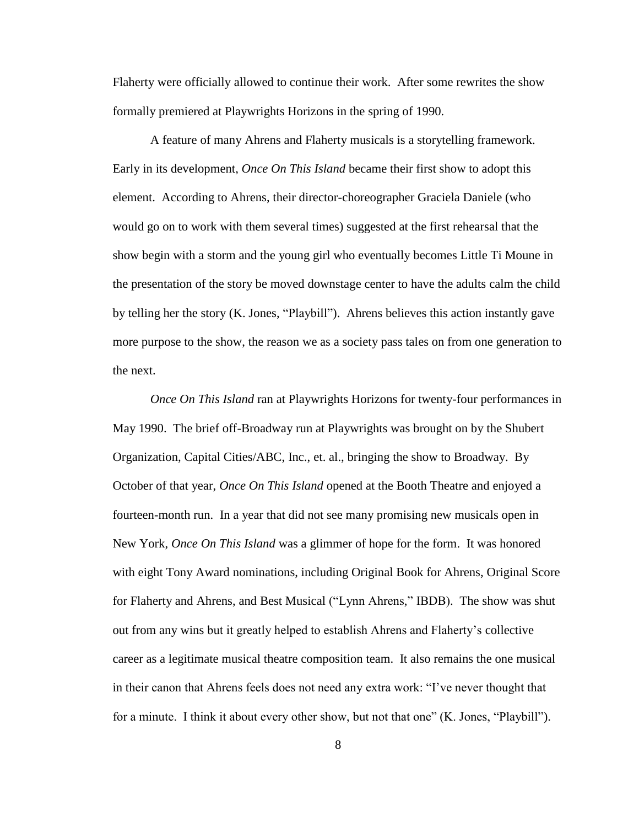Flaherty were officially allowed to continue their work. After some rewrites the show formally premiered at Playwrights Horizons in the spring of 1990.

A feature of many Ahrens and Flaherty musicals is a storytelling framework. Early in its development, *Once On This Island* became their first show to adopt this element. According to Ahrens, their director-choreographer Graciela Daniele (who would go on to work with them several times) suggested at the first rehearsal that the show begin with a storm and the young girl who eventually becomes Little Ti Moune in the presentation of the story be moved downstage center to have the adults calm the child by telling her the story (K. Jones, "Playbill"). Ahrens believes this action instantly gave more purpose to the show, the reason we as a society pass tales on from one generation to the next.

*Once On This Island* ran at Playwrights Horizons for twenty-four performances in May 1990. The brief off-Broadway run at Playwrights was brought on by the Shubert Organization, Capital Cities/ABC, Inc., et. al., bringing the show to Broadway. By October of that year, *Once On This Island* opened at the Booth Theatre and enjoyed a fourteen-month run. In a year that did not see many promising new musicals open in New York, *Once On This Island* was a glimmer of hope for the form. It was honored with eight Tony Award nominations, including Original Book for Ahrens, Original Score for Flaherty and Ahrens, and Best Musical ("Lynn Ahrens," IBDB). The show was shut out from any wins but it greatly helped to establish Ahrens and Flaherty's collective career as a legitimate musical theatre composition team. It also remains the one musical in their canon that Ahrens feels does not need any extra work: "I've never thought that for a minute. I think it about every other show, but not that one" (K. Jones, "Playbill").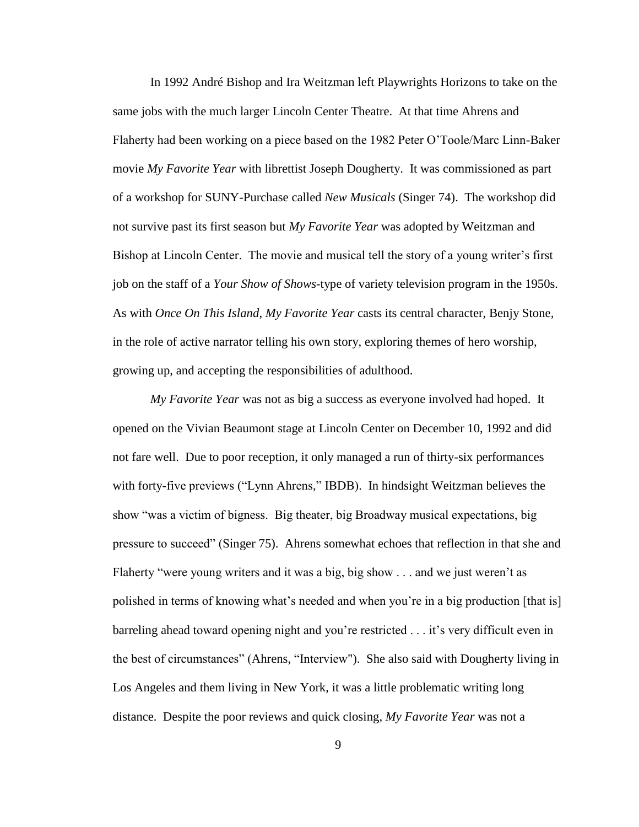In 1992 André Bishop and Ira Weitzman left Playwrights Horizons to take on the same jobs with the much larger Lincoln Center Theatre. At that time Ahrens and Flaherty had been working on a piece based on the 1982 Peter O'Toole/Marc Linn-Baker movie *My Favorite Year* with librettist Joseph Dougherty. It was commissioned as part of a workshop for SUNY-Purchase called *New Musicals* (Singer 74). The workshop did not survive past its first season but *My Favorite Year* was adopted by Weitzman and Bishop at Lincoln Center. The movie and musical tell the story of a young writer's first job on the staff of a *Your Show of Shows*-type of variety television program in the 1950s. As with *Once On This Island*, *My Favorite Year* casts its central character, Benjy Stone, in the role of active narrator telling his own story, exploring themes of hero worship, growing up, and accepting the responsibilities of adulthood.

*My Favorite Year* was not as big a success as everyone involved had hoped. It opened on the Vivian Beaumont stage at Lincoln Center on December 10, 1992 and did not fare well. Due to poor reception, it only managed a run of thirty-six performances with forty-five previews ("Lynn Ahrens," IBDB). In hindsight Weitzman believes the show "was a victim of bigness. Big theater, big Broadway musical expectations, big pressure to succeed" (Singer 75). Ahrens somewhat echoes that reflection in that she and Flaherty "were young writers and it was a big, big show . . . and we just weren't as polished in terms of knowing what's needed and when you're in a big production [that is] barreling ahead toward opening night and you're restricted . . . it's very difficult even in the best of circumstances" (Ahrens, "Interview"). She also said with Dougherty living in Los Angeles and them living in New York, it was a little problematic writing long distance. Despite the poor reviews and quick closing, *My Favorite Year* was not a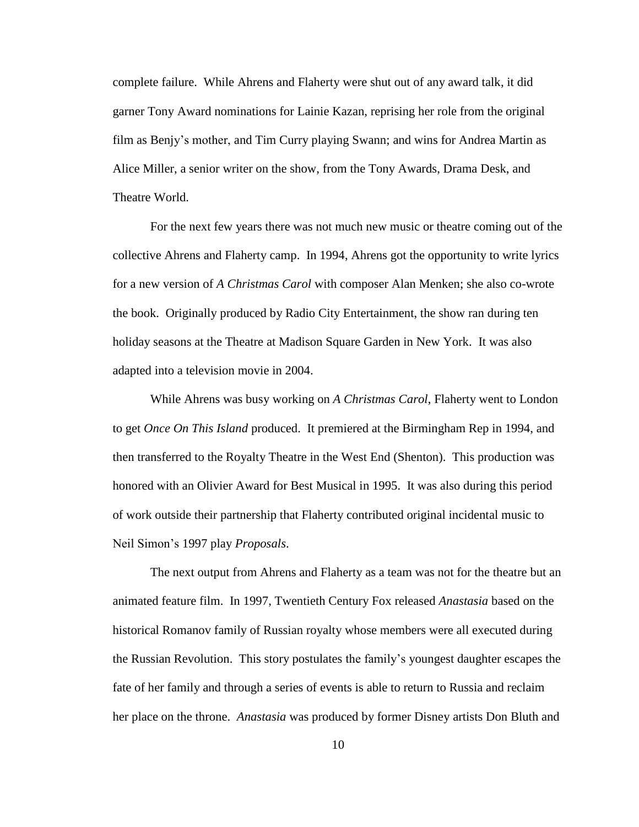complete failure. While Ahrens and Flaherty were shut out of any award talk, it did garner Tony Award nominations for Lainie Kazan, reprising her role from the original film as Benjy's mother, and Tim Curry playing Swann; and wins for Andrea Martin as Alice Miller, a senior writer on the show, from the Tony Awards, Drama Desk, and Theatre World.

For the next few years there was not much new music or theatre coming out of the collective Ahrens and Flaherty camp. In 1994, Ahrens got the opportunity to write lyrics for a new version of *A Christmas Carol* with composer Alan Menken; she also co-wrote the book. Originally produced by Radio City Entertainment, the show ran during ten holiday seasons at the Theatre at Madison Square Garden in New York. It was also adapted into a television movie in 2004.

While Ahrens was busy working on *A Christmas Carol*, Flaherty went to London to get *Once On This Island* produced. It premiered at the Birmingham Rep in 1994, and then transferred to the Royalty Theatre in the West End (Shenton). This production was honored with an Olivier Award for Best Musical in 1995. It was also during this period of work outside their partnership that Flaherty contributed original incidental music to Neil Simon's 1997 play *Proposals*.

The next output from Ahrens and Flaherty as a team was not for the theatre but an animated feature film. In 1997, Twentieth Century Fox released *Anastasia* based on the historical Romanov family of Russian royalty whose members were all executed during the Russian Revolution. This story postulates the family's youngest daughter escapes the fate of her family and through a series of events is able to return to Russia and reclaim her place on the throne. *Anastasia* was produced by former Disney artists Don Bluth and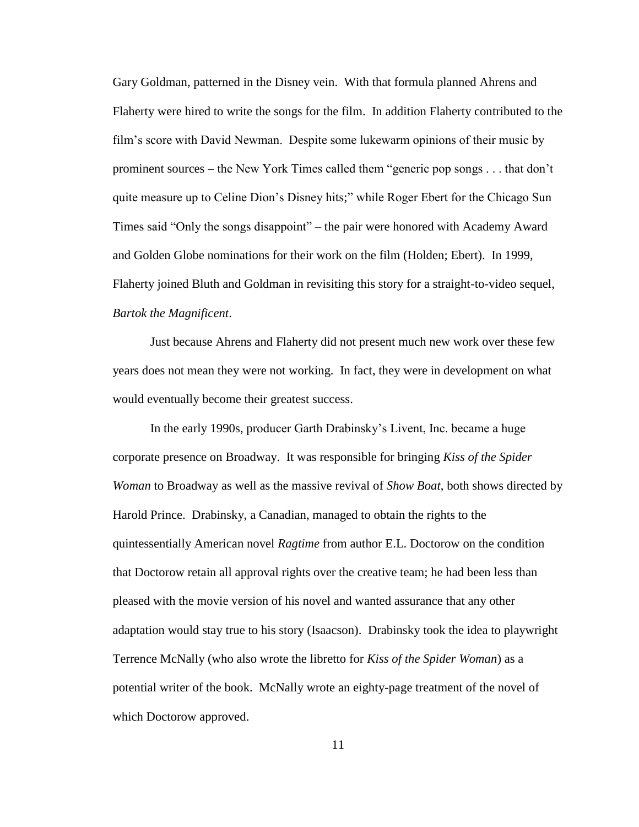Gary Goldman, patterned in the Disney vein. With that formula planned Ahrens and Flaherty were hired to write the songs for the film. In addition Flaherty contributed to the film's score with David Newman. Despite some lukewarm opinions of their music by prominent sources – the New York Times called them "generic pop songs . . . that don't quite measure up to Celine Dion's Disney hits;" while Roger Ebert for the Chicago Sun Times said "Only the songs disappoint" – the pair were honored with Academy Award and Golden Globe nominations for their work on the film (Holden; Ebert). In 1999, Flaherty joined Bluth and Goldman in revisiting this story for a straight-to-video sequel, *Bartok the Magnificent*.

Just because Ahrens and Flaherty did not present much new work over these few years does not mean they were not working. In fact, they were in development on what would eventually become their greatest success.

In the early 1990s, producer Garth Drabinsky's Livent, Inc. became a huge corporate presence on Broadway. It was responsible for bringing *Kiss of the Spider Woman* to Broadway as well as the massive revival of *Show Boat*, both shows directed by Harold Prince. Drabinsky, a Canadian, managed to obtain the rights to the quintessentially American novel *Ragtime* from author E.L. Doctorow on the condition that Doctorow retain all approval rights over the creative team; he had been less than pleased with the movie version of his novel and wanted assurance that any other adaptation would stay true to his story (Isaacson). Drabinsky took the idea to playwright Terrence McNally (who also wrote the libretto for *Kiss of the Spider Woman*) as a potential writer of the book. McNally wrote an eighty-page treatment of the novel of which Doctorow approved.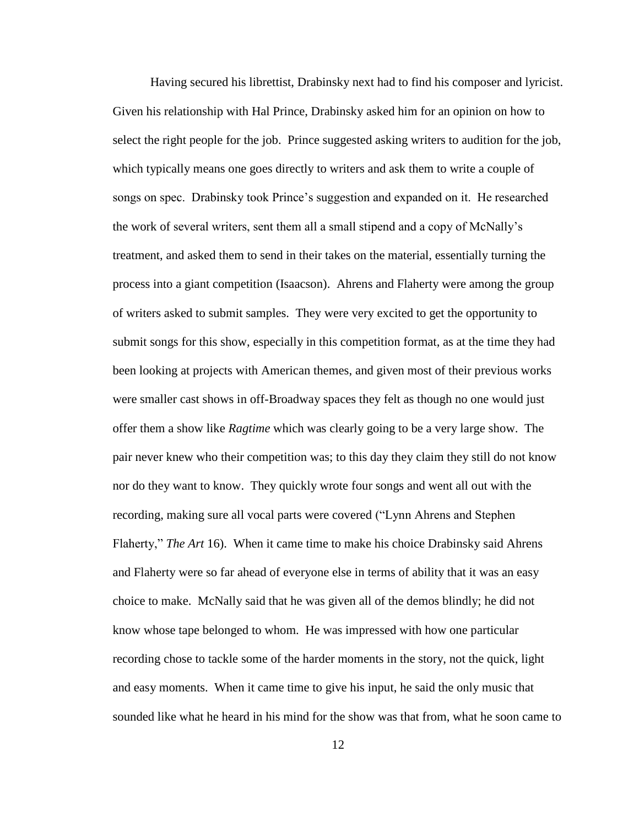Having secured his librettist, Drabinsky next had to find his composer and lyricist. Given his relationship with Hal Prince, Drabinsky asked him for an opinion on how to select the right people for the job. Prince suggested asking writers to audition for the job, which typically means one goes directly to writers and ask them to write a couple of songs on spec. Drabinsky took Prince's suggestion and expanded on it. He researched the work of several writers, sent them all a small stipend and a copy of McNally's treatment, and asked them to send in their takes on the material, essentially turning the process into a giant competition (Isaacson). Ahrens and Flaherty were among the group of writers asked to submit samples. They were very excited to get the opportunity to submit songs for this show, especially in this competition format, as at the time they had been looking at projects with American themes, and given most of their previous works were smaller cast shows in off-Broadway spaces they felt as though no one would just offer them a show like *Ragtime* which was clearly going to be a very large show. The pair never knew who their competition was; to this day they claim they still do not know nor do they want to know. They quickly wrote four songs and went all out with the recording, making sure all vocal parts were covered ("Lynn Ahrens and Stephen Flaherty," *The Art* 16). When it came time to make his choice Drabinsky said Ahrens and Flaherty were so far ahead of everyone else in terms of ability that it was an easy choice to make. McNally said that he was given all of the demos blindly; he did not know whose tape belonged to whom. He was impressed with how one particular recording chose to tackle some of the harder moments in the story, not the quick, light and easy moments. When it came time to give his input, he said the only music that sounded like what he heard in his mind for the show was that from, what he soon came to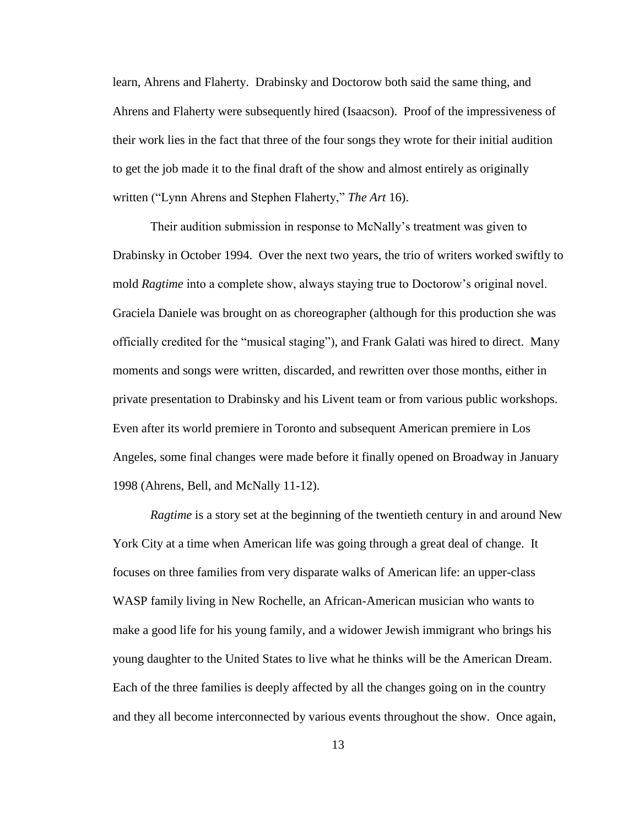learn, Ahrens and Flaherty. Drabinsky and Doctorow both said the same thing, and Ahrens and Flaherty were subsequently hired (Isaacson). Proof of the impressiveness of their work lies in the fact that three of the four songs they wrote for their initial audition to get the job made it to the final draft of the show and almost entirely as originally written ("Lynn Ahrens and Stephen Flaherty," *The Art* 16).

Their audition submission in response to McNally's treatment was given to Drabinsky in October 1994. Over the next two years, the trio of writers worked swiftly to mold *Ragtime* into a complete show, always staying true to Doctorow's original novel. Graciela Daniele was brought on as choreographer (although for this production she was officially credited for the "musical staging"), and Frank Galati was hired to direct. Many moments and songs were written, discarded, and rewritten over those months, either in private presentation to Drabinsky and his Livent team or from various public workshops. Even after its world premiere in Toronto and subsequent American premiere in Los Angeles, some final changes were made before it finally opened on Broadway in January 1998 (Ahrens, Bell, and McNally 11-12).

*Ragtime* is a story set at the beginning of the twentieth century in and around New York City at a time when American life was going through a great deal of change. It focuses on three families from very disparate walks of American life: an upper-class WASP family living in New Rochelle, an African-American musician who wants to make a good life for his young family, and a widower Jewish immigrant who brings his young daughter to the United States to live what he thinks will be the American Dream. Each of the three families is deeply affected by all the changes going on in the country and they all become interconnected by various events throughout the show. Once again,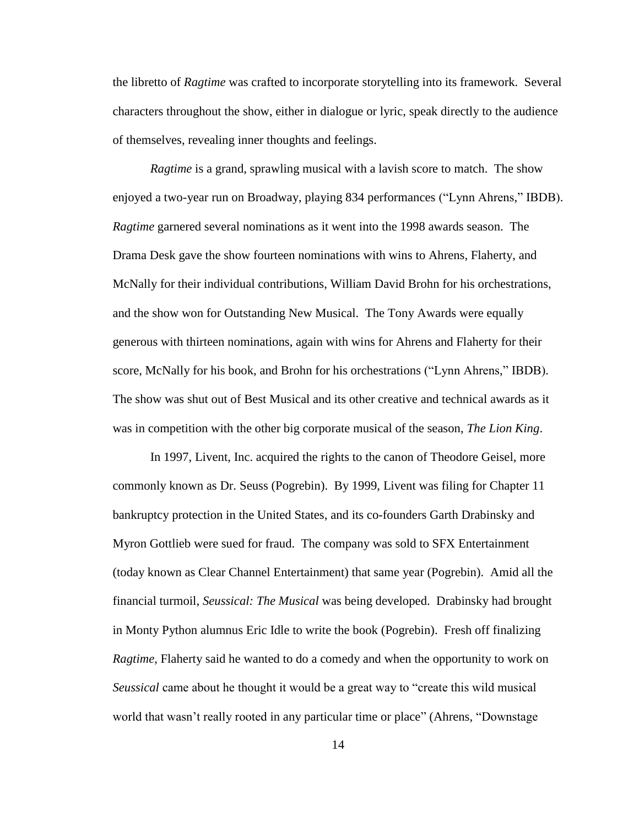the libretto of *Ragtime* was crafted to incorporate storytelling into its framework. Several characters throughout the show, either in dialogue or lyric, speak directly to the audience of themselves, revealing inner thoughts and feelings.

*Ragtime* is a grand, sprawling musical with a lavish score to match. The show enjoyed a two-year run on Broadway, playing 834 performances ("Lynn Ahrens," IBDB). *Ragtime* garnered several nominations as it went into the 1998 awards season. The Drama Desk gave the show fourteen nominations with wins to Ahrens, Flaherty, and McNally for their individual contributions, William David Brohn for his orchestrations, and the show won for Outstanding New Musical. The Tony Awards were equally generous with thirteen nominations, again with wins for Ahrens and Flaherty for their score, McNally for his book, and Brohn for his orchestrations ("Lynn Ahrens," IBDB). The show was shut out of Best Musical and its other creative and technical awards as it was in competition with the other big corporate musical of the season, *The Lion King*.

In 1997, Livent, Inc. acquired the rights to the canon of Theodore Geisel, more commonly known as Dr. Seuss (Pogrebin). By 1999, Livent was filing for Chapter 11 bankruptcy protection in the United States, and its co-founders Garth Drabinsky and Myron Gottlieb were sued for fraud. The company was sold to SFX Entertainment (today known as Clear Channel Entertainment) that same year (Pogrebin). Amid all the financial turmoil, *Seussical: The Musical* was being developed. Drabinsky had brought in Monty Python alumnus Eric Idle to write the book (Pogrebin). Fresh off finalizing *Ragtime*, Flaherty said he wanted to do a comedy and when the opportunity to work on *Seussical* came about he thought it would be a great way to "create this wild musical world that wasn't really rooted in any particular time or place" (Ahrens, "Downstage

14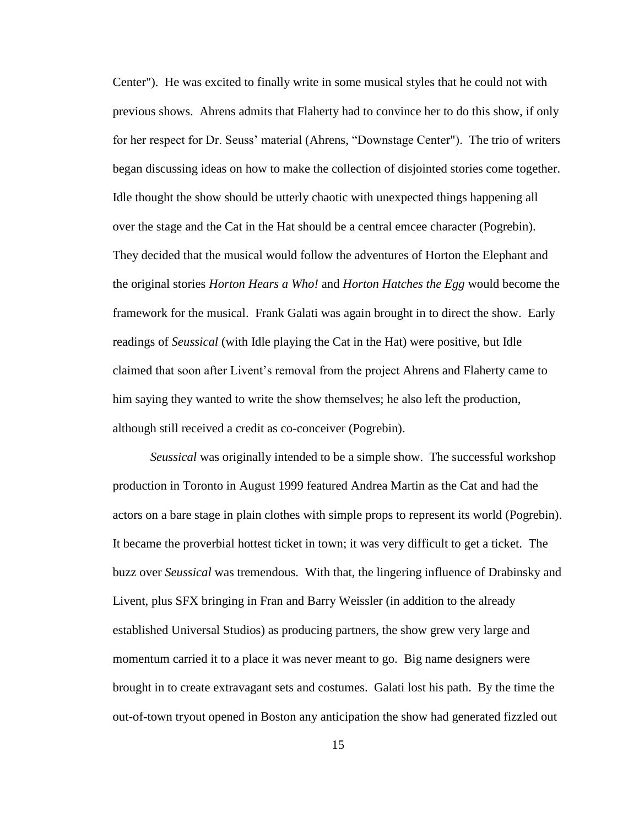Center"). He was excited to finally write in some musical styles that he could not with previous shows. Ahrens admits that Flaherty had to convince her to do this show, if only for her respect for Dr. Seuss' material (Ahrens, "Downstage Center"). The trio of writers began discussing ideas on how to make the collection of disjointed stories come together. Idle thought the show should be utterly chaotic with unexpected things happening all over the stage and the Cat in the Hat should be a central emcee character (Pogrebin). They decided that the musical would follow the adventures of Horton the Elephant and the original stories *Horton Hears a Who!* and *Horton Hatches the Egg* would become the framework for the musical. Frank Galati was again brought in to direct the show. Early readings of *Seussical* (with Idle playing the Cat in the Hat) were positive, but Idle claimed that soon after Livent's removal from the project Ahrens and Flaherty came to him saying they wanted to write the show themselves; he also left the production, although still received a credit as co-conceiver (Pogrebin).

*Seussical* was originally intended to be a simple show. The successful workshop production in Toronto in August 1999 featured Andrea Martin as the Cat and had the actors on a bare stage in plain clothes with simple props to represent its world (Pogrebin). It became the proverbial hottest ticket in town; it was very difficult to get a ticket. The buzz over *Seussical* was tremendous. With that, the lingering influence of Drabinsky and Livent, plus SFX bringing in Fran and Barry Weissler (in addition to the already established Universal Studios) as producing partners, the show grew very large and momentum carried it to a place it was never meant to go. Big name designers were brought in to create extravagant sets and costumes. Galati lost his path. By the time the out-of-town tryout opened in Boston any anticipation the show had generated fizzled out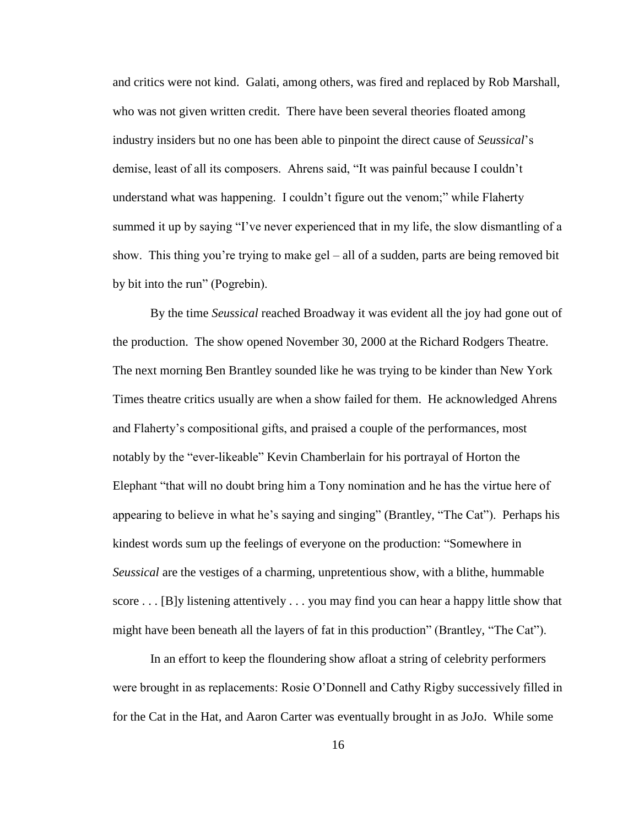and critics were not kind. Galati, among others, was fired and replaced by Rob Marshall, who was not given written credit. There have been several theories floated among industry insiders but no one has been able to pinpoint the direct cause of *Seussical*'s demise, least of all its composers. Ahrens said, "It was painful because I couldn't understand what was happening. I couldn't figure out the venom;" while Flaherty summed it up by saying "I've never experienced that in my life, the slow dismantling of a show. This thing you're trying to make gel – all of a sudden, parts are being removed bit by bit into the run" (Pogrebin).

By the time *Seussical* reached Broadway it was evident all the joy had gone out of the production. The show opened November 30, 2000 at the Richard Rodgers Theatre. The next morning Ben Brantley sounded like he was trying to be kinder than New York Times theatre critics usually are when a show failed for them. He acknowledged Ahrens and Flaherty's compositional gifts, and praised a couple of the performances, most notably by the "ever-likeable" Kevin Chamberlain for his portrayal of Horton the Elephant "that will no doubt bring him a Tony nomination and he has the virtue here of appearing to believe in what he's saying and singing" (Brantley, "The Cat"). Perhaps his kindest words sum up the feelings of everyone on the production: "Somewhere in *Seussical* are the vestiges of a charming, unpretentious show, with a blithe, hummable score  $\dots$  [B]y listening attentively  $\dots$  you may find you can hear a happy little show that might have been beneath all the layers of fat in this production" (Brantley, "The Cat").

In an effort to keep the floundering show afloat a string of celebrity performers were brought in as replacements: Rosie O'Donnell and Cathy Rigby successively filled in for the Cat in the Hat, and Aaron Carter was eventually brought in as JoJo. While some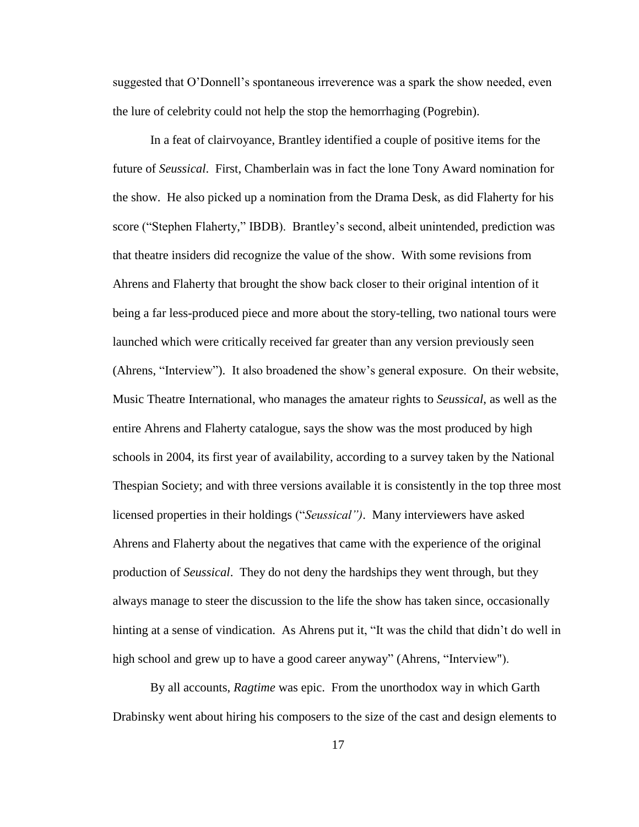suggested that O'Donnell's spontaneous irreverence was a spark the show needed, even the lure of celebrity could not help the stop the hemorrhaging (Pogrebin).

In a feat of clairvoyance, Brantley identified a couple of positive items for the future of *Seussical*. First, Chamberlain was in fact the lone Tony Award nomination for the show. He also picked up a nomination from the Drama Desk, as did Flaherty for his score ("Stephen Flaherty," IBDB). Brantley's second, albeit unintended, prediction was that theatre insiders did recognize the value of the show. With some revisions from Ahrens and Flaherty that brought the show back closer to their original intention of it being a far less-produced piece and more about the story-telling, two national tours were launched which were critically received far greater than any version previously seen (Ahrens, "Interview"). It also broadened the show's general exposure. On their website, Music Theatre International, who manages the amateur rights to *Seussical*, as well as the entire Ahrens and Flaherty catalogue, says the show was the most produced by high schools in 2004, its first year of availability, according to a survey taken by the National Thespian Society; and with three versions available it is consistently in the top three most licensed properties in their holdings ("*Seussical")*. Many interviewers have asked Ahrens and Flaherty about the negatives that came with the experience of the original production of *Seussical*. They do not deny the hardships they went through, but they always manage to steer the discussion to the life the show has taken since, occasionally hinting at a sense of vindication. As Ahrens put it, "It was the child that didn't do well in high school and grew up to have a good career anyway" (Ahrens, "Interview").

By all accounts, *Ragtime* was epic. From the unorthodox way in which Garth Drabinsky went about hiring his composers to the size of the cast and design elements to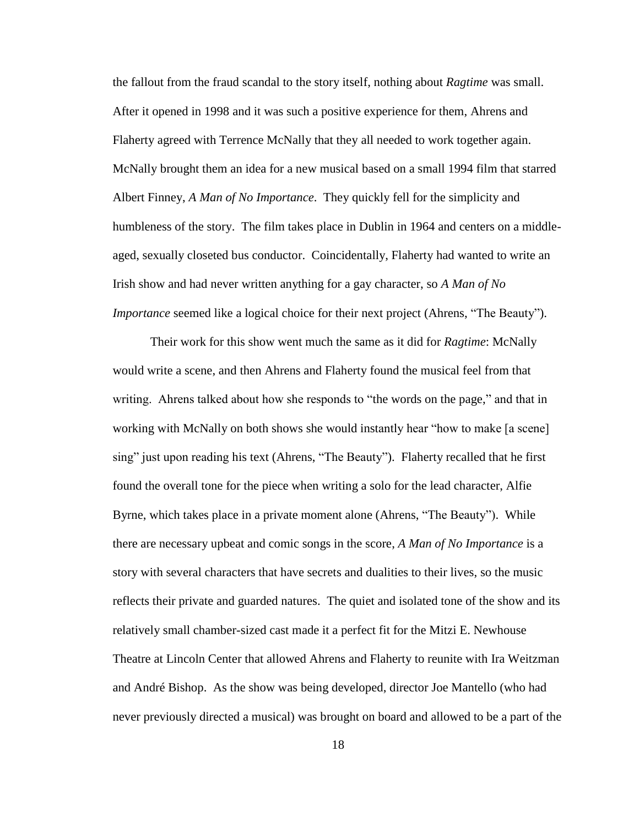the fallout from the fraud scandal to the story itself, nothing about *Ragtime* was small. After it opened in 1998 and it was such a positive experience for them, Ahrens and Flaherty agreed with Terrence McNally that they all needed to work together again. McNally brought them an idea for a new musical based on a small 1994 film that starred Albert Finney, *A Man of No Importance*. They quickly fell for the simplicity and humbleness of the story. The film takes place in Dublin in 1964 and centers on a middleaged, sexually closeted bus conductor. Coincidentally, Flaherty had wanted to write an Irish show and had never written anything for a gay character, so *A Man of No Importance* seemed like a logical choice for their next project (Ahrens, "The Beauty").

Their work for this show went much the same as it did for *Ragtime*: McNally would write a scene, and then Ahrens and Flaherty found the musical feel from that writing. Ahrens talked about how she responds to "the words on the page," and that in working with McNally on both shows she would instantly hear "how to make [a scene] sing" just upon reading his text (Ahrens, "The Beauty"). Flaherty recalled that he first found the overall tone for the piece when writing a solo for the lead character, Alfie Byrne, which takes place in a private moment alone (Ahrens, "The Beauty"). While there are necessary upbeat and comic songs in the score, *A Man of No Importance* is a story with several characters that have secrets and dualities to their lives, so the music reflects their private and guarded natures. The quiet and isolated tone of the show and its relatively small chamber-sized cast made it a perfect fit for the Mitzi E. Newhouse Theatre at Lincoln Center that allowed Ahrens and Flaherty to reunite with Ira Weitzman and André Bishop. As the show was being developed, director Joe Mantello (who had never previously directed a musical) was brought on board and allowed to be a part of the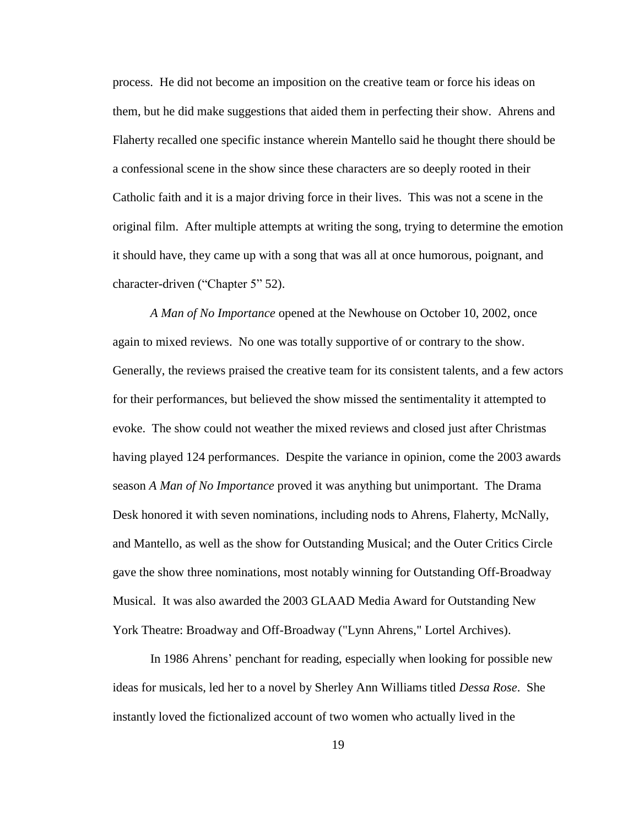process. He did not become an imposition on the creative team or force his ideas on them, but he did make suggestions that aided them in perfecting their show. Ahrens and Flaherty recalled one specific instance wherein Mantello said he thought there should be a confessional scene in the show since these characters are so deeply rooted in their Catholic faith and it is a major driving force in their lives. This was not a scene in the original film. After multiple attempts at writing the song, trying to determine the emotion it should have, they came up with a song that was all at once humorous, poignant, and character-driven ("Chapter 5" 52).

*A Man of No Importance* opened at the Newhouse on October 10, 2002, once again to mixed reviews. No one was totally supportive of or contrary to the show. Generally, the reviews praised the creative team for its consistent talents, and a few actors for their performances, but believed the show missed the sentimentality it attempted to evoke. The show could not weather the mixed reviews and closed just after Christmas having played 124 performances. Despite the variance in opinion, come the 2003 awards season *A Man of No Importance* proved it was anything but unimportant. The Drama Desk honored it with seven nominations, including nods to Ahrens, Flaherty, McNally, and Mantello, as well as the show for Outstanding Musical; and the Outer Critics Circle gave the show three nominations, most notably winning for Outstanding Off-Broadway Musical. It was also awarded the 2003 GLAAD Media Award for Outstanding New York Theatre: Broadway and Off-Broadway ("Lynn Ahrens," Lortel Archives).

In 1986 Ahrens' penchant for reading, especially when looking for possible new ideas for musicals, led her to a novel by Sherley Ann Williams titled *Dessa Rose*. She instantly loved the fictionalized account of two women who actually lived in the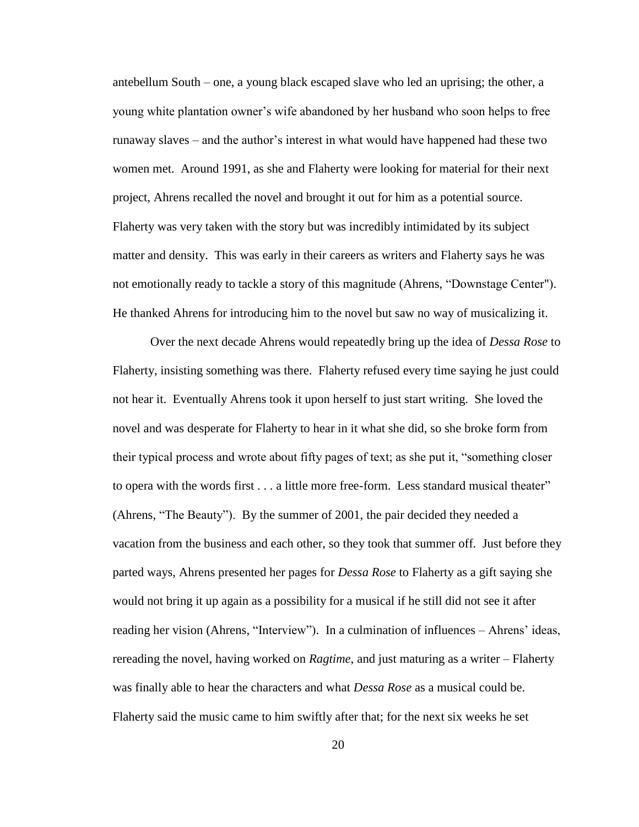antebellum South – one, a young black escaped slave who led an uprising; the other, a young white plantation owner's wife abandoned by her husband who soon helps to free runaway slaves – and the author's interest in what would have happened had these two women met. Around 1991, as she and Flaherty were looking for material for their next project, Ahrens recalled the novel and brought it out for him as a potential source. Flaherty was very taken with the story but was incredibly intimidated by its subject matter and density. This was early in their careers as writers and Flaherty says he was not emotionally ready to tackle a story of this magnitude (Ahrens, "Downstage Center"). He thanked Ahrens for introducing him to the novel but saw no way of musicalizing it.

Over the next decade Ahrens would repeatedly bring up the idea of *Dessa Rose* to Flaherty, insisting something was there. Flaherty refused every time saying he just could not hear it. Eventually Ahrens took it upon herself to just start writing. She loved the novel and was desperate for Flaherty to hear in it what she did, so she broke form from their typical process and wrote about fifty pages of text; as she put it, "something closer to opera with the words first . . . a little more free-form. Less standard musical theater" (Ahrens, "The Beauty"). By the summer of 2001, the pair decided they needed a vacation from the business and each other, so they took that summer off. Just before they parted ways, Ahrens presented her pages for *Dessa Rose* to Flaherty as a gift saying she would not bring it up again as a possibility for a musical if he still did not see it after reading her vision (Ahrens, "Interview"). In a culmination of influences – Ahrens' ideas, rereading the novel, having worked on *Ragtime*, and just maturing as a writer – Flaherty was finally able to hear the characters and what *Dessa Rose* as a musical could be. Flaherty said the music came to him swiftly after that; for the next six weeks he set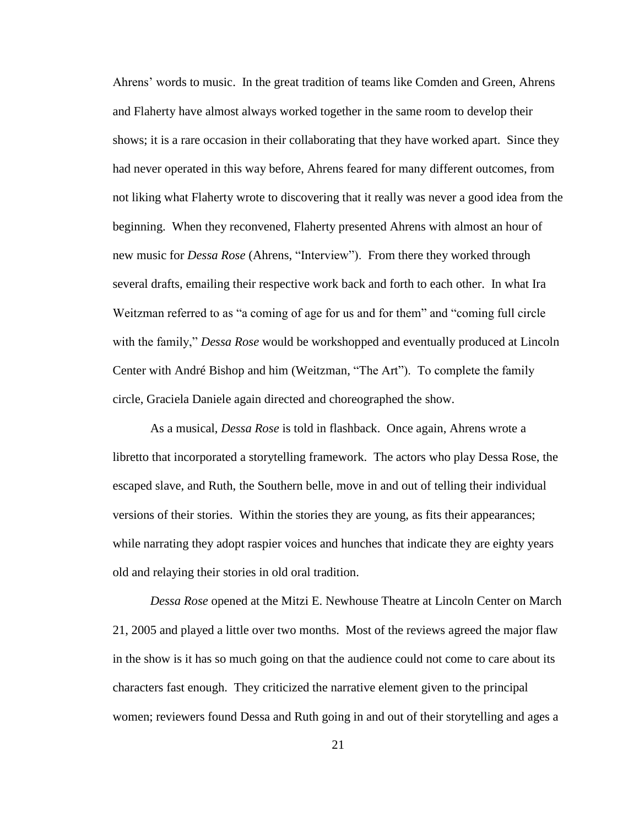Ahrens' words to music. In the great tradition of teams like Comden and Green, Ahrens and Flaherty have almost always worked together in the same room to develop their shows; it is a rare occasion in their collaborating that they have worked apart. Since they had never operated in this way before, Ahrens feared for many different outcomes, from not liking what Flaherty wrote to discovering that it really was never a good idea from the beginning. When they reconvened, Flaherty presented Ahrens with almost an hour of new music for *Dessa Rose* (Ahrens, "Interview"). From there they worked through several drafts, emailing their respective work back and forth to each other. In what Ira Weitzman referred to as "a coming of age for us and for them" and "coming full circle with the family," *Dessa Rose* would be workshopped and eventually produced at Lincoln Center with André Bishop and him (Weitzman, "The Art"). To complete the family circle, Graciela Daniele again directed and choreographed the show.

As a musical, *Dessa Rose* is told in flashback. Once again, Ahrens wrote a libretto that incorporated a storytelling framework. The actors who play Dessa Rose, the escaped slave, and Ruth, the Southern belle, move in and out of telling their individual versions of their stories. Within the stories they are young, as fits their appearances; while narrating they adopt raspier voices and hunches that indicate they are eighty years old and relaying their stories in old oral tradition.

*Dessa Rose* opened at the Mitzi E. Newhouse Theatre at Lincoln Center on March 21, 2005 and played a little over two months. Most of the reviews agreed the major flaw in the show is it has so much going on that the audience could not come to care about its characters fast enough. They criticized the narrative element given to the principal women; reviewers found Dessa and Ruth going in and out of their storytelling and ages a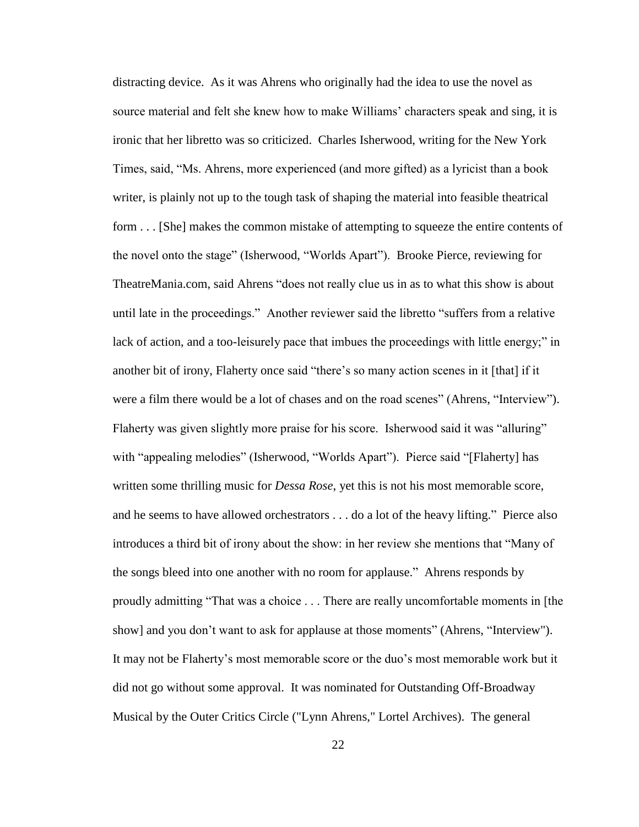distracting device. As it was Ahrens who originally had the idea to use the novel as source material and felt she knew how to make Williams' characters speak and sing, it is ironic that her libretto was so criticized. Charles Isherwood, writing for the New York Times, said, "Ms. Ahrens, more experienced (and more gifted) as a lyricist than a book writer, is plainly not up to the tough task of shaping the material into feasible theatrical form . . . [She] makes the common mistake of attempting to squeeze the entire contents of the novel onto the stage" (Isherwood, "Worlds Apart"). Brooke Pierce, reviewing for TheatreMania.com, said Ahrens "does not really clue us in as to what this show is about until late in the proceedings." Another reviewer said the libretto "suffers from a relative lack of action, and a too-leisurely pace that imbues the proceedings with little energy;" in another bit of irony, Flaherty once said "there's so many action scenes in it [that] if it were a film there would be a lot of chases and on the road scenes" (Ahrens, "Interview"). Flaherty was given slightly more praise for his score. Isherwood said it was "alluring" with "appealing melodies" (Isherwood, "Worlds Apart"). Pierce said "[Flaherty] has written some thrilling music for *Dessa Rose*, yet this is not his most memorable score, and he seems to have allowed orchestrators . . . do a lot of the heavy lifting." Pierce also introduces a third bit of irony about the show: in her review she mentions that "Many of the songs bleed into one another with no room for applause." Ahrens responds by proudly admitting "That was a choice . . . There are really uncomfortable moments in [the show] and you don't want to ask for applause at those moments" (Ahrens, "Interview"). It may not be Flaherty's most memorable score or the duo's most memorable work but it did not go without some approval. It was nominated for Outstanding Off-Broadway Musical by the Outer Critics Circle ("Lynn Ahrens," Lortel Archives). The general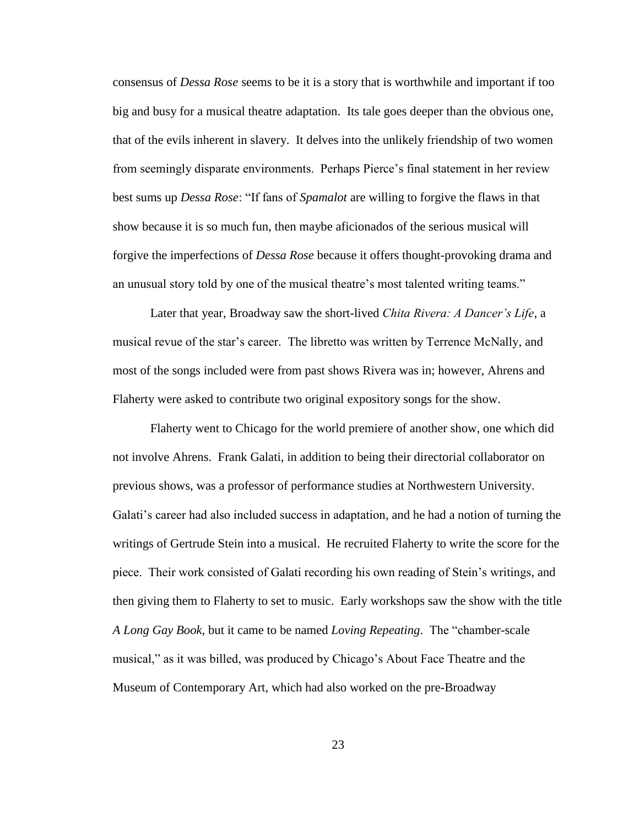consensus of *Dessa Rose* seems to be it is a story that is worthwhile and important if too big and busy for a musical theatre adaptation. Its tale goes deeper than the obvious one, that of the evils inherent in slavery. It delves into the unlikely friendship of two women from seemingly disparate environments. Perhaps Pierce's final statement in her review best sums up *Dessa Rose*: "If fans of *Spamalot* are willing to forgive the flaws in that show because it is so much fun, then maybe aficionados of the serious musical will forgive the imperfections of *Dessa Rose* because it offers thought-provoking drama and an unusual story told by one of the musical theatre's most talented writing teams."

Later that year, Broadway saw the short-lived *Chita Rivera: A Dancer's Life*, a musical revue of the star's career. The libretto was written by Terrence McNally, and most of the songs included were from past shows Rivera was in; however, Ahrens and Flaherty were asked to contribute two original expository songs for the show.

Flaherty went to Chicago for the world premiere of another show, one which did not involve Ahrens. Frank Galati, in addition to being their directorial collaborator on previous shows, was a professor of performance studies at Northwestern University. Galati's career had also included success in adaptation, and he had a notion of turning the writings of Gertrude Stein into a musical. He recruited Flaherty to write the score for the piece. Their work consisted of Galati recording his own reading of Stein's writings, and then giving them to Flaherty to set to music. Early workshops saw the show with the title *A Long Gay Book*, but it came to be named *Loving Repeating*. The "chamber-scale musical," as it was billed, was produced by Chicago's About Face Theatre and the Museum of Contemporary Art, which had also worked on the pre-Broadway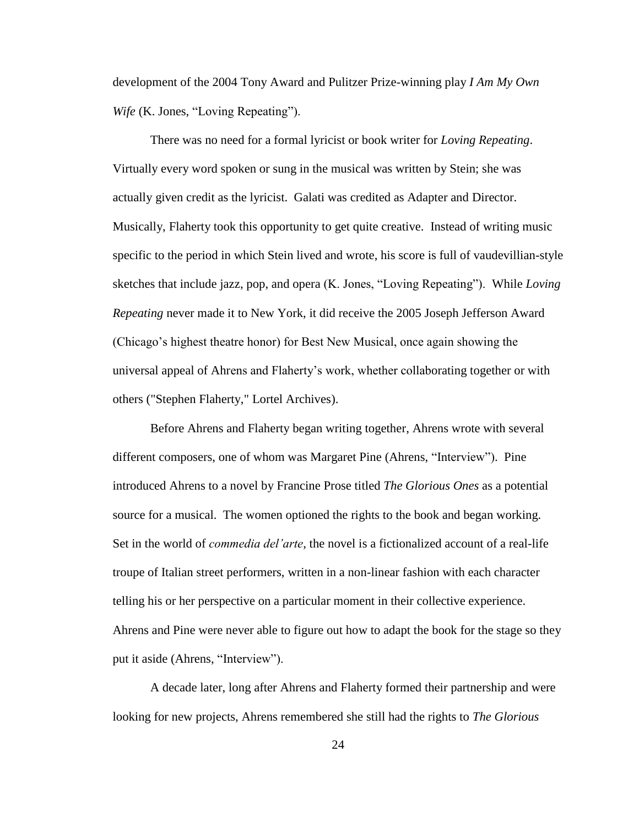development of the 2004 Tony Award and Pulitzer Prize-winning play *I Am My Own Wife* (K. Jones, "Loving Repeating").

There was no need for a formal lyricist or book writer for *Loving Repeating*. Virtually every word spoken or sung in the musical was written by Stein; she was actually given credit as the lyricist. Galati was credited as Adapter and Director. Musically, Flaherty took this opportunity to get quite creative. Instead of writing music specific to the period in which Stein lived and wrote, his score is full of vaudevillian-style sketches that include jazz, pop, and opera (K. Jones, "Loving Repeating"). While *Loving Repeating* never made it to New York, it did receive the 2005 Joseph Jefferson Award (Chicago's highest theatre honor) for Best New Musical, once again showing the universal appeal of Ahrens and Flaherty's work, whether collaborating together or with others ("Stephen Flaherty," Lortel Archives).

Before Ahrens and Flaherty began writing together, Ahrens wrote with several different composers, one of whom was Margaret Pine (Ahrens, "Interview"). Pine introduced Ahrens to a novel by Francine Prose titled *The Glorious Ones* as a potential source for a musical. The women optioned the rights to the book and began working. Set in the world of *commedia del'arte*, the novel is a fictionalized account of a real-life troupe of Italian street performers, written in a non-linear fashion with each character telling his or her perspective on a particular moment in their collective experience. Ahrens and Pine were never able to figure out how to adapt the book for the stage so they put it aside (Ahrens, "Interview").

A decade later, long after Ahrens and Flaherty formed their partnership and were looking for new projects, Ahrens remembered she still had the rights to *The Glorious*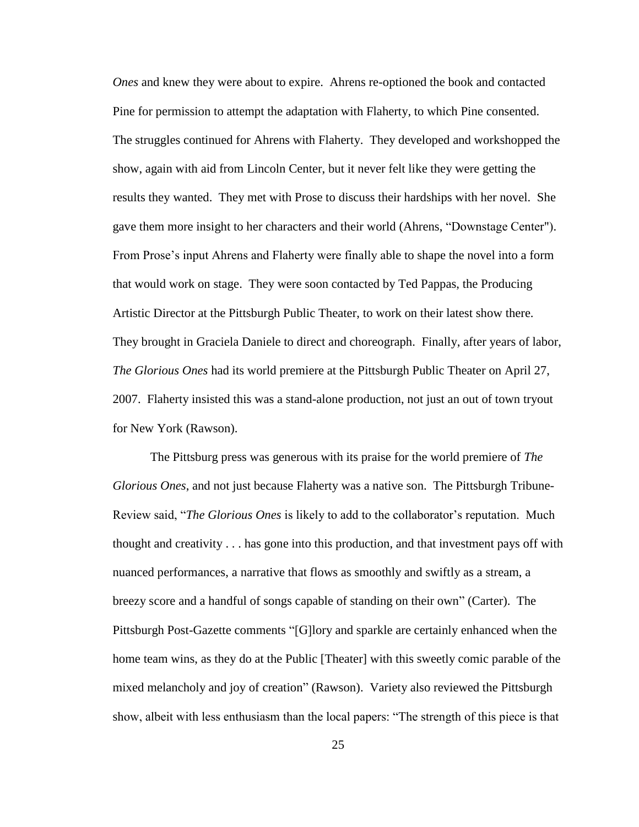*Ones* and knew they were about to expire. Ahrens re-optioned the book and contacted Pine for permission to attempt the adaptation with Flaherty, to which Pine consented. The struggles continued for Ahrens with Flaherty. They developed and workshopped the show, again with aid from Lincoln Center, but it never felt like they were getting the results they wanted. They met with Prose to discuss their hardships with her novel. She gave them more insight to her characters and their world (Ahrens, "Downstage Center"). From Prose's input Ahrens and Flaherty were finally able to shape the novel into a form that would work on stage. They were soon contacted by Ted Pappas, the Producing Artistic Director at the Pittsburgh Public Theater, to work on their latest show there. They brought in Graciela Daniele to direct and choreograph. Finally, after years of labor, *The Glorious Ones* had its world premiere at the Pittsburgh Public Theater on April 27, 2007. Flaherty insisted this was a stand-alone production, not just an out of town tryout for New York (Rawson).

The Pittsburg press was generous with its praise for the world premiere of *The Glorious Ones*, and not just because Flaherty was a native son. The Pittsburgh Tribune-Review said, "*The Glorious Ones* is likely to add to the collaborator's reputation. Much thought and creativity . . . has gone into this production, and that investment pays off with nuanced performances, a narrative that flows as smoothly and swiftly as a stream, a breezy score and a handful of songs capable of standing on their own" (Carter). The Pittsburgh Post-Gazette comments "[G]lory and sparkle are certainly enhanced when the home team wins, as they do at the Public [Theater] with this sweetly comic parable of the mixed melancholy and joy of creation" (Rawson). Variety also reviewed the Pittsburgh show, albeit with less enthusiasm than the local papers: "The strength of this piece is that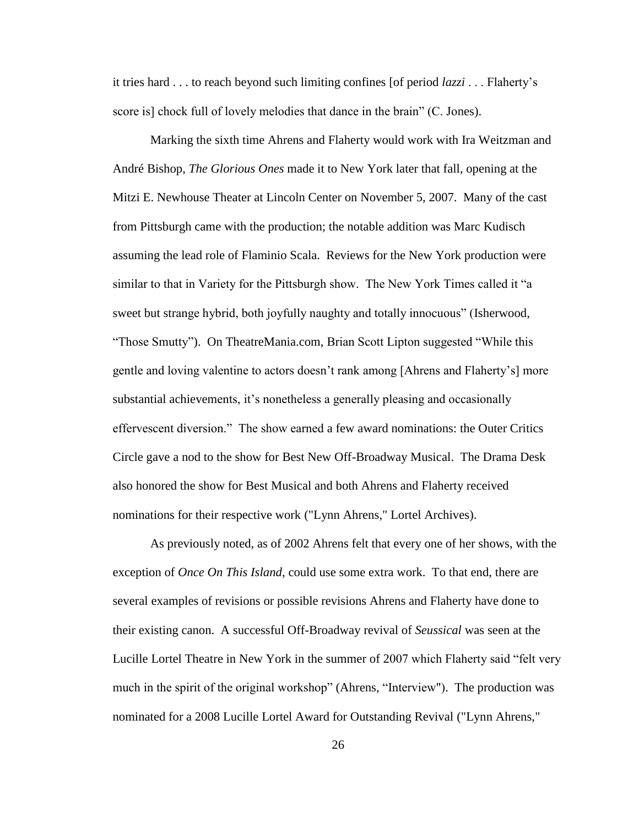it tries hard . . . to reach beyond such limiting confines [of period *lazzi* . . . Flaherty's score is] chock full of lovely melodies that dance in the brain" (C. Jones).

Marking the sixth time Ahrens and Flaherty would work with Ira Weitzman and André Bishop, *The Glorious Ones* made it to New York later that fall, opening at the Mitzi E. Newhouse Theater at Lincoln Center on November 5, 2007. Many of the cast from Pittsburgh came with the production; the notable addition was Marc Kudisch assuming the lead role of Flaminio Scala. Reviews for the New York production were similar to that in Variety for the Pittsburgh show. The New York Times called it "a sweet but strange hybrid, both joyfully naughty and totally innocuous" (Isherwood, "Those Smutty"). On TheatreMania.com, Brian Scott Lipton suggested "While this gentle and loving valentine to actors doesn't rank among [Ahrens and Flaherty's] more substantial achievements, it's nonetheless a generally pleasing and occasionally effervescent diversion." The show earned a few award nominations: the Outer Critics Circle gave a nod to the show for Best New Off-Broadway Musical. The Drama Desk also honored the show for Best Musical and both Ahrens and Flaherty received nominations for their respective work ("Lynn Ahrens," Lortel Archives).

As previously noted, as of 2002 Ahrens felt that every one of her shows, with the exception of *Once On This Island*, could use some extra work. To that end, there are several examples of revisions or possible revisions Ahrens and Flaherty have done to their existing canon. A successful Off-Broadway revival of *Seussical* was seen at the Lucille Lortel Theatre in New York in the summer of 2007 which Flaherty said "felt very much in the spirit of the original workshop" (Ahrens, "Interview"). The production was nominated for a 2008 Lucille Lortel Award for Outstanding Revival ("Lynn Ahrens,"

26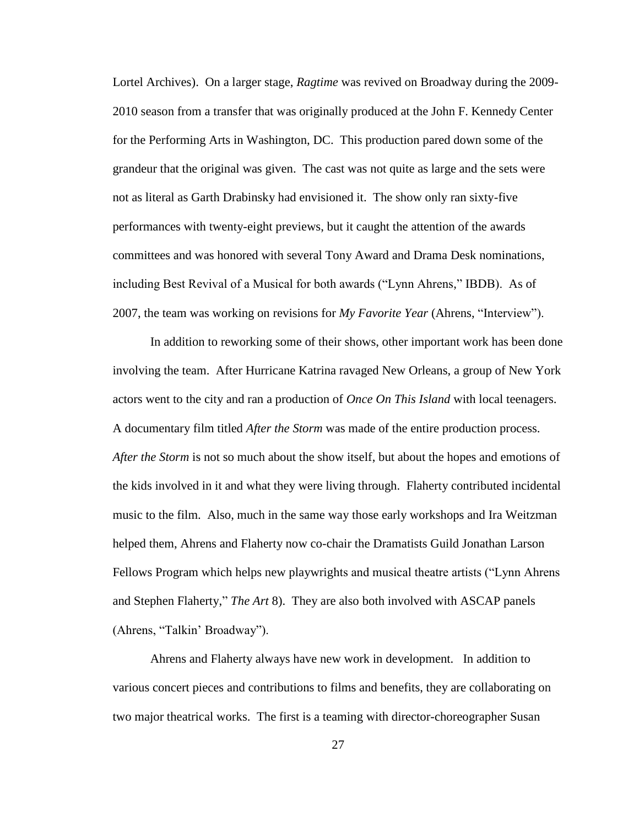Lortel Archives). On a larger stage, *Ragtime* was revived on Broadway during the 2009- 2010 season from a transfer that was originally produced at the John F. Kennedy Center for the Performing Arts in Washington, DC. This production pared down some of the grandeur that the original was given. The cast was not quite as large and the sets were not as literal as Garth Drabinsky had envisioned it. The show only ran sixty-five performances with twenty-eight previews, but it caught the attention of the awards committees and was honored with several Tony Award and Drama Desk nominations, including Best Revival of a Musical for both awards ("Lynn Ahrens," IBDB). As of 2007, the team was working on revisions for *My Favorite Year* (Ahrens, "Interview").

In addition to reworking some of their shows, other important work has been done involving the team. After Hurricane Katrina ravaged New Orleans, a group of New York actors went to the city and ran a production of *Once On This Island* with local teenagers. A documentary film titled *After the Storm* was made of the entire production process. *After the Storm* is not so much about the show itself, but about the hopes and emotions of the kids involved in it and what they were living through. Flaherty contributed incidental music to the film. Also, much in the same way those early workshops and Ira Weitzman helped them, Ahrens and Flaherty now co-chair the Dramatists Guild Jonathan Larson Fellows Program which helps new playwrights and musical theatre artists ("Lynn Ahrens and Stephen Flaherty," *The Art* 8). They are also both involved with ASCAP panels (Ahrens, "Talkin' Broadway").

Ahrens and Flaherty always have new work in development. In addition to various concert pieces and contributions to films and benefits, they are collaborating on two major theatrical works. The first is a teaming with director-choreographer Susan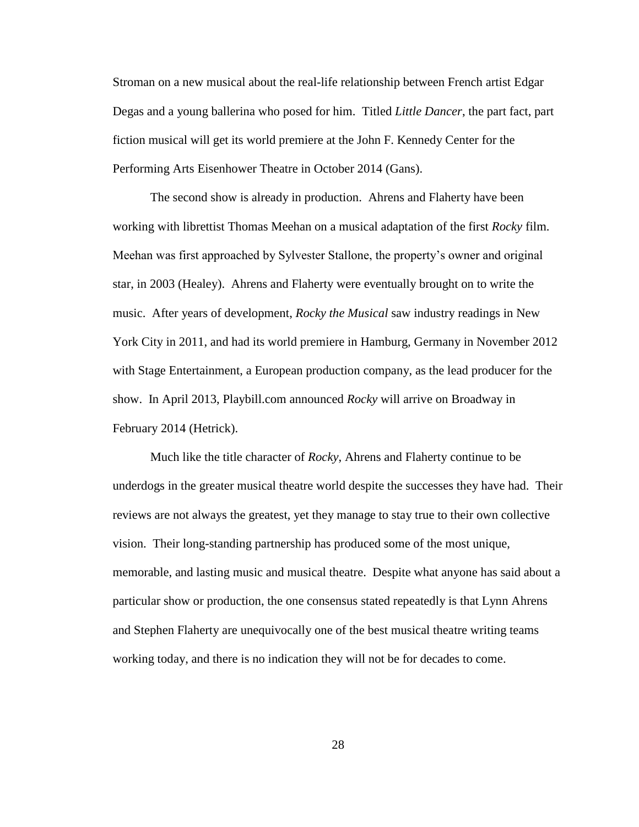Stroman on a new musical about the real-life relationship between French artist Edgar Degas and a young ballerina who posed for him. Titled *Little Dancer*, the part fact, part fiction musical will get its world premiere at the John F. Kennedy Center for the Performing Arts Eisenhower Theatre in October 2014 (Gans).

The second show is already in production. Ahrens and Flaherty have been working with librettist Thomas Meehan on a musical adaptation of the first *Rocky* film. Meehan was first approached by Sylvester Stallone, the property's owner and original star, in 2003 (Healey). Ahrens and Flaherty were eventually brought on to write the music. After years of development, *Rocky the Musical* saw industry readings in New York City in 2011, and had its world premiere in Hamburg, Germany in November 2012 with Stage Entertainment, a European production company, as the lead producer for the show. In April 2013, Playbill.com announced *Rocky* will arrive on Broadway in February 2014 (Hetrick).

Much like the title character of *Rocky*, Ahrens and Flaherty continue to be underdogs in the greater musical theatre world despite the successes they have had. Their reviews are not always the greatest, yet they manage to stay true to their own collective vision. Their long-standing partnership has produced some of the most unique, memorable, and lasting music and musical theatre. Despite what anyone has said about a particular show or production, the one consensus stated repeatedly is that Lynn Ahrens and Stephen Flaherty are unequivocally one of the best musical theatre writing teams working today, and there is no indication they will not be for decades to come.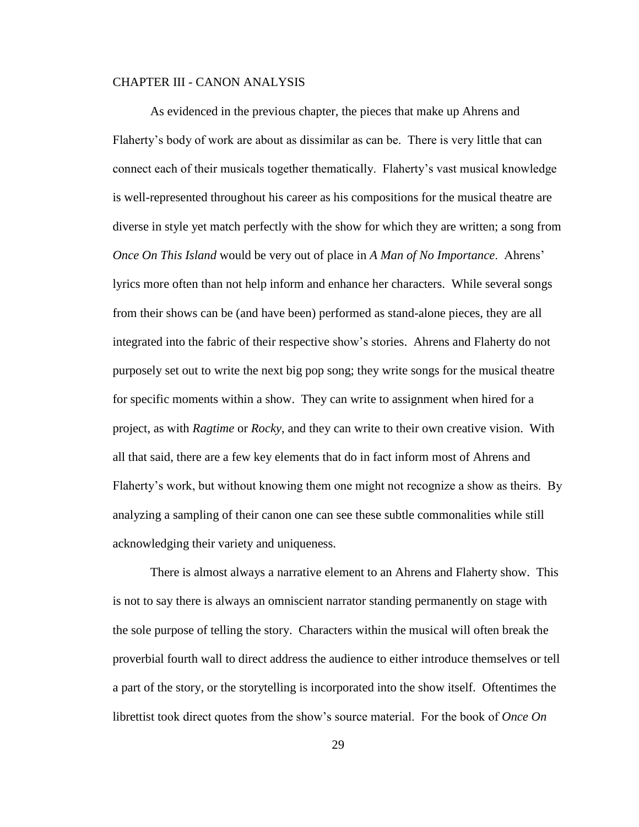### CHAPTER III - CANON ANALYSIS

As evidenced in the previous chapter, the pieces that make up Ahrens and Flaherty's body of work are about as dissimilar as can be. There is very little that can connect each of their musicals together thematically. Flaherty's vast musical knowledge is well-represented throughout his career as his compositions for the musical theatre are diverse in style yet match perfectly with the show for which they are written; a song from *Once On This Island* would be very out of place in *A Man of No Importance*. Ahrens' lyrics more often than not help inform and enhance her characters. While several songs from their shows can be (and have been) performed as stand-alone pieces, they are all integrated into the fabric of their respective show's stories. Ahrens and Flaherty do not purposely set out to write the next big pop song; they write songs for the musical theatre for specific moments within a show. They can write to assignment when hired for a project, as with *Ragtime* or *Rocky*, and they can write to their own creative vision. With all that said, there are a few key elements that do in fact inform most of Ahrens and Flaherty's work, but without knowing them one might not recognize a show as theirs. By analyzing a sampling of their canon one can see these subtle commonalities while still acknowledging their variety and uniqueness.

There is almost always a narrative element to an Ahrens and Flaherty show. This is not to say there is always an omniscient narrator standing permanently on stage with the sole purpose of telling the story. Characters within the musical will often break the proverbial fourth wall to direct address the audience to either introduce themselves or tell a part of the story, or the storytelling is incorporated into the show itself. Oftentimes the librettist took direct quotes from the show's source material. For the book of *Once On*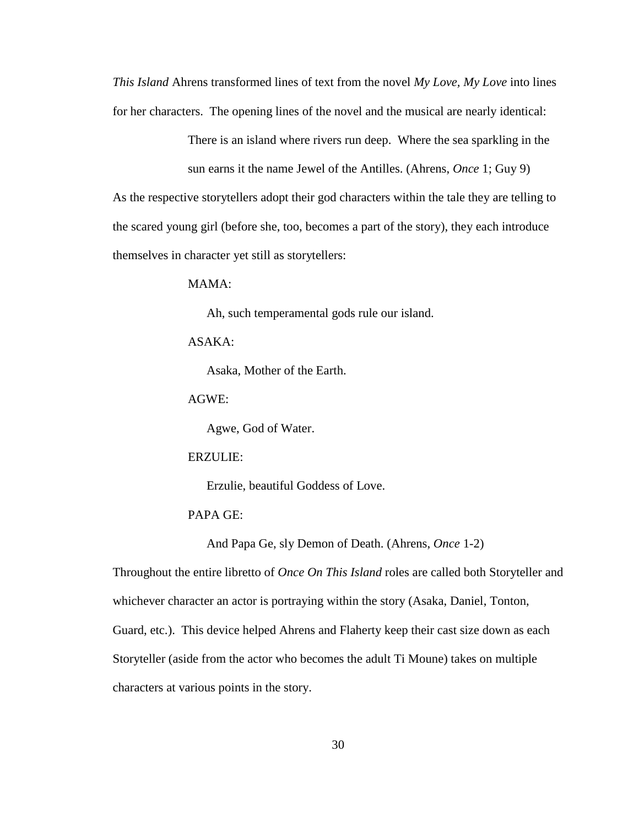*This Island* Ahrens transformed lines of text from the novel *My Love, My Love* into lines for her characters. The opening lines of the novel and the musical are nearly identical:

There is an island where rivers run deep. Where the sea sparkling in the sun earns it the name Jewel of the Antilles. (Ahrens, *Once* 1; Guy 9) As the respective storytellers adopt their god characters within the tale they are telling to the scared young girl (before she, too, becomes a part of the story), they each introduce themselves in character yet still as storytellers:

MAMA:

Ah, such temperamental gods rule our island.

ASAKA:

Asaka, Mother of the Earth.

AGWE:

Agwe, God of Water.

ERZULIE:

Erzulie, beautiful Goddess of Love.

PAPA GE:

And Papa Ge, sly Demon of Death. (Ahrens, *Once* 1-2)

Throughout the entire libretto of *Once On This Island* roles are called both Storyteller and whichever character an actor is portraying within the story (Asaka, Daniel, Tonton, Guard, etc.). This device helped Ahrens and Flaherty keep their cast size down as each Storyteller (aside from the actor who becomes the adult Ti Moune) takes on multiple characters at various points in the story.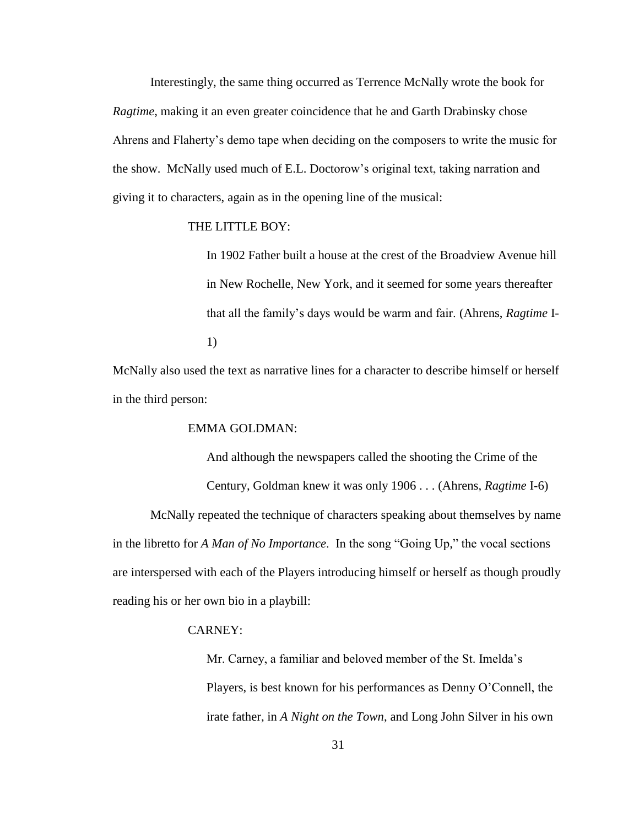Interestingly, the same thing occurred as Terrence McNally wrote the book for *Ragtime*, making it an even greater coincidence that he and Garth Drabinsky chose Ahrens and Flaherty's demo tape when deciding on the composers to write the music for the show. McNally used much of E.L. Doctorow's original text, taking narration and giving it to characters, again as in the opening line of the musical:

# THE LITTLE BOY:

In 1902 Father built a house at the crest of the Broadview Avenue hill in New Rochelle, New York, and it seemed for some years thereafter that all the family's days would be warm and fair. (Ahrens, *Ragtime* I-1)

McNally also used the text as narrative lines for a character to describe himself or herself in the third person:

EMMA GOLDMAN:

And although the newspapers called the shooting the Crime of the Century, Goldman knew it was only 1906 . . . (Ahrens, *Ragtime* I-6) McNally repeated the technique of characters speaking about themselves by name in the libretto for *A Man of No Importance*. In the song "Going Up," the vocal sections are interspersed with each of the Players introducing himself or herself as though proudly reading his or her own bio in a playbill:

## CARNEY:

Mr. Carney, a familiar and beloved member of the St. Imelda's Players, is best known for his performances as Denny O'Connell, the irate father, in *A Night on the Town*, and Long John Silver in his own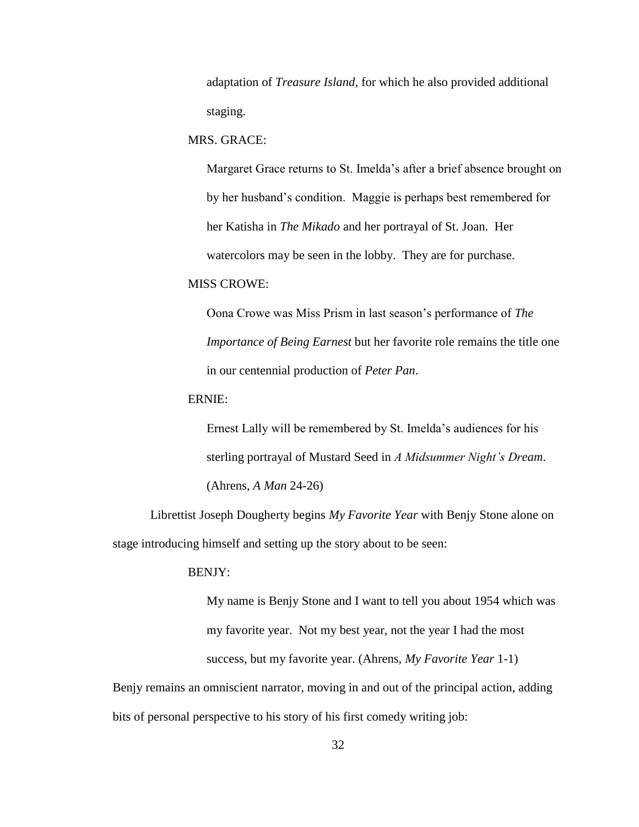adaptation of *Treasure Island*, for which he also provided additional staging.

MRS. GRACE:

Margaret Grace returns to St. Imelda's after a brief absence brought on by her husband's condition. Maggie is perhaps best remembered for her Katisha in *The Mikado* and her portrayal of St. Joan. Her watercolors may be seen in the lobby. They are for purchase.

## MISS CROWE:

Oona Crowe was Miss Prism in last season's performance of *The Importance of Being Earnest* but her favorite role remains the title one in our centennial production of *Peter Pan*.

### ERNIE:

Ernest Lally will be remembered by St. Imelda's audiences for his sterling portrayal of Mustard Seed in *A Midsummer Night's Dream*. (Ahrens, *A Man* 24-26)

Librettist Joseph Dougherty begins *My Favorite Year* with Benjy Stone alone on stage introducing himself and setting up the story about to be seen:

### BENJY:

My name is Benjy Stone and I want to tell you about 1954 which was my favorite year. Not my best year, not the year I had the most success, but my favorite year. (Ahrens, *My Favorite Year* 1-1)

Benjy remains an omniscient narrator, moving in and out of the principal action, adding bits of personal perspective to his story of his first comedy writing job: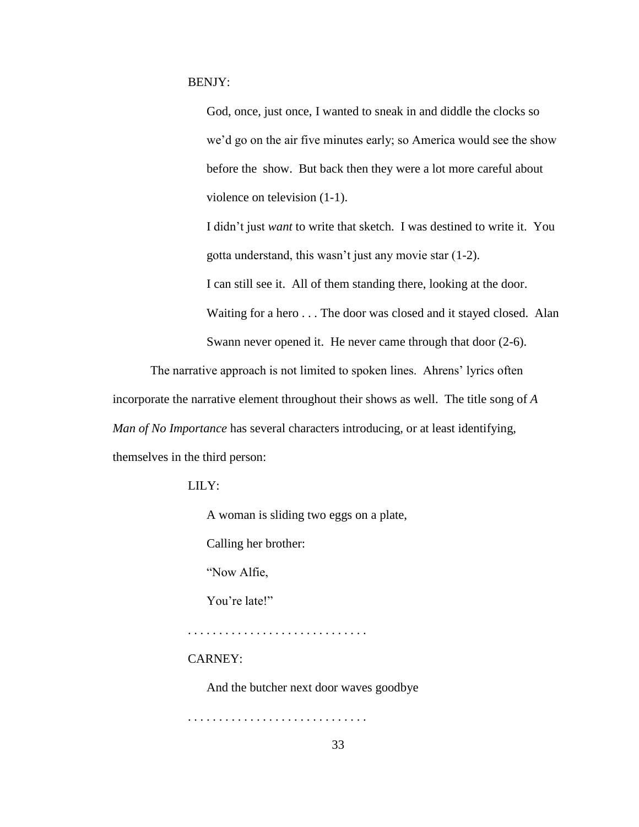BENJY:

God, once, just once, I wanted to sneak in and diddle the clocks so we'd go on the air five minutes early; so America would see the show before the show. But back then they were a lot more careful about violence on television (1-1).

I didn't just *want* to write that sketch. I was destined to write it. You gotta understand, this wasn't just any movie star (1-2). I can still see it. All of them standing there, looking at the door. Waiting for a hero . . . The door was closed and it stayed closed. Alan Swann never opened it. He never came through that door (2-6).

The narrative approach is not limited to spoken lines. Ahrens' lyrics often incorporate the narrative element throughout their shows as well. The title song of *A Man of No Importance* has several characters introducing, or at least identifying, themselves in the third person:

LILY:

A woman is sliding two eggs on a plate,

Calling her brother:

"Now Alfie,

You're late!"

. . . . . . . . . . . . . . . . . . . . . . . . . . . . .

CARNEY:

And the butcher next door waves goodbye

. . . . . . . . . . . . . . . . . . . . . . . . . . . . .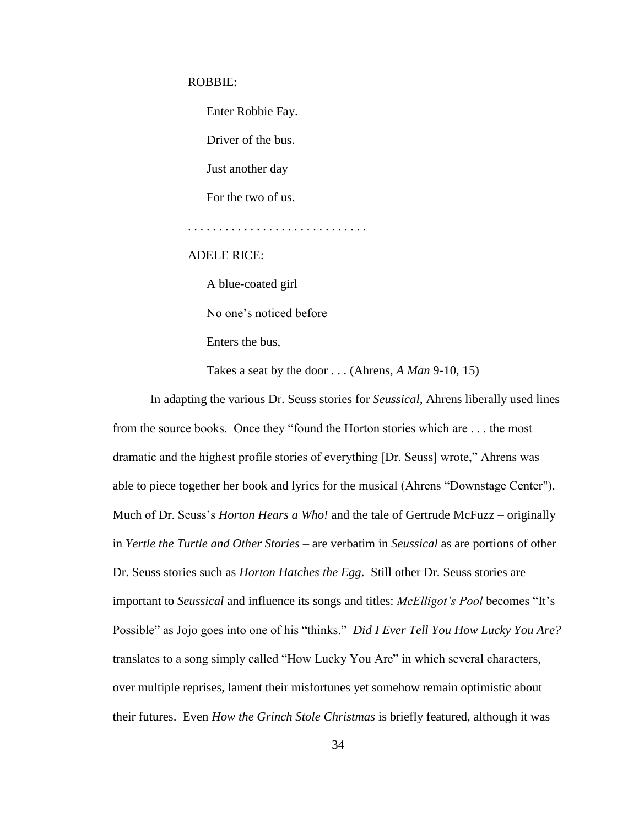# ROBBIE:

Enter Robbie Fay.

Driver of the bus.

Just another day

For the two of us.

. . . . . . . . . . . . . . . . . . . . . . . . . . . . .

# ADELE RICE:

A blue-coated girl

No one's noticed before

Enters the bus,

Takes a seat by the door . . . (Ahrens, *A Man* 9-10, 15)

In adapting the various Dr. Seuss stories for *Seussical*, Ahrens liberally used lines from the source books. Once they "found the Horton stories which are . . . the most dramatic and the highest profile stories of everything [Dr. Seuss] wrote," Ahrens was able to piece together her book and lyrics for the musical (Ahrens "Downstage Center"). Much of Dr. Seuss's *Horton Hears a Who!* and the tale of Gertrude McFuzz – originally in *Yertle the Turtle and Other Stories* – are verbatim in *Seussical* as are portions of other Dr. Seuss stories such as *Horton Hatches the Egg*. Still other Dr. Seuss stories are important to *Seussical* and influence its songs and titles: *McElligot's Pool* becomes "It's Possible" as Jojo goes into one of his "thinks." *Did I Ever Tell You How Lucky You Are?* translates to a song simply called "How Lucky You Are" in which several characters, over multiple reprises, lament their misfortunes yet somehow remain optimistic about their futures. Even *How the Grinch Stole Christmas* is briefly featured, although it was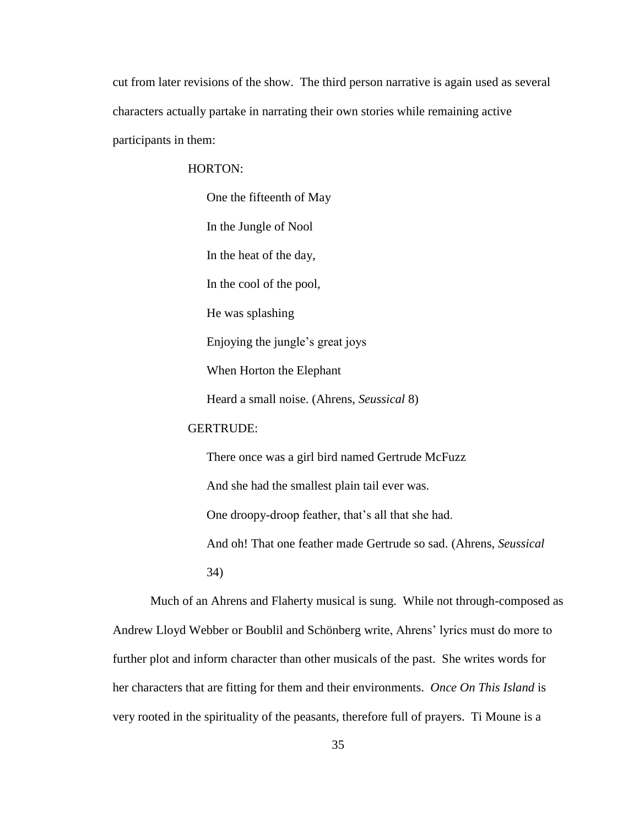cut from later revisions of the show. The third person narrative is again used as several characters actually partake in narrating their own stories while remaining active participants in them:

HORTON:

One the fifteenth of May In the Jungle of Nool In the heat of the day, In the cool of the pool, He was splashing Enjoying the jungle's great joys When Horton the Elephant Heard a small noise. (Ahrens, *Seussical* 8) GERTRUDE: There once was a girl bird named Gertrude McFuzz And she had the smallest plain tail ever was. One droopy-droop feather, that's all that she had.

And oh! That one feather made Gertrude so sad. (Ahrens, *Seussical*

34)

Much of an Ahrens and Flaherty musical is sung. While not through-composed as Andrew Lloyd Webber or Boublil and Schönberg write, Ahrens' lyrics must do more to further plot and inform character than other musicals of the past. She writes words for her characters that are fitting for them and their environments. *Once On This Island* is very rooted in the spirituality of the peasants, therefore full of prayers. Ti Moune is a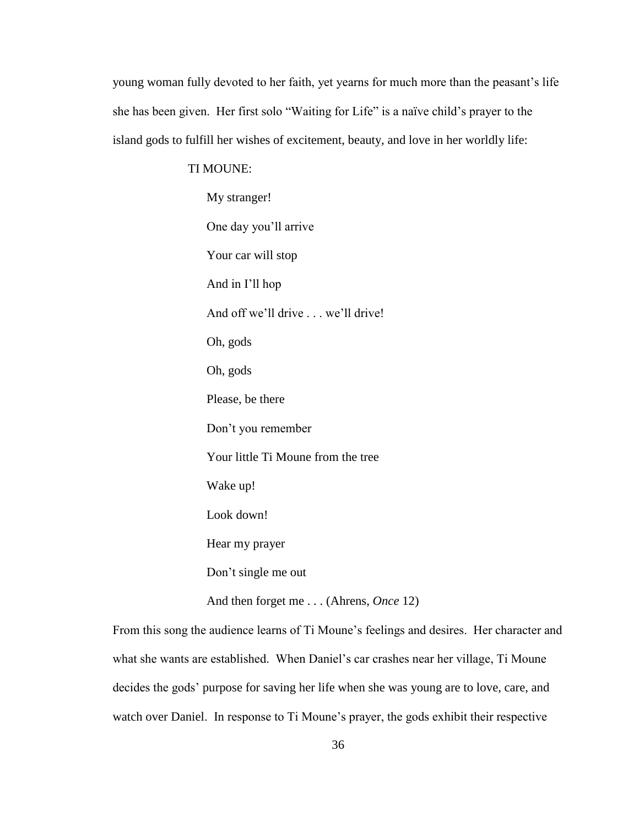young woman fully devoted to her faith, yet yearns for much more than the peasant's life she has been given. Her first solo "Waiting for Life" is a naïve child's prayer to the island gods to fulfill her wishes of excitement, beauty, and love in her worldly life:

TI MOUNE:

My stranger! One day you'll arrive Your car will stop And in I'll hop And off we'll drive . . . we'll drive! Oh, gods Oh, gods Please, be there Don't you remember Your little Ti Moune from the tree Wake up! Look down! Hear my prayer Don't single me out And then forget me . . . (Ahrens, *Once* 12)

From this song the audience learns of Ti Moune's feelings and desires. Her character and what she wants are established. When Daniel's car crashes near her village, Ti Moune decides the gods' purpose for saving her life when she was young are to love, care, and watch over Daniel. In response to Ti Moune's prayer, the gods exhibit their respective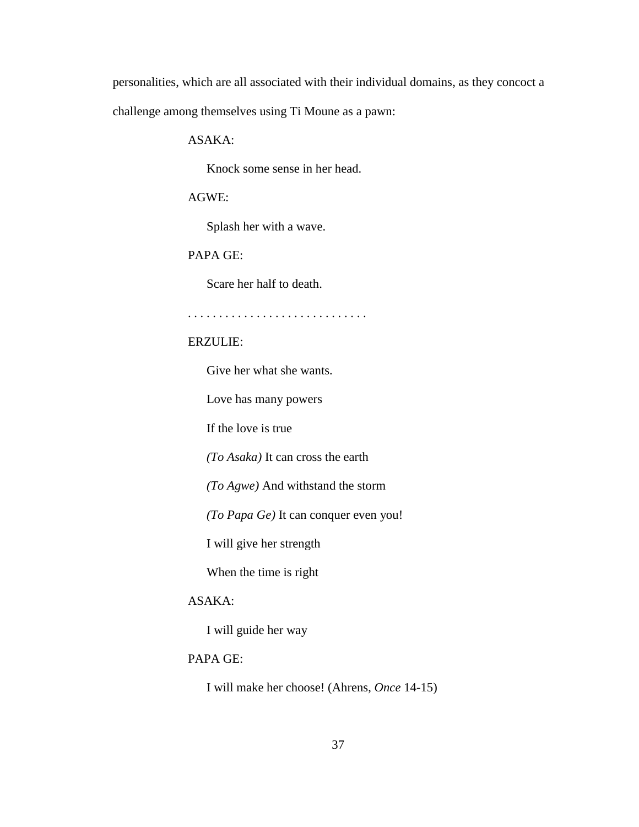personalities, which are all associated with their individual domains, as they concoct a challenge among themselves using Ti Moune as a pawn:

ASAKA:

Knock some sense in her head.

AGWE:

Splash her with a wave.

PAPA GE:

Scare her half to death.

. . . . . . . . . . . . . . . . . . . . . . . . . . . . .

# ERZULIE:

Give her what she wants.

Love has many powers

If the love is true

*(To Asaka)* It can cross the earth

*(To Agwe)* And withstand the storm

*(To Papa Ge)* It can conquer even you!

I will give her strength

When the time is right

# ASAKA:

I will guide her way

# PAPA GE:

I will make her choose! (Ahrens, *Once* 14-15)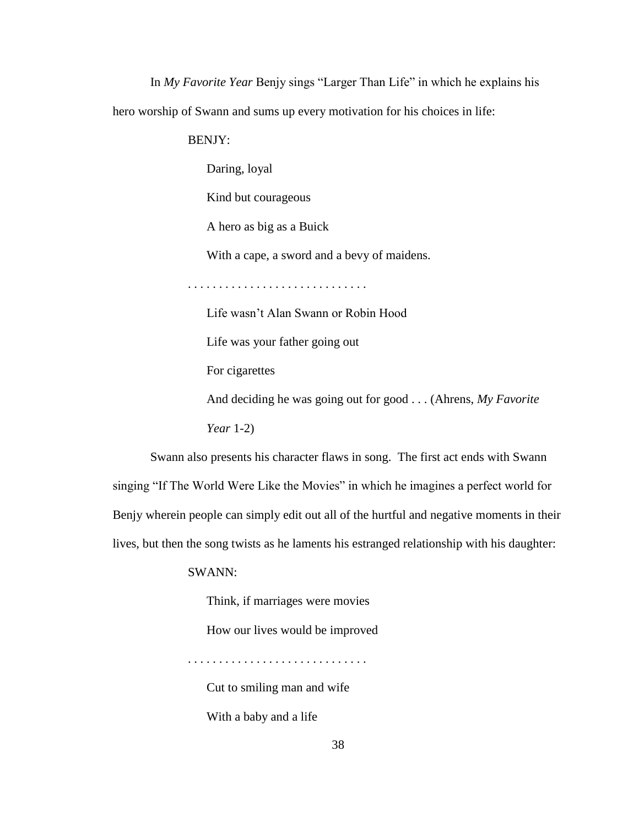In *My Favorite Year* Benjy sings "Larger Than Life" in which he explains his hero worship of Swann and sums up every motivation for his choices in life:

BENJY:

Daring, loyal

Kind but courageous

A hero as big as a Buick

With a cape, a sword and a bevy of maidens.

. . . . . . . . . . . . . . . . . . . . . . . . . . . . .

Life wasn't Alan Swann or Robin Hood Life was your father going out For cigarettes And deciding he was going out for good . . . (Ahrens, *My Favorite Year* 1-2)

Swann also presents his character flaws in song. The first act ends with Swann singing "If The World Were Like the Movies" in which he imagines a perfect world for Benjy wherein people can simply edit out all of the hurtful and negative moments in their lives, but then the song twists as he laments his estranged relationship with his daughter:

SWANN:

Think, if marriages were movies

How our lives would be improved

. . . . . . . . . . . . . . . . . . . . . . . . . . . . .

Cut to smiling man and wife

With a baby and a life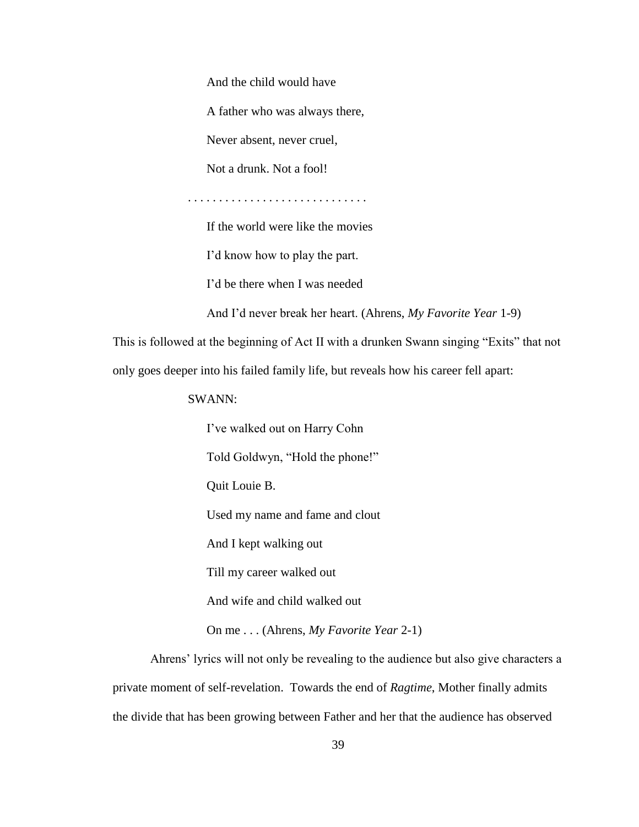And the child would have A father who was always there, Never absent, never cruel, Not a drunk. Not a fool!

. . . . . . . . . . . . . . . . . . . . . . . . . . . . .

If the world were like the movies

I'd know how to play the part.

I'd be there when I was needed

And I'd never break her heart. (Ahrens, *My Favorite Year* 1-9)

This is followed at the beginning of Act II with a drunken Swann singing "Exits" that not only goes deeper into his failed family life, but reveals how his career fell apart:

SWANN:

I've walked out on Harry Cohn Told Goldwyn, "Hold the phone!" Quit Louie B. Used my name and fame and clout And I kept walking out Till my career walked out And wife and child walked out On me . . . (Ahrens, *My Favorite Year* 2-1)

Ahrens' lyrics will not only be revealing to the audience but also give characters a private moment of self-revelation. Towards the end of *Ragtime*, Mother finally admits the divide that has been growing between Father and her that the audience has observed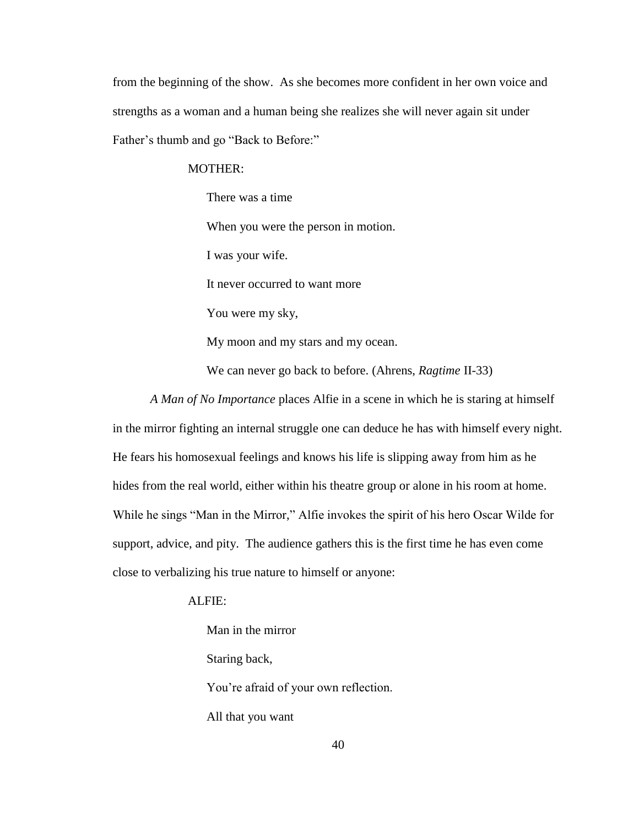from the beginning of the show. As she becomes more confident in her own voice and strengths as a woman and a human being she realizes she will never again sit under Father's thumb and go "Back to Before:"

#### MOTHER:

There was a time When you were the person in motion. I was your wife. It never occurred to want more You were my sky, My moon and my stars and my ocean. We can never go back to before. (Ahrens, *Ragtime* II-33)

*A Man of No Importance* places Alfie in a scene in which he is staring at himself in the mirror fighting an internal struggle one can deduce he has with himself every night. He fears his homosexual feelings and knows his life is slipping away from him as he hides from the real world, either within his theatre group or alone in his room at home. While he sings "Man in the Mirror," Alfie invokes the spirit of his hero Oscar Wilde for support, advice, and pity. The audience gathers this is the first time he has even come close to verbalizing his true nature to himself or anyone:

### ALFIE:

Man in the mirror Staring back, You're afraid of your own reflection. All that you want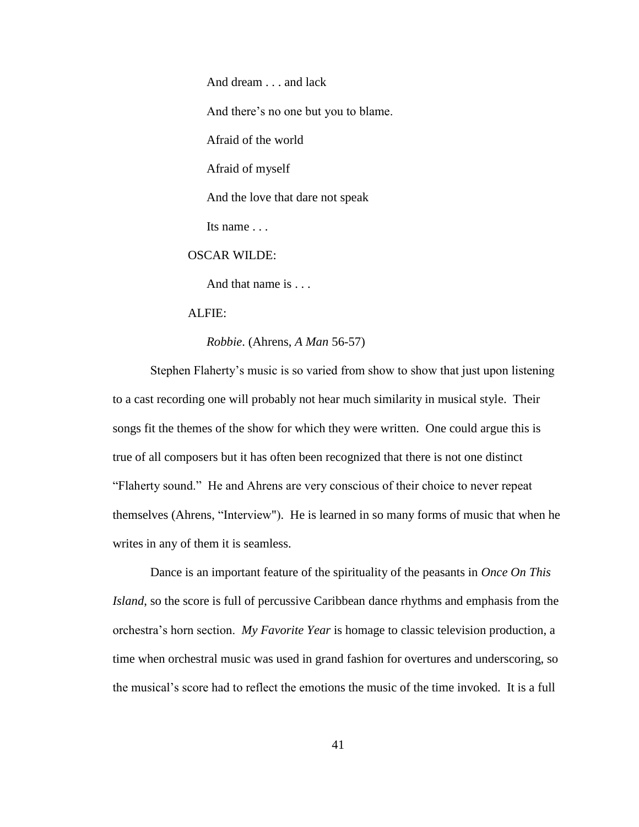And dream . . . and lack And there's no one but you to blame. Afraid of the world Afraid of myself And the love that dare not speak Its name OSCAR WILDE: And that name is . . .

# ALFIE:

*Robbie*. (Ahrens, *A Man* 56-57)

Stephen Flaherty's music is so varied from show to show that just upon listening to a cast recording one will probably not hear much similarity in musical style. Their songs fit the themes of the show for which they were written. One could argue this is true of all composers but it has often been recognized that there is not one distinct "Flaherty sound." He and Ahrens are very conscious of their choice to never repeat themselves (Ahrens, "Interview"). He is learned in so many forms of music that when he writes in any of them it is seamless.

Dance is an important feature of the spirituality of the peasants in *Once On This Island*, so the score is full of percussive Caribbean dance rhythms and emphasis from the orchestra's horn section. *My Favorite Year* is homage to classic television production, a time when orchestral music was used in grand fashion for overtures and underscoring, so the musical's score had to reflect the emotions the music of the time invoked. It is a full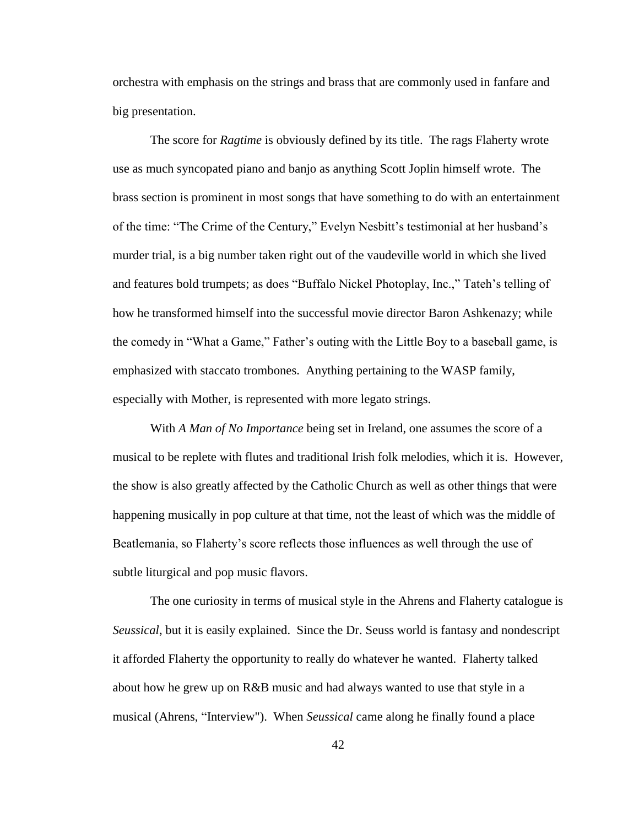orchestra with emphasis on the strings and brass that are commonly used in fanfare and big presentation.

The score for *Ragtime* is obviously defined by its title. The rags Flaherty wrote use as much syncopated piano and banjo as anything Scott Joplin himself wrote. The brass section is prominent in most songs that have something to do with an entertainment of the time: "The Crime of the Century," Evelyn Nesbitt's testimonial at her husband's murder trial, is a big number taken right out of the vaudeville world in which she lived and features bold trumpets; as does "Buffalo Nickel Photoplay, Inc.," Tateh's telling of how he transformed himself into the successful movie director Baron Ashkenazy; while the comedy in "What a Game," Father's outing with the Little Boy to a baseball game, is emphasized with staccato trombones. Anything pertaining to the WASP family, especially with Mother, is represented with more legato strings.

With *A Man of No Importance* being set in Ireland, one assumes the score of a musical to be replete with flutes and traditional Irish folk melodies, which it is. However, the show is also greatly affected by the Catholic Church as well as other things that were happening musically in pop culture at that time, not the least of which was the middle of Beatlemania, so Flaherty's score reflects those influences as well through the use of subtle liturgical and pop music flavors.

The one curiosity in terms of musical style in the Ahrens and Flaherty catalogue is *Seussical*, but it is easily explained. Since the Dr. Seuss world is fantasy and nondescript it afforded Flaherty the opportunity to really do whatever he wanted. Flaherty talked about how he grew up on R&B music and had always wanted to use that style in a musical (Ahrens, "Interview"). When *Seussical* came along he finally found a place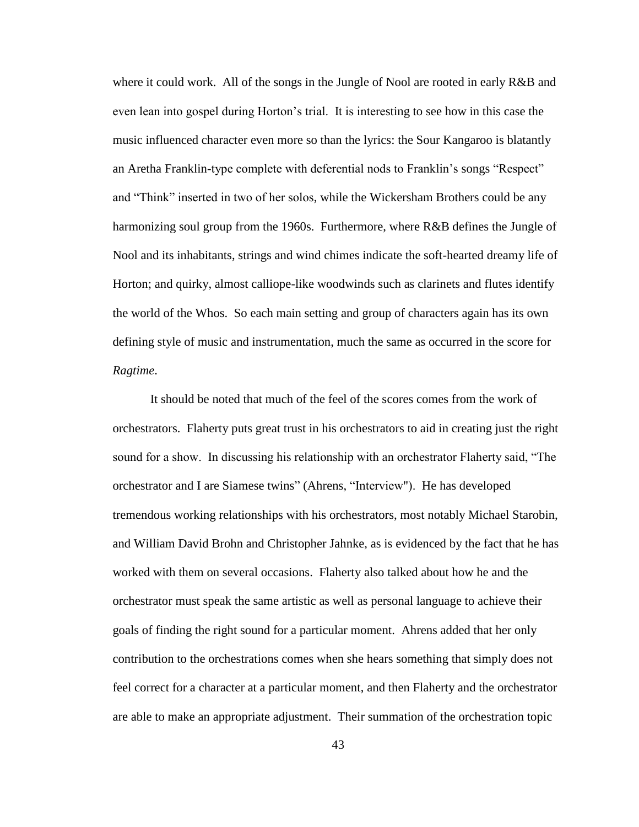where it could work. All of the songs in the Jungle of Nool are rooted in early R&B and even lean into gospel during Horton's trial. It is interesting to see how in this case the music influenced character even more so than the lyrics: the Sour Kangaroo is blatantly an Aretha Franklin-type complete with deferential nods to Franklin's songs "Respect" and "Think" inserted in two of her solos, while the Wickersham Brothers could be any harmonizing soul group from the 1960s. Furthermore, where R&B defines the Jungle of Nool and its inhabitants, strings and wind chimes indicate the soft-hearted dreamy life of Horton; and quirky, almost calliope-like woodwinds such as clarinets and flutes identify the world of the Whos. So each main setting and group of characters again has its own defining style of music and instrumentation, much the same as occurred in the score for *Ragtime*.

It should be noted that much of the feel of the scores comes from the work of orchestrators. Flaherty puts great trust in his orchestrators to aid in creating just the right sound for a show. In discussing his relationship with an orchestrator Flaherty said, "The orchestrator and I are Siamese twins" (Ahrens, "Interview"). He has developed tremendous working relationships with his orchestrators, most notably Michael Starobin, and William David Brohn and Christopher Jahnke, as is evidenced by the fact that he has worked with them on several occasions. Flaherty also talked about how he and the orchestrator must speak the same artistic as well as personal language to achieve their goals of finding the right sound for a particular moment. Ahrens added that her only contribution to the orchestrations comes when she hears something that simply does not feel correct for a character at a particular moment, and then Flaherty and the orchestrator are able to make an appropriate adjustment. Their summation of the orchestration topic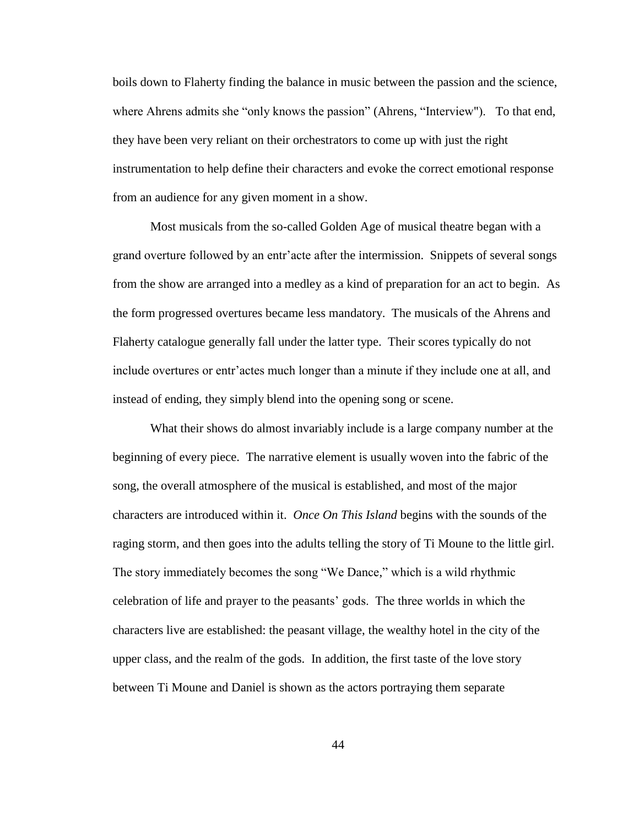boils down to Flaherty finding the balance in music between the passion and the science, where Ahrens admits she "only knows the passion" (Ahrens, "Interview"). To that end, they have been very reliant on their orchestrators to come up with just the right instrumentation to help define their characters and evoke the correct emotional response from an audience for any given moment in a show.

Most musicals from the so-called Golden Age of musical theatre began with a grand overture followed by an entr'acte after the intermission. Snippets of several songs from the show are arranged into a medley as a kind of preparation for an act to begin. As the form progressed overtures became less mandatory. The musicals of the Ahrens and Flaherty catalogue generally fall under the latter type. Their scores typically do not include overtures or entr'actes much longer than a minute if they include one at all, and instead of ending, they simply blend into the opening song or scene.

What their shows do almost invariably include is a large company number at the beginning of every piece. The narrative element is usually woven into the fabric of the song, the overall atmosphere of the musical is established, and most of the major characters are introduced within it. *Once On This Island* begins with the sounds of the raging storm, and then goes into the adults telling the story of Ti Moune to the little girl. The story immediately becomes the song "We Dance," which is a wild rhythmic celebration of life and prayer to the peasants' gods. The three worlds in which the characters live are established: the peasant village, the wealthy hotel in the city of the upper class, and the realm of the gods. In addition, the first taste of the love story between Ti Moune and Daniel is shown as the actors portraying them separate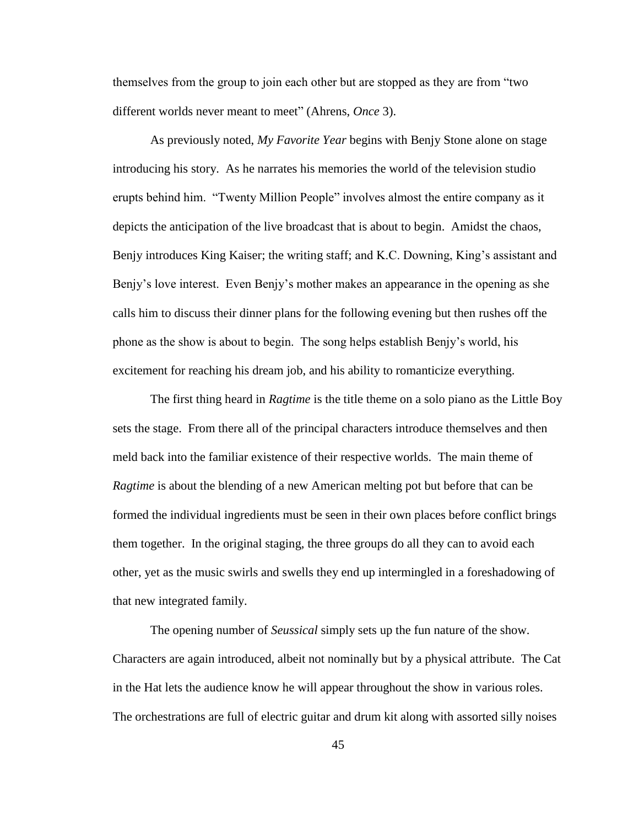themselves from the group to join each other but are stopped as they are from "two different worlds never meant to meet" (Ahrens, *Once* 3).

As previously noted, *My Favorite Year* begins with Benjy Stone alone on stage introducing his story. As he narrates his memories the world of the television studio erupts behind him. "Twenty Million People" involves almost the entire company as it depicts the anticipation of the live broadcast that is about to begin. Amidst the chaos, Benjy introduces King Kaiser; the writing staff; and K.C. Downing, King's assistant and Benjy's love interest. Even Benjy's mother makes an appearance in the opening as she calls him to discuss their dinner plans for the following evening but then rushes off the phone as the show is about to begin. The song helps establish Benjy's world, his excitement for reaching his dream job, and his ability to romanticize everything.

The first thing heard in *Ragtime* is the title theme on a solo piano as the Little Boy sets the stage. From there all of the principal characters introduce themselves and then meld back into the familiar existence of their respective worlds. The main theme of *Ragtime* is about the blending of a new American melting pot but before that can be formed the individual ingredients must be seen in their own places before conflict brings them together. In the original staging, the three groups do all they can to avoid each other, yet as the music swirls and swells they end up intermingled in a foreshadowing of that new integrated family.

The opening number of *Seussical* simply sets up the fun nature of the show. Characters are again introduced, albeit not nominally but by a physical attribute. The Cat in the Hat lets the audience know he will appear throughout the show in various roles. The orchestrations are full of electric guitar and drum kit along with assorted silly noises

45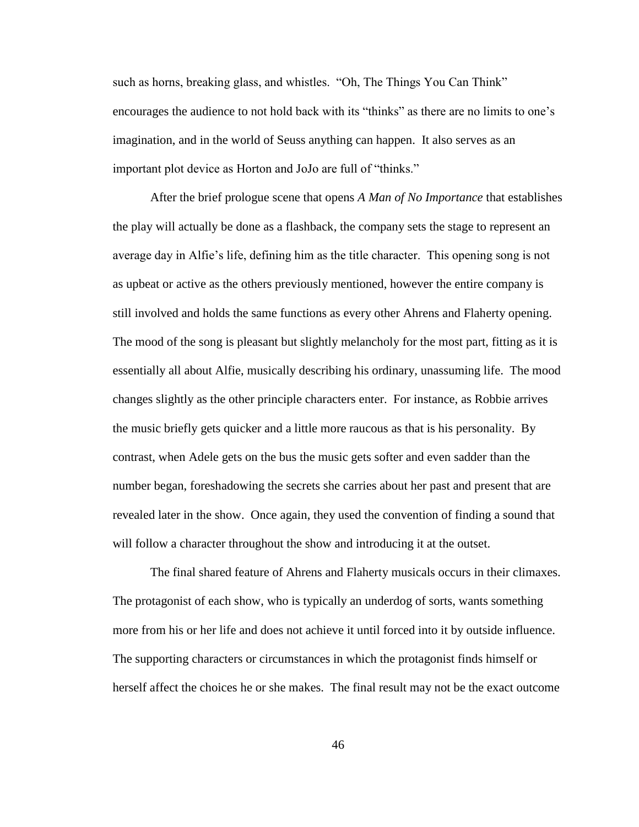such as horns, breaking glass, and whistles. "Oh, The Things You Can Think" encourages the audience to not hold back with its "thinks" as there are no limits to one's imagination, and in the world of Seuss anything can happen. It also serves as an important plot device as Horton and JoJo are full of "thinks."

After the brief prologue scene that opens *A Man of No Importance* that establishes the play will actually be done as a flashback, the company sets the stage to represent an average day in Alfie's life, defining him as the title character. This opening song is not as upbeat or active as the others previously mentioned, however the entire company is still involved and holds the same functions as every other Ahrens and Flaherty opening. The mood of the song is pleasant but slightly melancholy for the most part, fitting as it is essentially all about Alfie, musically describing his ordinary, unassuming life. The mood changes slightly as the other principle characters enter. For instance, as Robbie arrives the music briefly gets quicker and a little more raucous as that is his personality. By contrast, when Adele gets on the bus the music gets softer and even sadder than the number began, foreshadowing the secrets she carries about her past and present that are revealed later in the show. Once again, they used the convention of finding a sound that will follow a character throughout the show and introducing it at the outset.

The final shared feature of Ahrens and Flaherty musicals occurs in their climaxes. The protagonist of each show, who is typically an underdog of sorts, wants something more from his or her life and does not achieve it until forced into it by outside influence. The supporting characters or circumstances in which the protagonist finds himself or herself affect the choices he or she makes. The final result may not be the exact outcome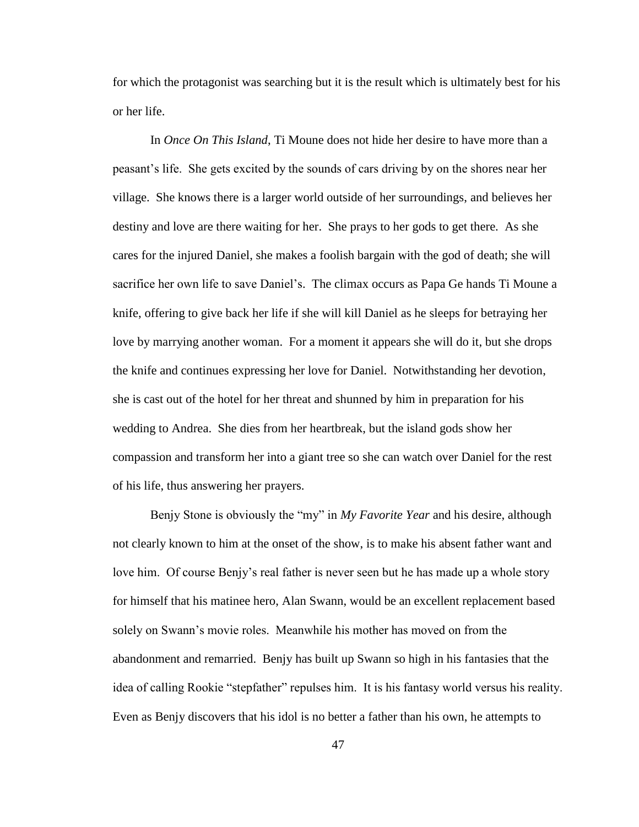for which the protagonist was searching but it is the result which is ultimately best for his or her life.

In *Once On This Island*, Ti Moune does not hide her desire to have more than a peasant's life. She gets excited by the sounds of cars driving by on the shores near her village. She knows there is a larger world outside of her surroundings, and believes her destiny and love are there waiting for her. She prays to her gods to get there. As she cares for the injured Daniel, she makes a foolish bargain with the god of death; she will sacrifice her own life to save Daniel's. The climax occurs as Papa Ge hands Ti Moune a knife, offering to give back her life if she will kill Daniel as he sleeps for betraying her love by marrying another woman. For a moment it appears she will do it, but she drops the knife and continues expressing her love for Daniel. Notwithstanding her devotion, she is cast out of the hotel for her threat and shunned by him in preparation for his wedding to Andrea. She dies from her heartbreak, but the island gods show her compassion and transform her into a giant tree so she can watch over Daniel for the rest of his life, thus answering her prayers.

Benjy Stone is obviously the "my" in *My Favorite Year* and his desire, although not clearly known to him at the onset of the show, is to make his absent father want and love him. Of course Benjy's real father is never seen but he has made up a whole story for himself that his matinee hero, Alan Swann, would be an excellent replacement based solely on Swann's movie roles. Meanwhile his mother has moved on from the abandonment and remarried. Benjy has built up Swann so high in his fantasies that the idea of calling Rookie "stepfather" repulses him. It is his fantasy world versus his reality. Even as Benjy discovers that his idol is no better a father than his own, he attempts to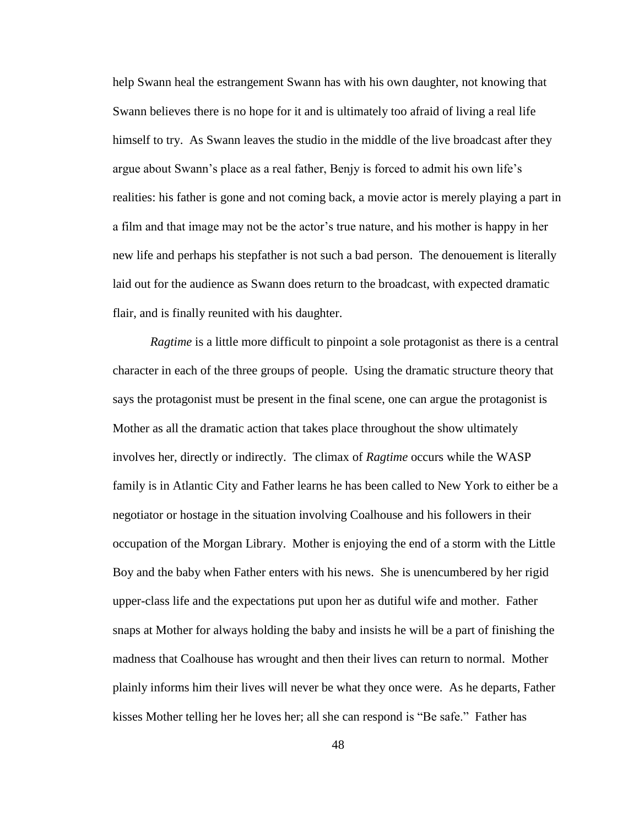help Swann heal the estrangement Swann has with his own daughter, not knowing that Swann believes there is no hope for it and is ultimately too afraid of living a real life himself to try. As Swann leaves the studio in the middle of the live broadcast after they argue about Swann's place as a real father, Benjy is forced to admit his own life's realities: his father is gone and not coming back, a movie actor is merely playing a part in a film and that image may not be the actor's true nature, and his mother is happy in her new life and perhaps his stepfather is not such a bad person. The denouement is literally laid out for the audience as Swann does return to the broadcast, with expected dramatic flair, and is finally reunited with his daughter.

*Ragtime* is a little more difficult to pinpoint a sole protagonist as there is a central character in each of the three groups of people. Using the dramatic structure theory that says the protagonist must be present in the final scene, one can argue the protagonist is Mother as all the dramatic action that takes place throughout the show ultimately involves her, directly or indirectly. The climax of *Ragtime* occurs while the WASP family is in Atlantic City and Father learns he has been called to New York to either be a negotiator or hostage in the situation involving Coalhouse and his followers in their occupation of the Morgan Library. Mother is enjoying the end of a storm with the Little Boy and the baby when Father enters with his news. She is unencumbered by her rigid upper-class life and the expectations put upon her as dutiful wife and mother. Father snaps at Mother for always holding the baby and insists he will be a part of finishing the madness that Coalhouse has wrought and then their lives can return to normal. Mother plainly informs him their lives will never be what they once were. As he departs, Father kisses Mother telling her he loves her; all she can respond is "Be safe." Father has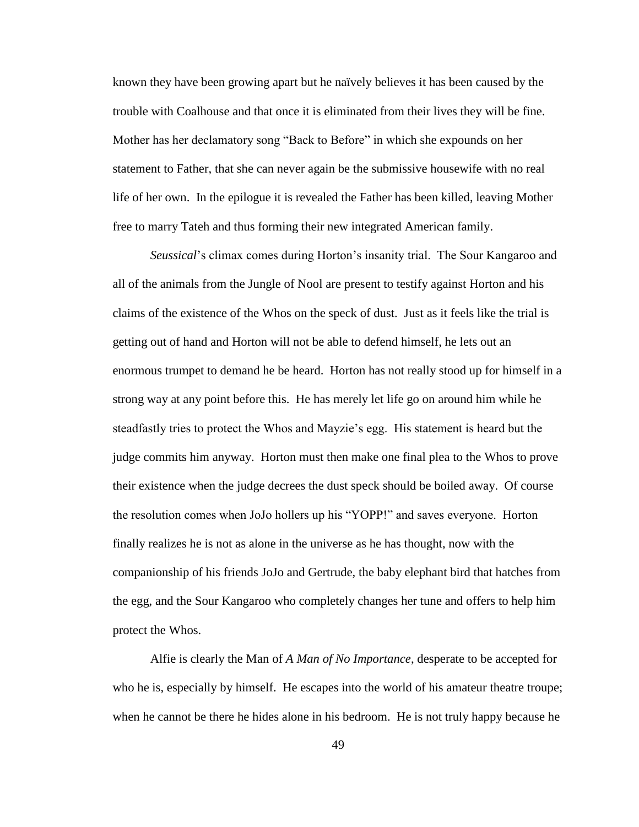known they have been growing apart but he naïvely believes it has been caused by the trouble with Coalhouse and that once it is eliminated from their lives they will be fine. Mother has her declamatory song "Back to Before" in which she expounds on her statement to Father, that she can never again be the submissive housewife with no real life of her own. In the epilogue it is revealed the Father has been killed, leaving Mother free to marry Tateh and thus forming their new integrated American family.

*Seussical*'s climax comes during Horton's insanity trial. The Sour Kangaroo and all of the animals from the Jungle of Nool are present to testify against Horton and his claims of the existence of the Whos on the speck of dust. Just as it feels like the trial is getting out of hand and Horton will not be able to defend himself, he lets out an enormous trumpet to demand he be heard. Horton has not really stood up for himself in a strong way at any point before this. He has merely let life go on around him while he steadfastly tries to protect the Whos and Mayzie's egg. His statement is heard but the judge commits him anyway. Horton must then make one final plea to the Whos to prove their existence when the judge decrees the dust speck should be boiled away. Of course the resolution comes when JoJo hollers up his "YOPP!" and saves everyone. Horton finally realizes he is not as alone in the universe as he has thought, now with the companionship of his friends JoJo and Gertrude, the baby elephant bird that hatches from the egg, and the Sour Kangaroo who completely changes her tune and offers to help him protect the Whos.

Alfie is clearly the Man of *A Man of No Importance*, desperate to be accepted for who he is, especially by himself. He escapes into the world of his amateur theatre troupe; when he cannot be there he hides alone in his bedroom. He is not truly happy because he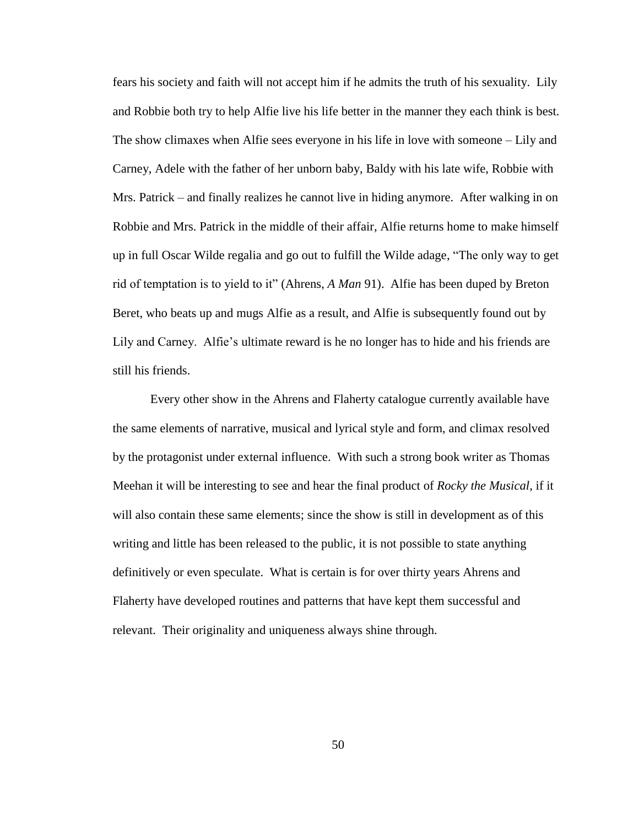fears his society and faith will not accept him if he admits the truth of his sexuality. Lily and Robbie both try to help Alfie live his life better in the manner they each think is best. The show climaxes when Alfie sees everyone in his life in love with someone – Lily and Carney, Adele with the father of her unborn baby, Baldy with his late wife, Robbie with Mrs. Patrick – and finally realizes he cannot live in hiding anymore. After walking in on Robbie and Mrs. Patrick in the middle of their affair, Alfie returns home to make himself up in full Oscar Wilde regalia and go out to fulfill the Wilde adage, "The only way to get rid of temptation is to yield to it" (Ahrens, *A Man* 91). Alfie has been duped by Breton Beret, who beats up and mugs Alfie as a result, and Alfie is subsequently found out by Lily and Carney. Alfie's ultimate reward is he no longer has to hide and his friends are still his friends.

Every other show in the Ahrens and Flaherty catalogue currently available have the same elements of narrative, musical and lyrical style and form, and climax resolved by the protagonist under external influence. With such a strong book writer as Thomas Meehan it will be interesting to see and hear the final product of *Rocky the Musical*, if it will also contain these same elements; since the show is still in development as of this writing and little has been released to the public, it is not possible to state anything definitively or even speculate. What is certain is for over thirty years Ahrens and Flaherty have developed routines and patterns that have kept them successful and relevant. Their originality and uniqueness always shine through.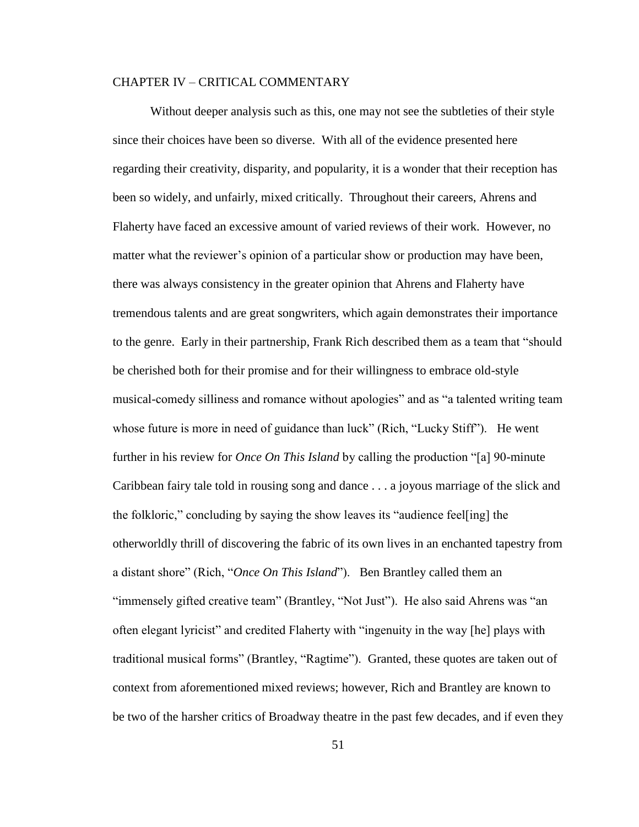#### CHAPTER IV – CRITICAL COMMENTARY

Without deeper analysis such as this, one may not see the subtleties of their style since their choices have been so diverse. With all of the evidence presented here regarding their creativity, disparity, and popularity, it is a wonder that their reception has been so widely, and unfairly, mixed critically. Throughout their careers, Ahrens and Flaherty have faced an excessive amount of varied reviews of their work. However, no matter what the reviewer's opinion of a particular show or production may have been, there was always consistency in the greater opinion that Ahrens and Flaherty have tremendous talents and are great songwriters, which again demonstrates their importance to the genre. Early in their partnership, Frank Rich described them as a team that "should be cherished both for their promise and for their willingness to embrace old-style musical-comedy silliness and romance without apologies" and as "a talented writing team whose future is more in need of guidance than luck" (Rich, "Lucky Stiff"). He went further in his review for *Once On This Island* by calling the production "[a] 90-minute Caribbean fairy tale told in rousing song and dance . . . a joyous marriage of the slick and the folkloric," concluding by saying the show leaves its "audience feel[ing] the otherworldly thrill of discovering the fabric of its own lives in an enchanted tapestry from a distant shore" (Rich, "*Once On This Island*"). Ben Brantley called them an "immensely gifted creative team" (Brantley, "Not Just"). He also said Ahrens was "an often elegant lyricist" and credited Flaherty with "ingenuity in the way [he] plays with traditional musical forms" (Brantley, "Ragtime"). Granted, these quotes are taken out of context from aforementioned mixed reviews; however, Rich and Brantley are known to be two of the harsher critics of Broadway theatre in the past few decades, and if even they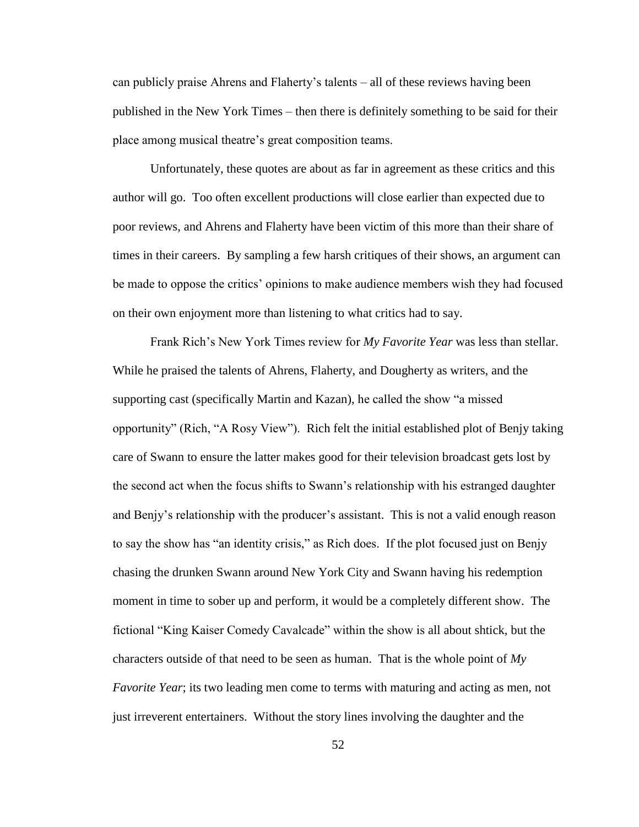can publicly praise Ahrens and Flaherty's talents – all of these reviews having been published in the New York Times – then there is definitely something to be said for their place among musical theatre's great composition teams.

Unfortunately, these quotes are about as far in agreement as these critics and this author will go. Too often excellent productions will close earlier than expected due to poor reviews, and Ahrens and Flaherty have been victim of this more than their share of times in their careers. By sampling a few harsh critiques of their shows, an argument can be made to oppose the critics' opinions to make audience members wish they had focused on their own enjoyment more than listening to what critics had to say.

Frank Rich's New York Times review for *My Favorite Year* was less than stellar. While he praised the talents of Ahrens, Flaherty, and Dougherty as writers, and the supporting cast (specifically Martin and Kazan), he called the show "a missed opportunity" (Rich, "A Rosy View"). Rich felt the initial established plot of Benjy taking care of Swann to ensure the latter makes good for their television broadcast gets lost by the second act when the focus shifts to Swann's relationship with his estranged daughter and Benjy's relationship with the producer's assistant. This is not a valid enough reason to say the show has "an identity crisis," as Rich does. If the plot focused just on Benjy chasing the drunken Swann around New York City and Swann having his redemption moment in time to sober up and perform, it would be a completely different show. The fictional "King Kaiser Comedy Cavalcade" within the show is all about shtick, but the characters outside of that need to be seen as human. That is the whole point of *My Favorite Year*; its two leading men come to terms with maturing and acting as men, not just irreverent entertainers. Without the story lines involving the daughter and the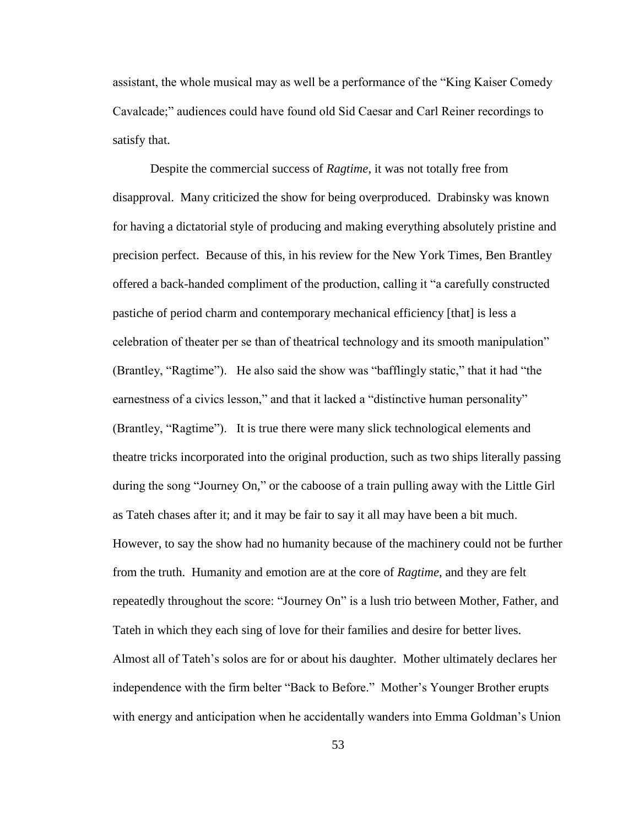assistant, the whole musical may as well be a performance of the "King Kaiser Comedy Cavalcade;" audiences could have found old Sid Caesar and Carl Reiner recordings to satisfy that.

Despite the commercial success of *Ragtime*, it was not totally free from disapproval. Many criticized the show for being overproduced. Drabinsky was known for having a dictatorial style of producing and making everything absolutely pristine and precision perfect. Because of this, in his review for the New York Times, Ben Brantley offered a back-handed compliment of the production, calling it "a carefully constructed pastiche of period charm and contemporary mechanical efficiency [that] is less a celebration of theater per se than of theatrical technology and its smooth manipulation" (Brantley, "Ragtime"). He also said the show was "bafflingly static," that it had "the earnestness of a civics lesson," and that it lacked a "distinctive human personality" (Brantley, "Ragtime"). It is true there were many slick technological elements and theatre tricks incorporated into the original production, such as two ships literally passing during the song "Journey On," or the caboose of a train pulling away with the Little Girl as Tateh chases after it; and it may be fair to say it all may have been a bit much. However, to say the show had no humanity because of the machinery could not be further from the truth. Humanity and emotion are at the core of *Ragtime*, and they are felt repeatedly throughout the score: "Journey On" is a lush trio between Mother, Father, and Tateh in which they each sing of love for their families and desire for better lives. Almost all of Tateh's solos are for or about his daughter. Mother ultimately declares her independence with the firm belter "Back to Before." Mother's Younger Brother erupts with energy and anticipation when he accidentally wanders into Emma Goldman's Union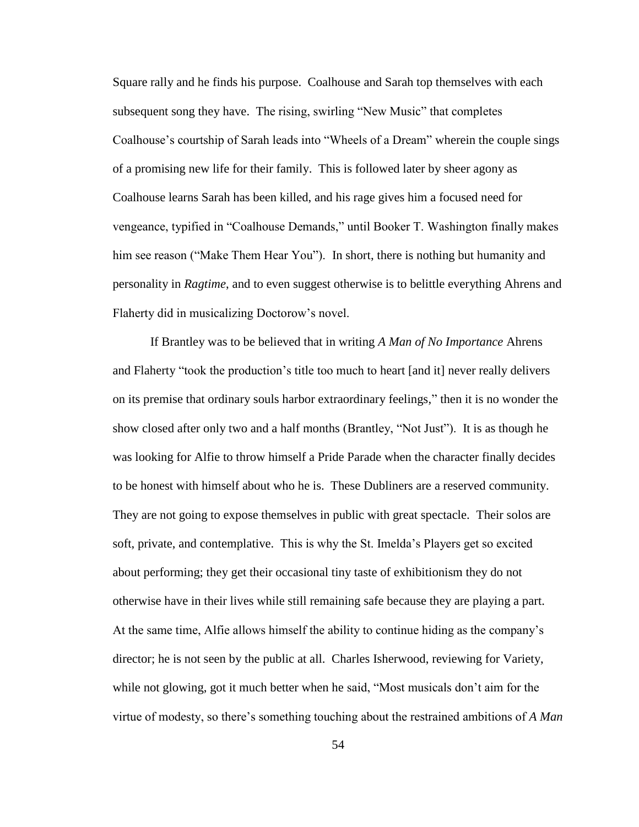Square rally and he finds his purpose. Coalhouse and Sarah top themselves with each subsequent song they have. The rising, swirling "New Music" that completes Coalhouse's courtship of Sarah leads into "Wheels of a Dream" wherein the couple sings of a promising new life for their family. This is followed later by sheer agony as Coalhouse learns Sarah has been killed, and his rage gives him a focused need for vengeance, typified in "Coalhouse Demands," until Booker T. Washington finally makes him see reason ("Make Them Hear You"). In short, there is nothing but humanity and personality in *Ragtime*, and to even suggest otherwise is to belittle everything Ahrens and Flaherty did in musicalizing Doctorow's novel.

If Brantley was to be believed that in writing *A Man of No Importance* Ahrens and Flaherty "took the production's title too much to heart [and it] never really delivers on its premise that ordinary souls harbor extraordinary feelings," then it is no wonder the show closed after only two and a half months (Brantley, "Not Just"). It is as though he was looking for Alfie to throw himself a Pride Parade when the character finally decides to be honest with himself about who he is. These Dubliners are a reserved community. They are not going to expose themselves in public with great spectacle. Their solos are soft, private, and contemplative. This is why the St. Imelda's Players get so excited about performing; they get their occasional tiny taste of exhibitionism they do not otherwise have in their lives while still remaining safe because they are playing a part. At the same time, Alfie allows himself the ability to continue hiding as the company's director; he is not seen by the public at all. Charles Isherwood, reviewing for Variety, while not glowing, got it much better when he said, "Most musicals don't aim for the virtue of modesty, so there's something touching about the restrained ambitions of *A Man*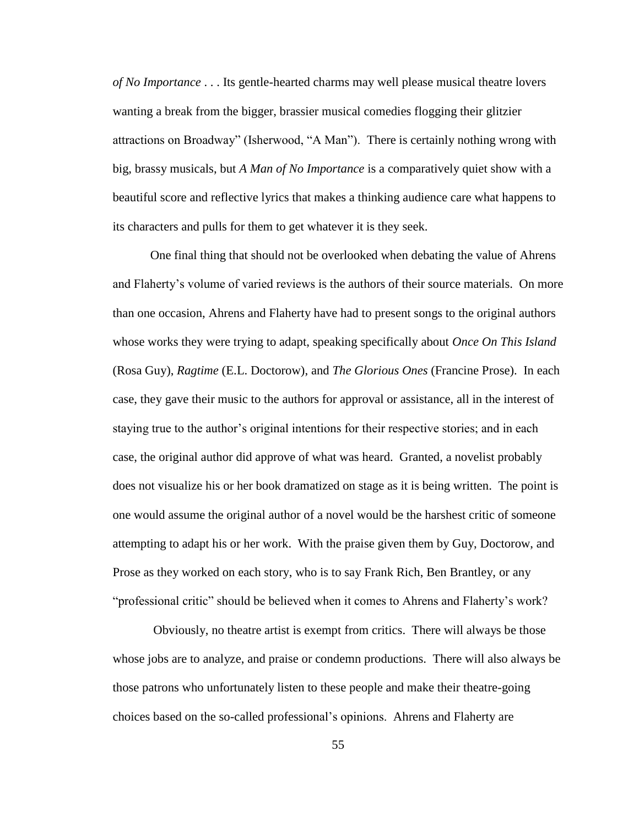*of No Importance* . . . Its gentle-hearted charms may well please musical theatre lovers wanting a break from the bigger, brassier musical comedies flogging their glitzier attractions on Broadway" (Isherwood, "A Man"). There is certainly nothing wrong with big, brassy musicals, but *A Man of No Importance* is a comparatively quiet show with a beautiful score and reflective lyrics that makes a thinking audience care what happens to its characters and pulls for them to get whatever it is they seek.

One final thing that should not be overlooked when debating the value of Ahrens and Flaherty's volume of varied reviews is the authors of their source materials. On more than one occasion, Ahrens and Flaherty have had to present songs to the original authors whose works they were trying to adapt, speaking specifically about *Once On This Island* (Rosa Guy), *Ragtime* (E.L. Doctorow), and *The Glorious Ones* (Francine Prose). In each case, they gave their music to the authors for approval or assistance, all in the interest of staying true to the author's original intentions for their respective stories; and in each case, the original author did approve of what was heard. Granted, a novelist probably does not visualize his or her book dramatized on stage as it is being written. The point is one would assume the original author of a novel would be the harshest critic of someone attempting to adapt his or her work. With the praise given them by Guy, Doctorow, and Prose as they worked on each story, who is to say Frank Rich, Ben Brantley, or any "professional critic" should be believed when it comes to Ahrens and Flaherty's work?

Obviously, no theatre artist is exempt from critics. There will always be those whose jobs are to analyze, and praise or condemn productions. There will also always be those patrons who unfortunately listen to these people and make their theatre-going choices based on the so-called professional's opinions. Ahrens and Flaherty are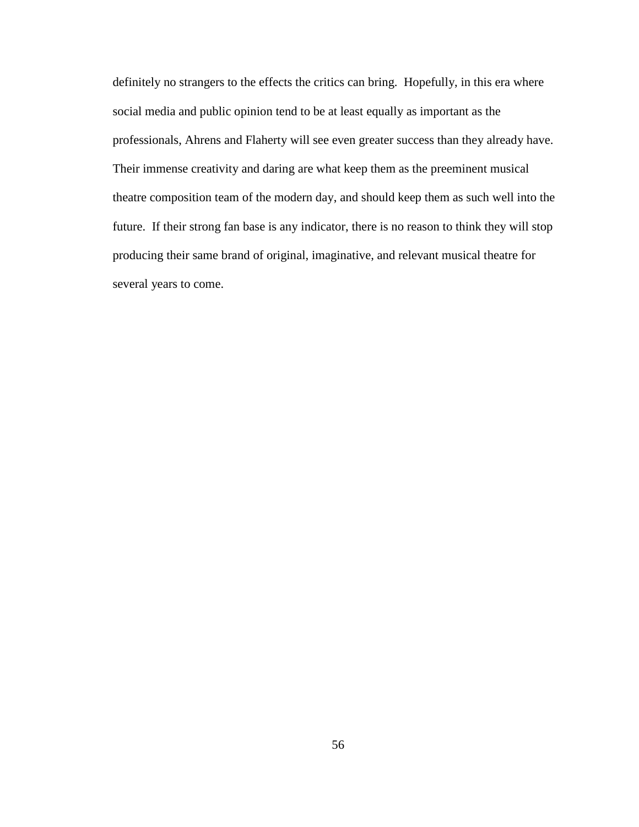definitely no strangers to the effects the critics can bring. Hopefully, in this era where social media and public opinion tend to be at least equally as important as the professionals, Ahrens and Flaherty will see even greater success than they already have. Their immense creativity and daring are what keep them as the preeminent musical theatre composition team of the modern day, and should keep them as such well into the future. If their strong fan base is any indicator, there is no reason to think they will stop producing their same brand of original, imaginative, and relevant musical theatre for several years to come.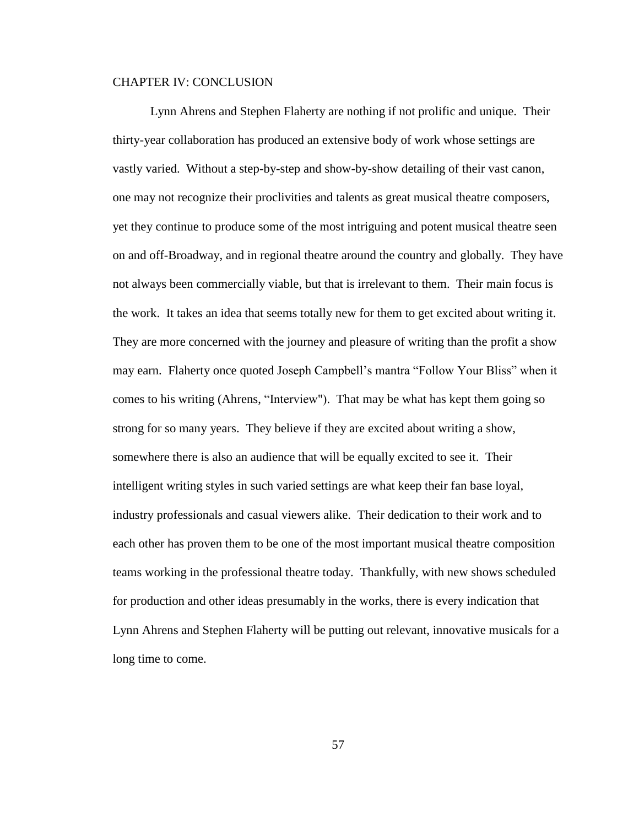### CHAPTER IV: CONCLUSION

Lynn Ahrens and Stephen Flaherty are nothing if not prolific and unique. Their thirty-year collaboration has produced an extensive body of work whose settings are vastly varied. Without a step-by-step and show-by-show detailing of their vast canon, one may not recognize their proclivities and talents as great musical theatre composers, yet they continue to produce some of the most intriguing and potent musical theatre seen on and off-Broadway, and in regional theatre around the country and globally. They have not always been commercially viable, but that is irrelevant to them. Their main focus is the work. It takes an idea that seems totally new for them to get excited about writing it. They are more concerned with the journey and pleasure of writing than the profit a show may earn. Flaherty once quoted Joseph Campbell's mantra "Follow Your Bliss" when it comes to his writing (Ahrens, "Interview"). That may be what has kept them going so strong for so many years. They believe if they are excited about writing a show, somewhere there is also an audience that will be equally excited to see it. Their intelligent writing styles in such varied settings are what keep their fan base loyal, industry professionals and casual viewers alike. Their dedication to their work and to each other has proven them to be one of the most important musical theatre composition teams working in the professional theatre today. Thankfully, with new shows scheduled for production and other ideas presumably in the works, there is every indication that Lynn Ahrens and Stephen Flaherty will be putting out relevant, innovative musicals for a long time to come.

57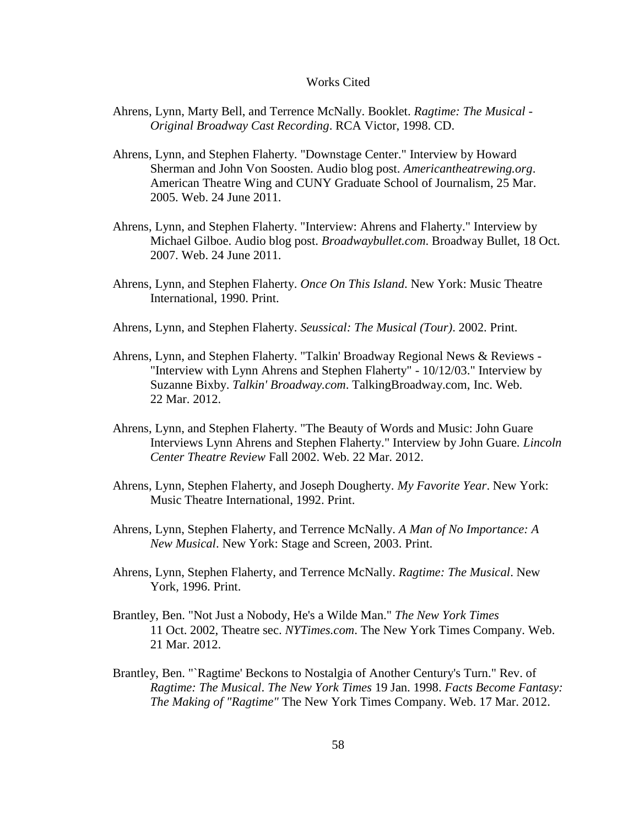## Works Cited

- Ahrens, Lynn, Marty Bell, and Terrence McNally. Booklet. *Ragtime: The Musical - Original Broadway Cast Recording*. RCA Victor, 1998. CD.
- Ahrens, Lynn, and Stephen Flaherty. "Downstage Center." Interview by Howard Sherman and John Von Soosten. Audio blog post. *Americantheatrewing.org*. American Theatre Wing and CUNY Graduate School of Journalism, 25 Mar. 2005. Web. 24 June 2011.
- Ahrens, Lynn, and Stephen Flaherty. "Interview: Ahrens and Flaherty." Interview by Michael Gilboe. Audio blog post. *Broadwaybullet.com*. Broadway Bullet, 18 Oct. 2007. Web. 24 June 2011.
- Ahrens, Lynn, and Stephen Flaherty. *Once On This Island*. New York: Music Theatre International, 1990. Print.
- Ahrens, Lynn, and Stephen Flaherty. *Seussical: The Musical (Tour)*. 2002. Print.
- Ahrens, Lynn, and Stephen Flaherty. "Talkin' Broadway Regional News & Reviews "Interview with Lynn Ahrens and Stephen Flaherty" - 10/12/03." Interview by Suzanne Bixby. *Talkin' Broadway.com*. TalkingBroadway.com, Inc. Web. 22 Mar. 2012.
- Ahrens, Lynn, and Stephen Flaherty. "The Beauty of Words and Music: John Guare Interviews Lynn Ahrens and Stephen Flaherty." Interview by John Guare. *Lincoln Center Theatre Review* Fall 2002. Web. 22 Mar. 2012.
- Ahrens, Lynn, Stephen Flaherty, and Joseph Dougherty. *My Favorite Year*. New York: Music Theatre International, 1992. Print.
- Ahrens, Lynn, Stephen Flaherty, and Terrence McNally. *A Man of No Importance: A New Musical*. New York: Stage and Screen, 2003. Print.
- Ahrens, Lynn, Stephen Flaherty, and Terrence McNally. *Ragtime: The Musical*. New York, 1996. Print.
- Brantley, Ben. "Not Just a Nobody, He's a Wilde Man." *The New York Times* 11 Oct. 2002, Theatre sec. *NYTimes.com*. The New York Times Company. Web. 21 Mar. 2012.
- Brantley, Ben. "`Ragtime' Beckons to Nostalgia of Another Century's Turn." Rev. of *Ragtime: The Musical*. *The New York Times* 19 Jan. 1998. *Facts Become Fantasy: The Making of "Ragtime"* The New York Times Company. Web. 17 Mar. 2012.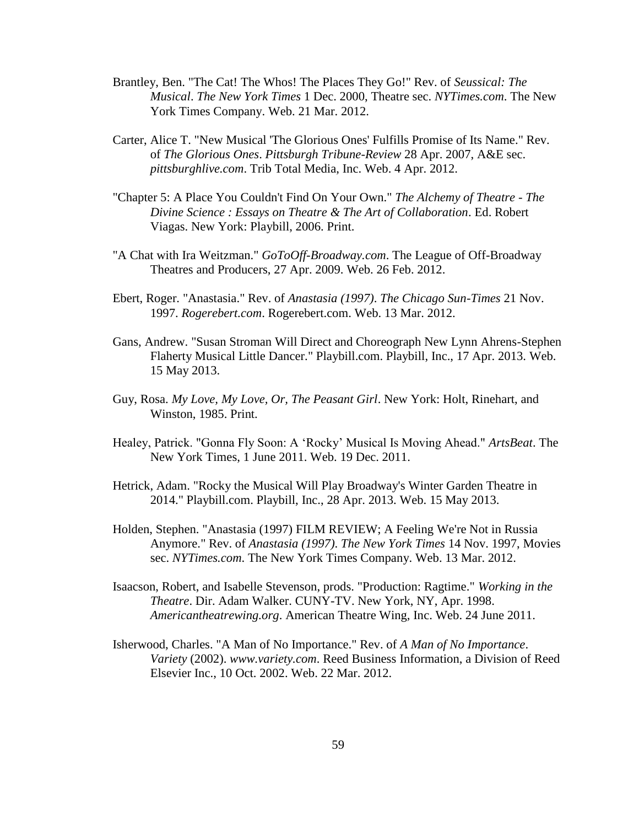- Brantley, Ben. "The Cat! The Whos! The Places They Go!" Rev. of *Seussical: The Musical*. *The New York Times* 1 Dec. 2000, Theatre sec. *NYTimes.com*. The New York Times Company. Web. 21 Mar. 2012.
- Carter, Alice T. "New Musical 'The Glorious Ones' Fulfills Promise of Its Name." Rev. of *The Glorious Ones*. *Pittsburgh Tribune-Review* 28 Apr. 2007, A&E sec. *pittsburghlive.com*. Trib Total Media, Inc. Web. 4 Apr. 2012.
- "Chapter 5: A Place You Couldn't Find On Your Own." *The Alchemy of Theatre - The Divine Science : Essays on Theatre & The Art of Collaboration*. Ed. Robert Viagas. New York: Playbill, 2006. Print.
- "A Chat with Ira Weitzman." *GoToOff-Broadway.com*. The League of Off-Broadway Theatres and Producers, 27 Apr. 2009. Web. 26 Feb. 2012.
- Ebert, Roger. "Anastasia." Rev. of *Anastasia (1997)*. *The Chicago Sun-Times* 21 Nov. 1997. *Rogerebert.com*. Rogerebert.com. Web. 13 Mar. 2012.
- Gans, Andrew. "Susan Stroman Will Direct and Choreograph New Lynn Ahrens-Stephen Flaherty Musical Little Dancer." Playbill.com. Playbill, Inc., 17 Apr. 2013. Web. 15 May 2013.
- Guy, Rosa. *My Love, My Love, Or, The Peasant Girl*. New York: Holt, Rinehart, and Winston, 1985. Print.
- Healey, Patrick. "Gonna Fly Soon: A 'Rocky' Musical Is Moving Ahead." *ArtsBeat*. The New York Times, 1 June 2011. Web. 19 Dec. 2011.
- Hetrick, Adam. "Rocky the Musical Will Play Broadway's Winter Garden Theatre in 2014." Playbill.com. Playbill, Inc., 28 Apr. 2013. Web. 15 May 2013.
- Holden, Stephen. "Anastasia (1997) FILM REVIEW; A Feeling We're Not in Russia Anymore." Rev. of *Anastasia (1997)*. *The New York Times* 14 Nov. 1997, Movies sec. *NYTimes.com*. The New York Times Company. Web. 13 Mar. 2012.
- Isaacson, Robert, and Isabelle Stevenson, prods. "Production: Ragtime." *Working in the Theatre*. Dir. Adam Walker. CUNY-TV. New York, NY, Apr. 1998. *Americantheatrewing.org*. American Theatre Wing, Inc. Web. 24 June 2011.
- Isherwood, Charles. "A Man of No Importance." Rev. of *A Man of No Importance*. *Variety* (2002). *www.variety.com*. Reed Business Information, a Division of Reed Elsevier Inc., 10 Oct. 2002. Web. 22 Mar. 2012.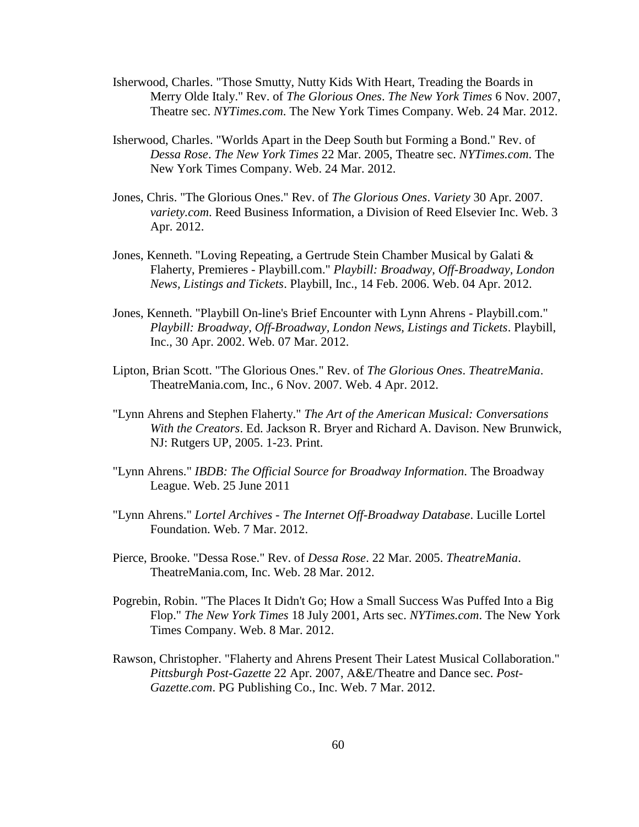- Isherwood, Charles. "Those Smutty, Nutty Kids With Heart, Treading the Boards in Merry Olde Italy." Rev. of *The Glorious Ones*. *The New York Times* 6 Nov. 2007, Theatre sec. *NYTimes.com*. The New York Times Company. Web. 24 Mar. 2012.
- Isherwood, Charles. "Worlds Apart in the Deep South but Forming a Bond." Rev. of *Dessa Rose*. *The New York Times* 22 Mar. 2005, Theatre sec. *NYTimes.com*. The New York Times Company. Web. 24 Mar. 2012.
- Jones, Chris. "The Glorious Ones." Rev. of *The Glorious Ones*. *Variety* 30 Apr. 2007. *variety.com*. Reed Business Information, a Division of Reed Elsevier Inc. Web. 3 Apr. 2012.
- Jones, Kenneth. "Loving Repeating, a Gertrude Stein Chamber Musical by Galati & Flaherty, Premieres - Playbill.com." *Playbill: Broadway, Off-Broadway, London News, Listings and Tickets*. Playbill, Inc., 14 Feb. 2006. Web. 04 Apr. 2012.
- Jones, Kenneth. "Playbill On-line's Brief Encounter with Lynn Ahrens Playbill.com." *Playbill: Broadway, Off-Broadway, London News, Listings and Tickets*. Playbill, Inc., 30 Apr. 2002. Web. 07 Mar. 2012.
- Lipton, Brian Scott. "The Glorious Ones." Rev. of *The Glorious Ones*. *TheatreMania*. TheatreMania.com, Inc., 6 Nov. 2007. Web. 4 Apr. 2012.
- "Lynn Ahrens and Stephen Flaherty." *The Art of the American Musical: Conversations With the Creators*. Ed. Jackson R. Bryer and Richard A. Davison. New Brunwick, NJ: Rutgers UP, 2005. 1-23. Print.
- "Lynn Ahrens." *IBDB: The Official Source for Broadway Information*. The Broadway League. Web. 25 June 2011
- "Lynn Ahrens." *Lortel Archives - The Internet Off-Broadway Database*. Lucille Lortel Foundation. Web. 7 Mar. 2012.
- Pierce, Brooke. "Dessa Rose." Rev. of *Dessa Rose*. 22 Mar. 2005. *TheatreMania*. TheatreMania.com, Inc. Web. 28 Mar. 2012.
- Pogrebin, Robin. "The Places It Didn't Go; How a Small Success Was Puffed Into a Big Flop." *The New York Times* 18 July 2001, Arts sec. *NYTimes.com*. The New York Times Company. Web. 8 Mar. 2012.
- Rawson, Christopher. "Flaherty and Ahrens Present Their Latest Musical Collaboration." *Pittsburgh Post-Gazette* 22 Apr. 2007, A&E/Theatre and Dance sec. *Post-Gazette.com*. PG Publishing Co., Inc. Web. 7 Mar. 2012.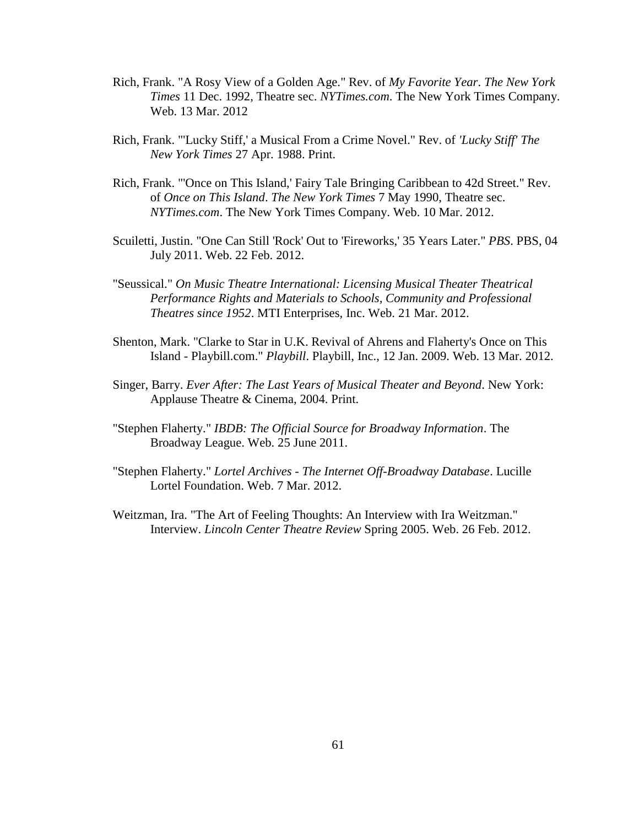- Rich, Frank. "A Rosy View of a Golden Age." Rev. of *My Favorite Year*. *The New York Times* 11 Dec. 1992, Theatre sec. *NYTimes.com*. The New York Times Company. Web. 13 Mar. 2012
- Rich, Frank. "'Lucky Stiff,' a Musical From a Crime Novel." Rev. of *'Lucky Stiff' The New York Times* 27 Apr. 1988. Print.
- Rich, Frank. "'Once on This Island,' Fairy Tale Bringing Caribbean to 42d Street." Rev. of *Once on This Island*. *The New York Times* 7 May 1990, Theatre sec. *NYTimes.com*. The New York Times Company. Web. 10 Mar. 2012.
- Scuiletti, Justin. "One Can Still 'Rock' Out to 'Fireworks,' 35 Years Later." *PBS*. PBS, 04 July 2011. Web. 22 Feb. 2012.
- "Seussical." *On Music Theatre International: Licensing Musical Theater Theatrical Performance Rights and Materials to Schools, Community and Professional Theatres since 1952*. MTI Enterprises, Inc. Web. 21 Mar. 2012.
- Shenton, Mark. "Clarke to Star in U.K. Revival of Ahrens and Flaherty's Once on This Island - Playbill.com." *Playbill*. Playbill, Inc., 12 Jan. 2009. Web. 13 Mar. 2012.
- Singer, Barry. *Ever After: The Last Years of Musical Theater and Beyond*. New York: Applause Theatre & Cinema, 2004. Print.
- "Stephen Flaherty." *IBDB: The Official Source for Broadway Information*. The Broadway League. Web. 25 June 2011.
- "Stephen Flaherty." *Lortel Archives - The Internet Off-Broadway Database*. Lucille Lortel Foundation. Web. 7 Mar. 2012.
- Weitzman, Ira. "The Art of Feeling Thoughts: An Interview with Ira Weitzman." Interview. *Lincoln Center Theatre Review* Spring 2005. Web. 26 Feb. 2012.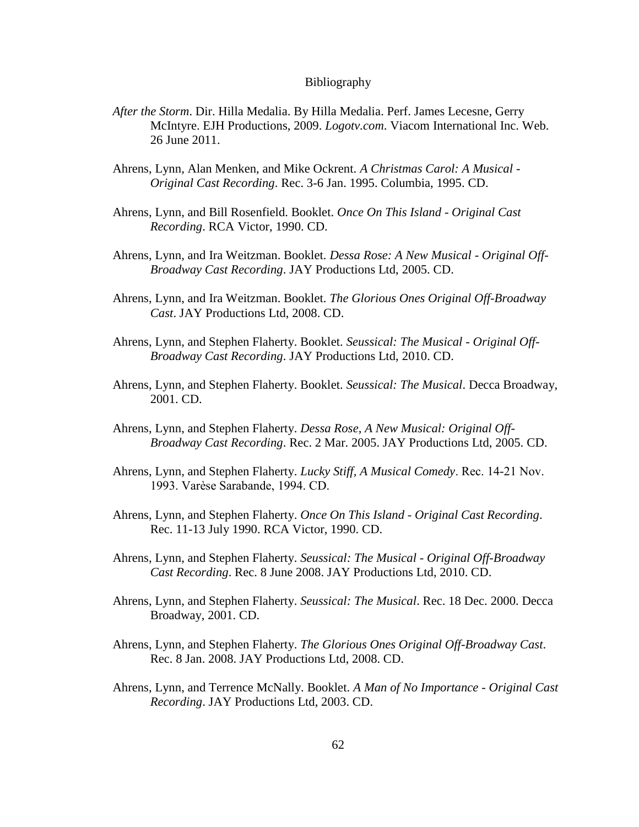#### Bibliography

- *After the Storm*. Dir. Hilla Medalia. By Hilla Medalia. Perf. James Lecesne, Gerry McIntyre. EJH Productions, 2009. *Logotv.com*. Viacom International Inc. Web. 26 June 2011.
- Ahrens, Lynn, Alan Menken, and Mike Ockrent. *A Christmas Carol: A Musical - Original Cast Recording*. Rec. 3-6 Jan. 1995. Columbia, 1995. CD.
- Ahrens, Lynn, and Bill Rosenfield. Booklet. *Once On This Island - Original Cast Recording*. RCA Victor, 1990. CD.
- Ahrens, Lynn, and Ira Weitzman. Booklet. *Dessa Rose: A New Musical - Original Off-Broadway Cast Recording*. JAY Productions Ltd, 2005. CD.
- Ahrens, Lynn, and Ira Weitzman. Booklet. *The Glorious Ones Original Off-Broadway Cast*. JAY Productions Ltd, 2008. CD.
- Ahrens, Lynn, and Stephen Flaherty. Booklet. *Seussical: The Musical - Original Off-Broadway Cast Recording*. JAY Productions Ltd, 2010. CD.
- Ahrens, Lynn, and Stephen Flaherty. Booklet. *Seussical: The Musical*. Decca Broadway, 2001. CD.
- Ahrens, Lynn, and Stephen Flaherty. *Dessa Rose, A New Musical: Original Off-Broadway Cast Recording*. Rec. 2 Mar. 2005. JAY Productions Ltd, 2005. CD.
- Ahrens, Lynn, and Stephen Flaherty. *Lucky Stiff, A Musical Comedy*. Rec. 14-21 Nov. 1993. Varèse Sarabande, 1994. CD.
- Ahrens, Lynn, and Stephen Flaherty. *Once On This Island - Original Cast Recording*. Rec. 11-13 July 1990. RCA Victor, 1990. CD.
- Ahrens, Lynn, and Stephen Flaherty. *Seussical: The Musical - Original Off-Broadway Cast Recording*. Rec. 8 June 2008. JAY Productions Ltd, 2010. CD.
- Ahrens, Lynn, and Stephen Flaherty. *Seussical: The Musical*. Rec. 18 Dec. 2000. Decca Broadway, 2001. CD.
- Ahrens, Lynn, and Stephen Flaherty. *The Glorious Ones Original Off-Broadway Cast*. Rec. 8 Jan. 2008. JAY Productions Ltd, 2008. CD.
- Ahrens, Lynn, and Terrence McNally. Booklet. *A Man of No Importance - Original Cast Recording*. JAY Productions Ltd, 2003. CD.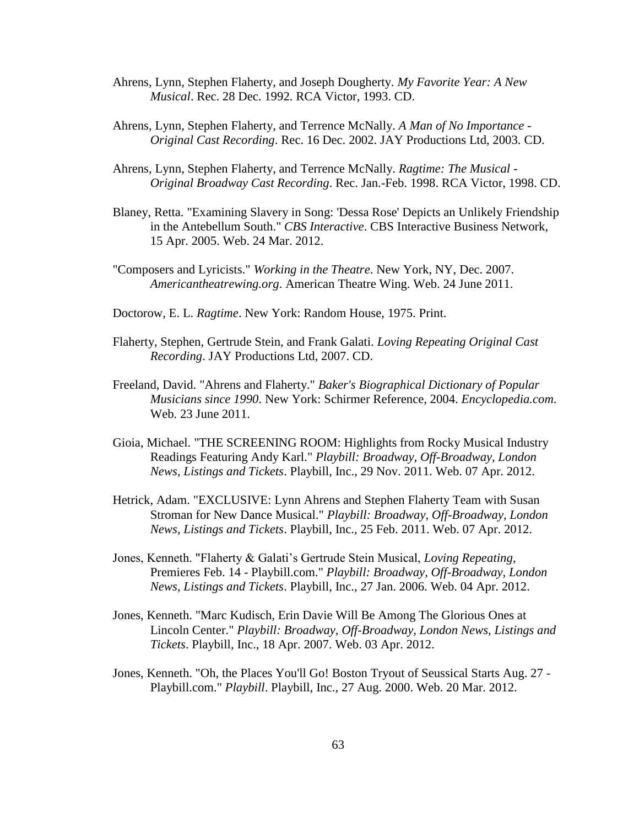- Ahrens, Lynn, Stephen Flaherty, and Joseph Dougherty. *My Favorite Year: A New Musical*. Rec. 28 Dec. 1992. RCA Victor, 1993. CD.
- Ahrens, Lynn, Stephen Flaherty, and Terrence McNally. *A Man of No Importance - Original Cast Recording*. Rec. 16 Dec. 2002. JAY Productions Ltd, 2003. CD.
- Ahrens, Lynn, Stephen Flaherty, and Terrence McNally. *Ragtime: The Musical - Original Broadway Cast Recording*. Rec. Jan.-Feb. 1998. RCA Victor, 1998. CD.
- Blaney, Retta. "Examining Slavery in Song: 'Dessa Rose' Depicts an Unlikely Friendship in the Antebellum South." *CBS Interactive*. CBS Interactive Business Network, 15 Apr. 2005. Web. 24 Mar. 2012.
- "Composers and Lyricists." *Working in the Theatre*. New York, NY, Dec. 2007. *Americantheatrewing.org*. American Theatre Wing. Web. 24 June 2011.
- Doctorow, E. L. *Ragtime*. New York: Random House, 1975. Print.
- Flaherty, Stephen, Gertrude Stein, and Frank Galati. *Loving Repeating Original Cast Recording*. JAY Productions Ltd, 2007. CD.
- Freeland, David. "Ahrens and Flaherty." *Baker's Biographical Dictionary of Popular Musicians since 1990*. New York: Schirmer Reference, 2004. *Encyclopedia.com*. Web. 23 June 2011.
- Gioia, Michael. "THE SCREENING ROOM: Highlights from Rocky Musical Industry Readings Featuring Andy Karl." *Playbill: Broadway, Off-Broadway, London News, Listings and Tickets*. Playbill, Inc., 29 Nov. 2011. Web. 07 Apr. 2012.
- Hetrick, Adam. "EXCLUSIVE: Lynn Ahrens and Stephen Flaherty Team with Susan Stroman for New Dance Musical." *Playbill: Broadway, Off-Broadway, London News, Listings and Tickets*. Playbill, Inc., 25 Feb. 2011. Web. 07 Apr. 2012.
- Jones, Kenneth. "Flaherty & Galati's Gertrude Stein Musical, *Loving Repeating*, Premieres Feb. 14 - Playbill.com." *Playbill: Broadway, Off-Broadway, London News, Listings and Tickets*. Playbill, Inc., 27 Jan. 2006. Web. 04 Apr. 2012.
- Jones, Kenneth. "Marc Kudisch, Erin Davie Will Be Among The Glorious Ones at Lincoln Center." *Playbill: Broadway, Off-Broadway, London News, Listings and Tickets*. Playbill, Inc., 18 Apr. 2007. Web. 03 Apr. 2012.
- Jones, Kenneth. "Oh, the Places You'll Go! Boston Tryout of Seussical Starts Aug. 27 Playbill.com." *Playbill*. Playbill, Inc., 27 Aug. 2000. Web. 20 Mar. 2012.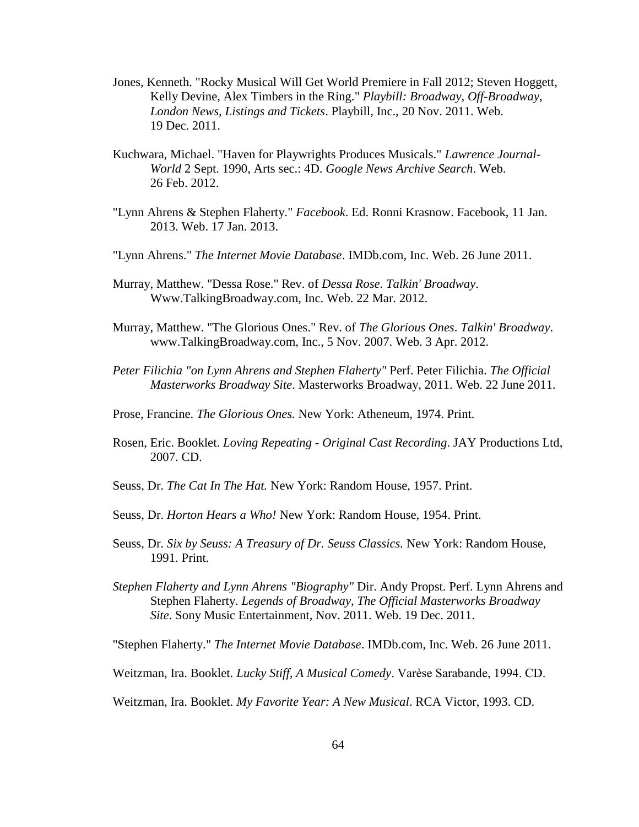- Jones, Kenneth. "Rocky Musical Will Get World Premiere in Fall 2012; Steven Hoggett, Kelly Devine, Alex Timbers in the Ring." *Playbill: Broadway, Off-Broadway, London News, Listings and Tickets*. Playbill, Inc., 20 Nov. 2011. Web. 19 Dec. 2011.
- Kuchwara, Michael. "Haven for Playwrights Produces Musicals." *Lawrence Journal-World* 2 Sept. 1990, Arts sec.: 4D. *Google News Archive Search*. Web. 26 Feb. 2012.
- "Lynn Ahrens & Stephen Flaherty." *Facebook*. Ed. Ronni Krasnow. Facebook, 11 Jan. 2013. Web. 17 Jan. 2013.
- "Lynn Ahrens." *The Internet Movie Database*. IMDb.com, Inc. Web. 26 June 2011.
- Murray, Matthew. "Dessa Rose." Rev. of *Dessa Rose*. *Talkin' Broadway*. Www.TalkingBroadway.com, Inc. Web. 22 Mar. 2012.
- Murray, Matthew. "The Glorious Ones." Rev. of *The Glorious Ones*. *Talkin' Broadway*. www.TalkingBroadway.com, Inc., 5 Nov. 2007. Web. 3 Apr. 2012.
- *Peter Filichia "on Lynn Ahrens and Stephen Flaherty"* Perf. Peter Filichia. *The Official Masterworks Broadway Site*. Masterworks Broadway, 2011. Web. 22 June 2011.
- Prose, Francine. *The Glorious Ones.* New York: Atheneum, 1974. Print.
- Rosen, Eric. Booklet. *Loving Repeating - Original Cast Recording*. JAY Productions Ltd, 2007. CD.
- Seuss, Dr. *The Cat In The Hat.* New York: Random House, 1957. Print.
- Seuss, Dr. *Horton Hears a Who!* New York: Random House, 1954. Print.
- Seuss, Dr. *Six by Seuss: A Treasury of Dr. Seuss Classics.* New York: Random House, 1991. Print.
- *Stephen Flaherty and Lynn Ahrens "Biography"* Dir. Andy Propst. Perf. Lynn Ahrens and Stephen Flaherty. *Legends of Broadway, The Official Masterworks Broadway Site*. Sony Music Entertainment, Nov. 2011. Web. 19 Dec. 2011.

"Stephen Flaherty." *The Internet Movie Database*. IMDb.com, Inc. Web. 26 June 2011.

- Weitzman, Ira. Booklet. *Lucky Stiff, A Musical Comedy*. Varèse Sarabande, 1994. CD.
- Weitzman, Ira. Booklet. *My Favorite Year: A New Musical*. RCA Victor, 1993. CD.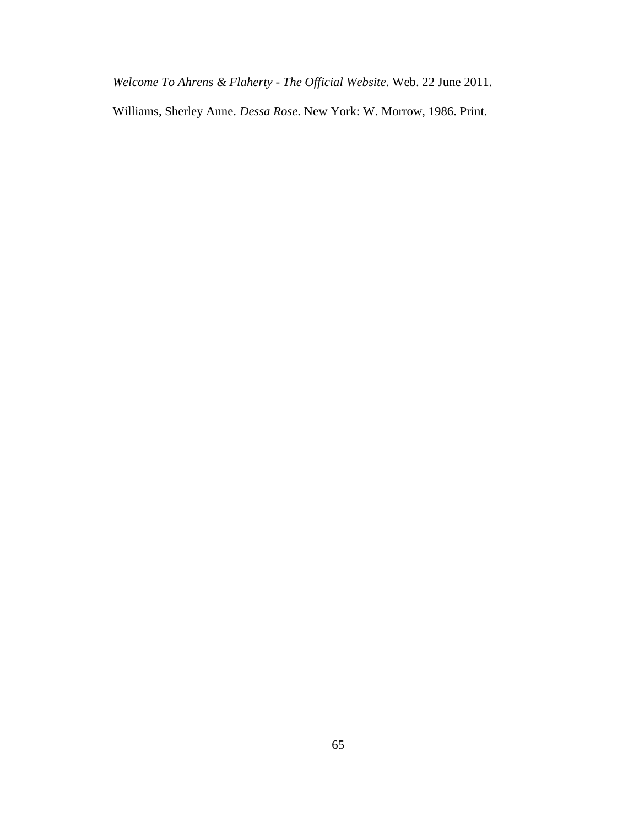*Welcome To Ahrens & Flaherty - The Official Website*. Web. 22 June 2011.

Williams, Sherley Anne. *Dessa Rose*. New York: W. Morrow, 1986. Print.